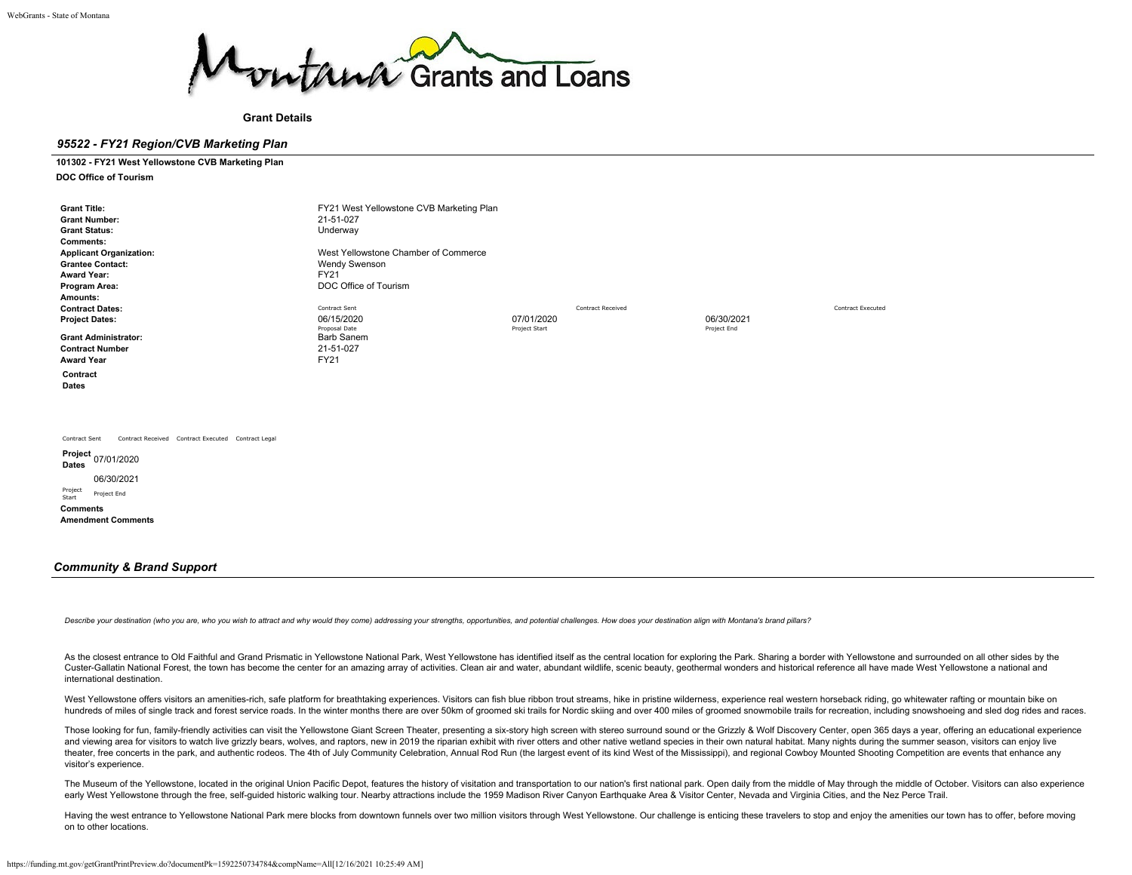

**Grant Details**

## *95522 - FY21 Region/CVB Marketing Plan*

## **101302 - FY21 West Yellowstone CVB Marketing Plan**

**DOC Office of Tourism**

| <b>Grant Title:</b><br><b>Grant Number:</b><br><b>Grant Status:</b><br><b>Comments:</b><br><b>Applicant Organization:</b><br><b>Grantee Contact:</b><br><b>Award Year:</b><br>Program Area:<br>Amounts:<br><b>Contract Dates:</b><br><b>Project Dates:</b><br><b>Grant Administrator:</b><br><b>Contract Number</b><br><b>Award Year</b><br>Contract<br><b>Dates</b> | FY21 West Yellowstone CVB Marketing Plan<br>21-51-027<br>Underway<br>West Yellowstone Chamber of Commerce<br><b>Wendy Swenson</b><br>FY21<br>DOC Office of Tourism<br>Contract Sent<br>06/15/2020<br>Proposal Date<br>Barb Sanem<br>21-51-027<br>FY21 | 07/01/2020<br>Project Start | <b>Contract Received</b> | 06/30/2021<br>Project End | <b>Contract Executed</b> |
|----------------------------------------------------------------------------------------------------------------------------------------------------------------------------------------------------------------------------------------------------------------------------------------------------------------------------------------------------------------------|-------------------------------------------------------------------------------------------------------------------------------------------------------------------------------------------------------------------------------------------------------|-----------------------------|--------------------------|---------------------------|--------------------------|
| Contract Received Contract Executed Contract Legal<br>Contract Sent<br><b>Dates</b><br>06/30/2021<br>Project<br>Start<br>Project End<br><b>Comments</b><br><b>Amendment Comments</b>                                                                                                                                                                                 |                                                                                                                                                                                                                                                       |                             |                          |                           |                          |

## *Community & Brand Support*

Describe your destination (who you are, who you wish to attract and why would they come) addressing your strengths, opportunities, and potential challenges. How does your destination align with Montana's brand pillars?

As the closest entrance to Old Faithful and Grand Prismatic in Yellowstone National Park. West Yellowstone has identified itself as the central location for exploring the Park. Sharing a border with Yellowstone and surroun Custer-Gallatin National Forest, the town has become the center for an amazing array of activities. Clean air and water, abundant wildlife, scenic beauty, geothermal wonders and historical reference all have made West Yell international destination.

West Yellowstone offers visitors an amenities-rich, safe platform for breathtaking experiences. Visitors can fish blue ribbon trout streams, hike in pristine wilderness, experience real western horseback riding, go whitewa hundreds of miles of single track and forest service roads. In the winter months there are over 50km of groomed ski trails for Nordic skiing and over 400 miles of groomed snowmobile trails for recreation, including snowsho

Those looking for fun, family-friendly activities can visit the Yellowstone Giant Screen Theater, presenting a six-story high screen with stereo surround sound or the Grizzly & Wolf Discovery Center, open 365 days a year, and viewing area for visitors to watch live grizzly bears, wolves, and raptors, new in 2019 the riparian exhibit with river otters and other native wetland species in their own natural habitat. Many nights during the summe theater, free concerts in the park, and authentic rodeos. The 4th of July Community Celebration, Annual Rod Run (the largest event of its kind West of the Mississippi), and regional Cowboy Mounted Shooting Competition are visitor's experience.

The Museum of the Yellowstone, located in the original Union Pacific Depot, features the history of visitation and transportation to our nation's first national park. Open daily from the middle of May through the middle of early West Yellowstone through the free, self-guided historic walking tour. Nearby attractions include the 1959 Madison River Canyon Earthquake Area & Visitor Center, Nevada and Virginia Cities, and the Nez Perce Trail.

Having the west entrance to Yellowstone National Park mere blocks from downtown funnels over two million visitors through West Yellowstone. Our challenge is enticing these travelers to stop and enjoy the amenities our town on to other locations.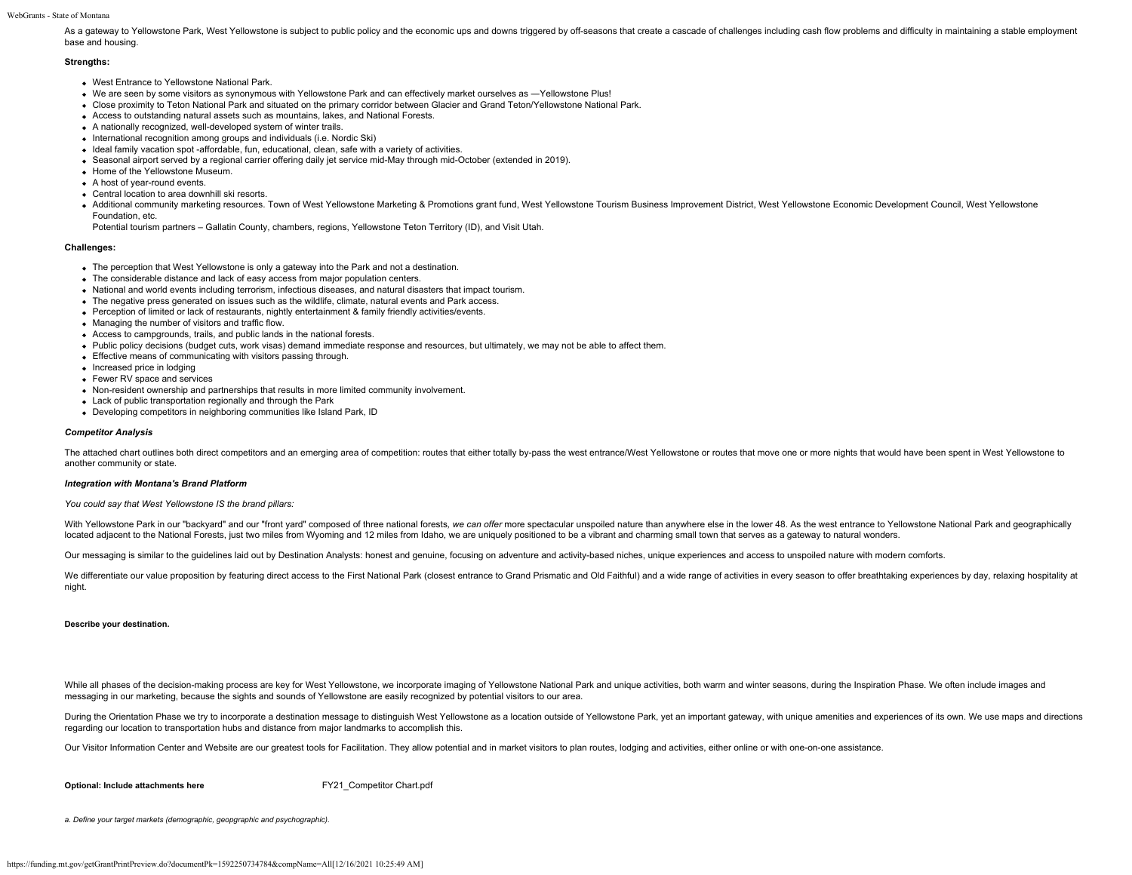As a gateway to Yellowstone Park, West Yellowstone is subject to public policy and the economic ups and downs triggered by off-seasons that create a cascade of challenges including cash flow problems and difficulty in main base and housing.

## **Strengths:**

- West Entrance to Yellowstone National Park.
- We are seen by some visitors as synonymous with Yellowstone Park and can effectively market ourselves as ―Yellowstone Plus!
- Close proximity to Teton National Park and situated on the primary corridor between Glacier and Grand Teton/Yellowstone National Park.
- Access to outstanding natural assets such as mountains, lakes, and National Forests.
- A nationally recognized, well-developed system of winter trails.
- International recognition among groups and individuals (i.e. Nordic Ski)
- Ideal family vacation spot -affordable, fun, educational, clean, safe with a variety of activities.
- Seasonal airport served by a regional carrier offering daily jet service mid-May through mid-October (extended in 2019).
- Home of the Yellowstone Museum.
- A host of year-round events.
- Central location to area downhill ski resorts.
- . Additional community marketing resources. Town of West Yellowstone Marketing & Promotions grant fund, West Yellowstone Tourism Business Improvement District, West Yellowstone Economic Development Council, West Yellowston Foundation, etc.

Potential tourism partners – Gallatin County, chambers, regions, Yellowstone Teton Territory (ID), and Visit Utah.

## **Challenges:**

- The perception that West Yellowstone is only a gateway into the Park and not a destination.
- The considerable distance and lack of easy access from major population centers.
- National and world events including terrorism, infectious diseases, and natural disasters that impact tourism.
- The negative press generated on issues such as the wildlife, climate, natural events and Park access.
- Perception of limited or lack of restaurants, nightly entertainment & family friendly activities/events.
- Managing the number of visitors and traffic flow.
- Access to campgrounds, trails, and public lands in the national forests.
- Public policy decisions (budget cuts, work visas) demand immediate response and resources, but ultimately, we may not be able to affect them.
- Effective means of communicating with visitors passing through.
- Increased price in lodging
- Fewer RV space and services
- Non-resident ownership and partnerships that results in more limited community involvement.
- Lack of public transportation regionally and through the Park
- Developing competitors in neighboring communities like Island Park, ID

## *Competitor Analysis*

The attached chart outlines both direct competitors and an emerging area of competition: routes that either totally by-pass the west entrance/West Yellowstone or routes that move one or more nights that would have been spe another community or state.

### *Integration with Montana's Brand Platform*

### *You could say that West Yellowstone IS the brand pillars:*

With Yellowstone Park in our "backyard" and our "front yard" composed of three national forests, we can offer more spectacular unspoiled nature than anywhere else in the lower 48. As the west entrance to Yellowstone Nation located adjacent to the National Forests, just two miles from Wyoming and 12 miles from Idaho, we are uniquely positioned to be a vibrant and charming small town that serves as a gateway to natural wonders.

Our messaging is similar to the quidelines laid out by Destination Analysts: honest and genuine, focusing on adventure and activity-based niches, unique experiences and access to unspoiled nature with modern comforts.

We differentiate our value proposition by featuring direct access to the First National Park (closest entrance to Grand Prismatic and Old Faithful) and a wide range of activities in every season to offer breathtaking exper night.

#### **Describe your destination.**

While all phases of the decision-making process are key for West Yellowstone, we incorporate imaging of Yellowstone National Park and unique activities, both warm and winter seasons, during the Inspiration Phase. We often messaging in our marketing, because the sights and sounds of Yellowstone are easily recognized by potential visitors to our area.

During the Orientation Phase we try to incorporate a destination message to distinguish West Yellowstone as a location outside of Yellowstone Park, yet an important gateway, with unique amenities and experiences of its own regarding our location to transportation hubs and distance from major landmarks to accomplish this.

Our Visitor Information Center and Website are our greatest tools for Facilitation. They allow potential and in market visitors to plan routes, lodging and activities, either online or with one-on-one assistance.

**Optional: Include attachments here** FY21 Competitor Chart.pdf

*a. Define your target markets (demographic, geopgraphic and psychographic).*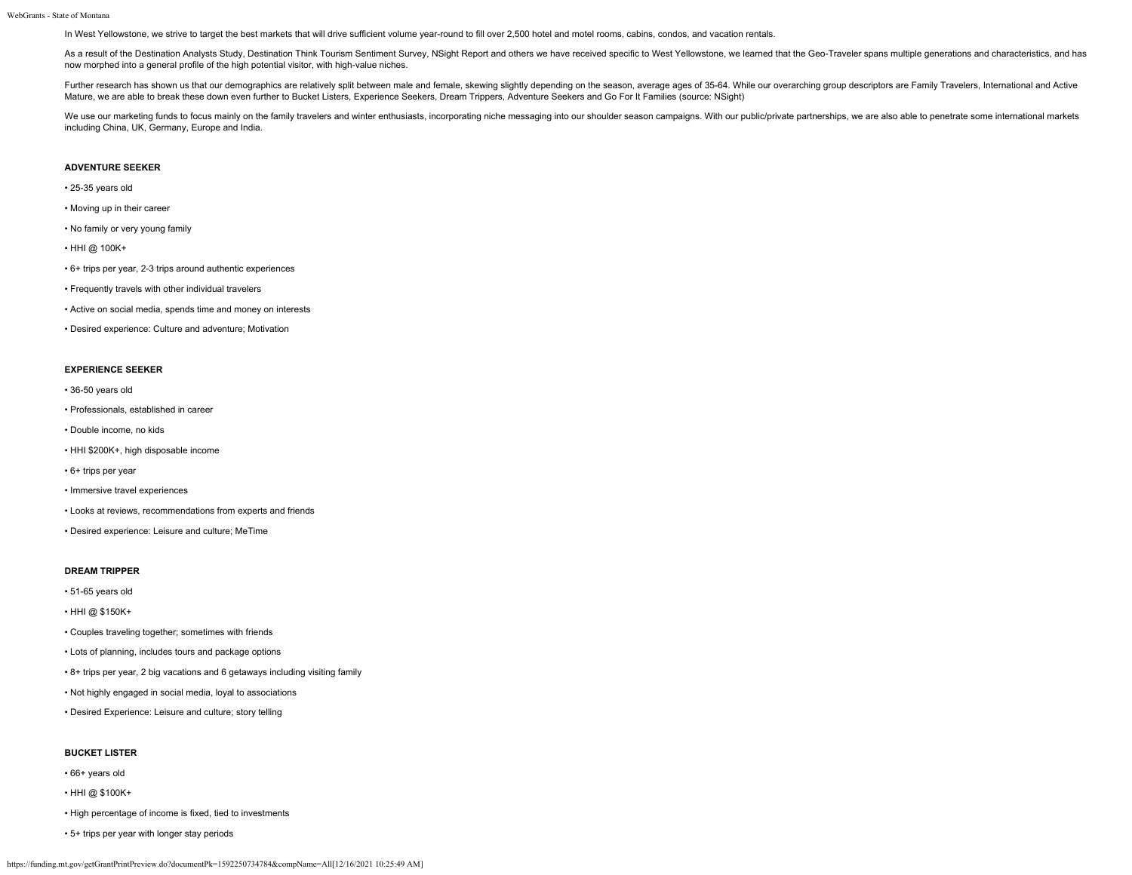In West Yellowstone, we strive to target the best markets that will drive sufficient volume year-round to fill over 2,500 hotel and motel rooms, cabins, condos, and vacation rentals.

As a result of the Destination Analysts Study, Destination Think Tourism Sentiment Survey, NSight Report and others we have received specific to West Yellowstone, we learned that the Geo-Traveler spans multiple generations now morphed into a general profile of the high potential visitor, with high-value niches.

Further research has shown us that our demographics are relatively split between male and female, skewing slightly depending on the season, average ages of 35-64. While our overarching group descriptors are Family Traveler Mature, we are able to break these down even further to Bucket Listers, Experience Seekers, Dream Trippers, Adventure Seekers and Go For It Families (source: NSight)

We use our marketing funds to focus mainly on the family travelers and winter enthusiasts, incorporating niche messaging into our shoulder season campaigns. With our public/private partnerships, we are also able to penetra including China, UK, Germany, Europe and India.

## **ADVENTURE SEEKER**

- 25-35 years old
- Moving up in their career
- No family or very young family
- HHI @ 100K+
- 6+ trips per year, 2-3 trips around authentic experiences
- Frequently travels with other individual travelers
- Active on social media, spends time and money on interests
- Desired experience: Culture and adventure; Motivation

## **EXPERIENCE SEEKER**

- 36-50 years old
- Professionals, established in career
- Double income, no kids
- HHI \$200K+, high disposable income
- 6+ trips per year
- Immersive travel experiences
- Looks at reviews, recommendations from experts and friends
- Desired experience: Leisure and culture; MeTime

#### **DREAM TRIPPER**

- 51-65 years old
- HHI @ \$150K+
- Couples traveling together; sometimes with friends
- Lots of planning, includes tours and package options
- 8+ trips per year, 2 big vacations and 6 getaways including visiting family
- Not highly engaged in social media, loyal to associations
- Desired Experience: Leisure and culture; story telling

## **BUCKET LISTER**

- 66+ years old
- HHI @ \$100K+
- High percentage of income is fixed, tied to investments
- 5+ trips per year with longer stay periods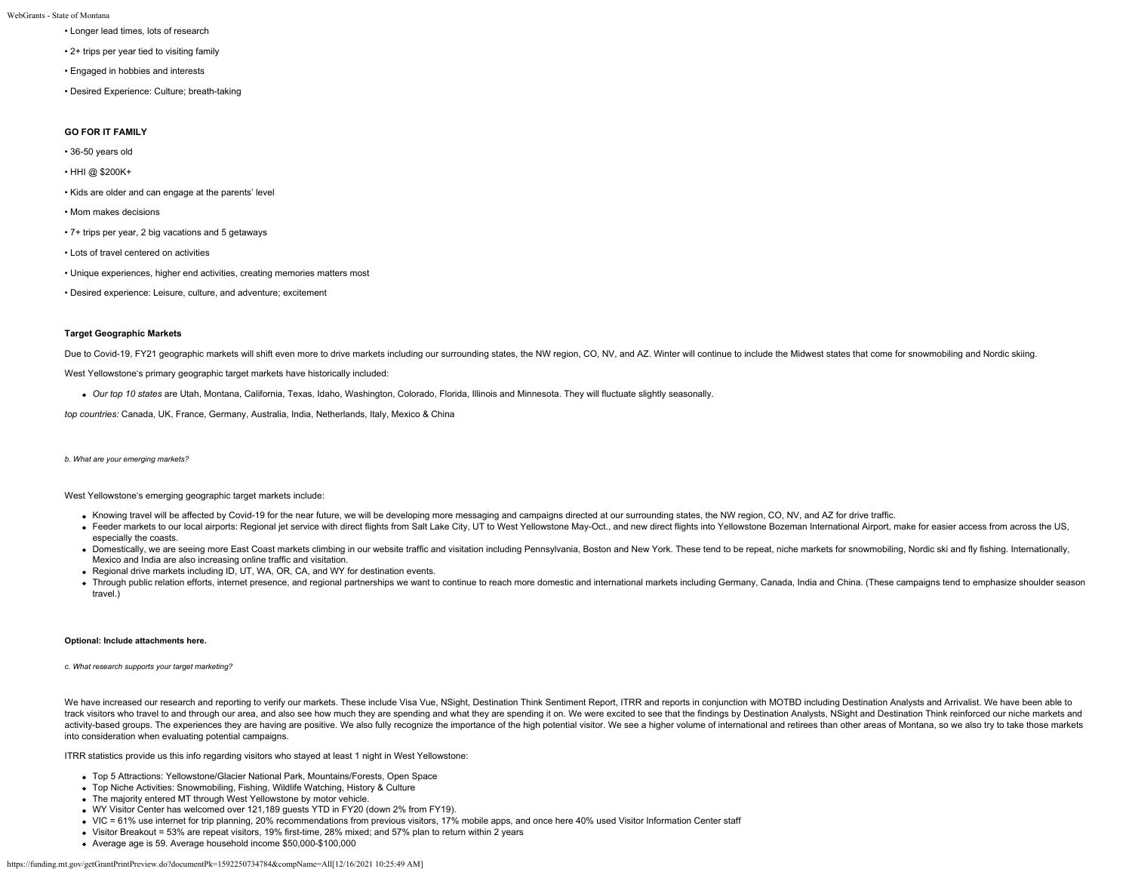- Longer lead times, lots of research
- 2+ trips per year tied to visiting family
- Engaged in hobbies and interests
- Desired Experience: Culture; breath-taking

## **GO FOR IT FAMILY**

- 36-50 years old
- HHI @ \$200K+
- Kids are older and can engage at the parents' level
- Mom makes decisions
- 7+ trips per year, 2 big vacations and 5 getaways
- Lots of travel centered on activities
- Unique experiences, higher end activities, creating memories matters most
- Desired experience: Leisure, culture, and adventure; excitement

## **Target Geographic Markets**

Due to Covid-19, FY21 geographic markets will shift even more to drive markets including our surrounding states, the NW region, CO, NV, and AZ. Winter will continue to include the Midwest states that come for snowmobiling

West Yellowstone's primary geographic target markets have historically included:

*Our top 10 states* are Utah, Montana, California, Texas, Idaho, Washington, Colorado, Florida, Illinois and Minnesota. They will fluctuate slightly seasonally.

*top countries:* Canada, UK, France, Germany, Australia, India, Netherlands, Italy, Mexico & China

*b. What are your emerging markets?*

West Yellowstone's emerging geographic target markets include:

- Knowing travel will be affected by Covid-19 for the near future, we will be developing more messaging and campaigns directed at our surrounding states, the NW region, CO, NV, and AZ for drive traffic.
- . Feeder markets to our local airports: Regional jet service with direct flights from Salt Lake City, UT to West Yellowstone May-Oct., and new direct flights into Yellowstone Bozeman International Airport, make for easier especially the coasts.
- . Domestically, we are seeing more East Coast markets climbing in our website traffic and visitation including Pennsylvania, Boston and New York. These tend to be repeat, niche markets for snowmobiling, Nordic ski and fly Mexico and India are also increasing online traffic and visitation.
- Regional drive markets including ID, UT, WA, OR, CA, and WY for destination events.
- . Through public relation efforts, internet presence, and regional partnerships we want to continue to reach more domestic and international markets including Germany, Canada, India and China. (These campaigns tend to emph travel.)

## **Optional: Include attachments here.**

## *c. What research supports your target marketing?*

We have increased our research and reporting to verify our markets. These include Visa Vue. NSight, Destination Think Sentiment Report. ITRR and reports in conjunction with MOTBD including Destination Analysts and Arrivali track visitors who travel to and through our area, and also see how much they are spending and what they are spending it on. We were excited to see that the findings by Destination Analysts, NSight and Destination Think re activity-based groups. The experiences they are having are positive. We also fully recognize the importance of the high potential visitor. We see a higher volume of international and retirees than other areas of Montana, s into consideration when evaluating potential campaigns.

ITRR statistics provide us this info regarding visitors who stayed at least 1 night in West Yellowstone:

- Top 5 Attractions: Yellowstone/Glacier National Park, Mountains/Forests, Open Space
- Top Niche Activities: Snowmobiling, Fishing, Wildlife Watching, History & Culture
- The majority entered MT through West Yellowstone by motor vehicle.
- WY Visitor Center has welcomed over 121,189 guests YTD in FY20 (down 2% from FY19).
- VIC = 61% use internet for trip planning, 20% recommendations from previous visitors, 17% mobile apps, and once here 40% used Visitor Information Center staff
- Visitor Breakout = 53% are repeat visitors, 19% first-time, 28% mixed; and 57% plan to return within 2 years
- Average age is 59. Average household income \$50,000-\$100,000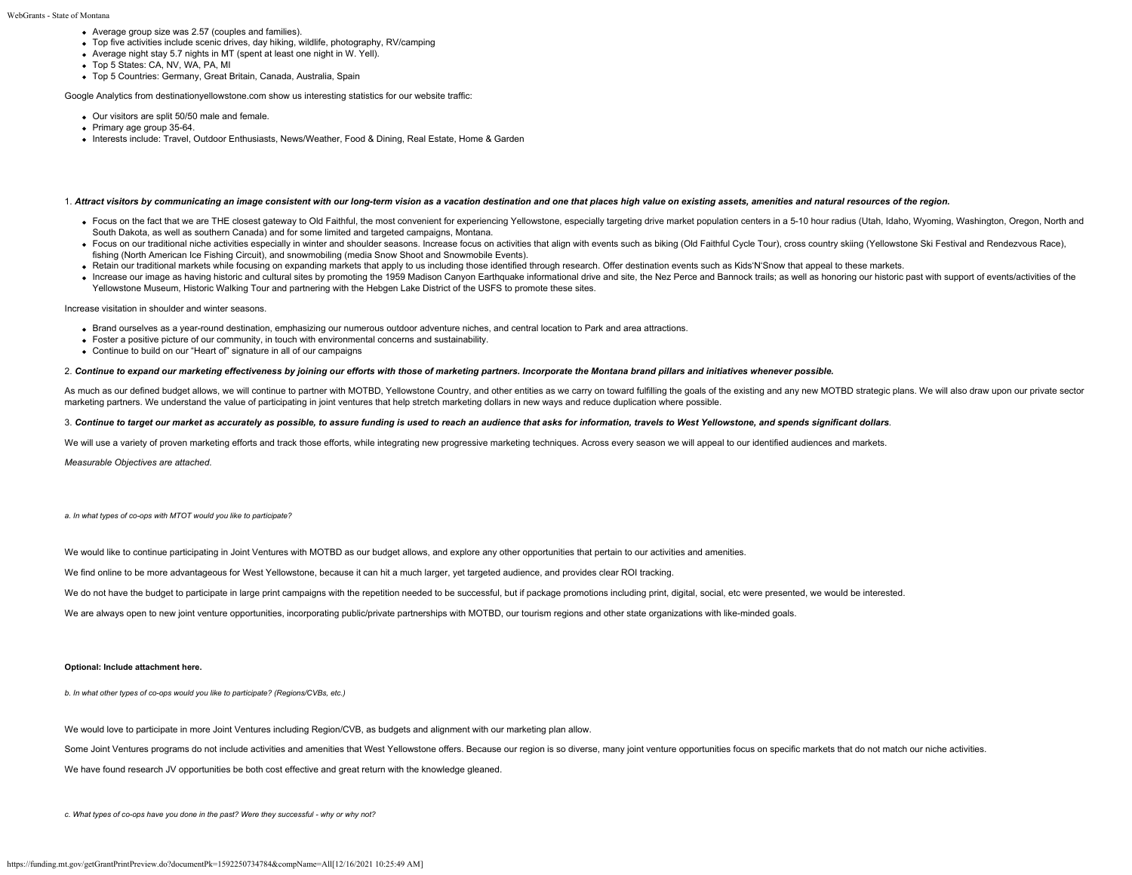- Average group size was 2.57 (couples and families).
- Top five activities include scenic drives, day hiking, wildlife, photography, RV/camping
- Average night stay 5.7 nights in MT (spent at least one night in W. Yell).
- Top 5 States: CA, NV, WA, PA, MI
- Top 5 Countries: Germany, Great Britain, Canada, Australia, Spain

Google Analytics from destinationyellowstone.com show us interesting statistics for our website traffic:

- Our visitors are split 50/50 male and female.
- Primary age group 35-64.
- Interests include: Travel, Outdoor Enthusiasts, News/Weather, Food & Dining, Real Estate, Home & Garden

#### 1. *Attract visitors by communicating an image consistent with our long-term vision as a vacation destination and one that places high value on existing assets, amenities and natural resources of the region.*

- Focus on the fact that we are THE closest gateway to Old Faithful, the most convenient for experiencing Yellowstone, especially targeting drive market population centers in a 5-10 hour radius (Utah, Idaho, Wyoming, Washi South Dakota, as well as southern Canada) and for some limited and targeted campaigns, Montana.
- . Focus on our traditional niche activities especially in winter and shoulder seasons. Increase focus on activities that align with events such as biking (Old Faithful Cycle Tour), cross country skiing (Yellowstone Ski Fes fishing (North American Ice Fishing Circuit), and snowmobiling (media Snow Shoot and Snowmobile Events).
- . Retain our traditional markets while focusing on expanding markets that apply to us including those identified through research. Offer destination events such as Kids'N'Snow that appeal to these markets.
- Increase our image as having historic and cultural sites by promoting the 1959 Madison Canyon Earthquake informational drive and site, the Nez Perce and Bannock trails; as well as honoring our historic past with support Yellowstone Museum, Historic Walking Tour and partnering with the Hebgen Lake District of the USFS to promote these sites.

Increase visitation in shoulder and winter seasons.

- Brand ourselves as a year-round destination, emphasizing our numerous outdoor adventure niches, and central location to Park and area attractions.
- Foster a positive picture of our community, in touch with environmental concerns and sustainability.
- Continue to build on our "Heart of" signature in all of our campaigns

#### 2. *Continue to expand our marketing effectiveness by joining our efforts with those of marketing partners. Incorporate the Montana brand pillars and initiatives whenever possible.*

As much as our defined budget allows, we will continue to partner with MOTBD, Yellowstone Country, and other entities as we carry on toward fulfilling the goals of the existing and any new MOTBD strategic plans. We will al marketing partners. We understand the value of participating in joint ventures that help stretch marketing dollars in new ways and reduce duplication where possible.

### 3. *Continue to target our market as accurately as possible, to assure funding is used to reach an audience that asks for information, travels to West Yellowstone, and spends significant dollars.*

We will use a variety of proven marketing efforts and track those efforts, while integrating new progressive marketing techniques. Across every season we will appeal to our identified audiences and markets.

*Measurable Objectives are attached.*

*a. In what types of co-ops with MTOT would you like to participate?*

We would like to continue participating in Joint Ventures with MOTBD as our budget allows, and explore any other opportunities that pertain to our activities and amenities.

We find online to be more advantageous for West Yellowstone, because it can hit a much larger, yet targeted audience, and provides clear ROI tracking.

We do not have the budget to participate in large print campaigns with the repetition needed to be successful, but if package promotions including print, digital, social, etc were presented, we would be interested.

We are always open to new joint venture opportunities, incorporating public/private partnerships with MOTBD, our tourism regions and other state organizations with like-minded goals.

## **Optional: Include attachment here.**

*b. In what other types of co-ops would you like to participate? (Regions/CVBs, etc.)*

We would love to participate in more Joint Ventures including Region/CVB, as budgets and alignment with our marketing plan allow.

Some Joint Ventures programs do not include activities and amenities that West Yellowstone offers. Because our region is so diverse, many joint venture opportunities focus on specific markets that do not match our niche ac

We have found research JV opportunities be both cost effective and great return with the knowledge gleaned.

*c. What types of co-ops have you done in the past? Were they successful - why or why not?*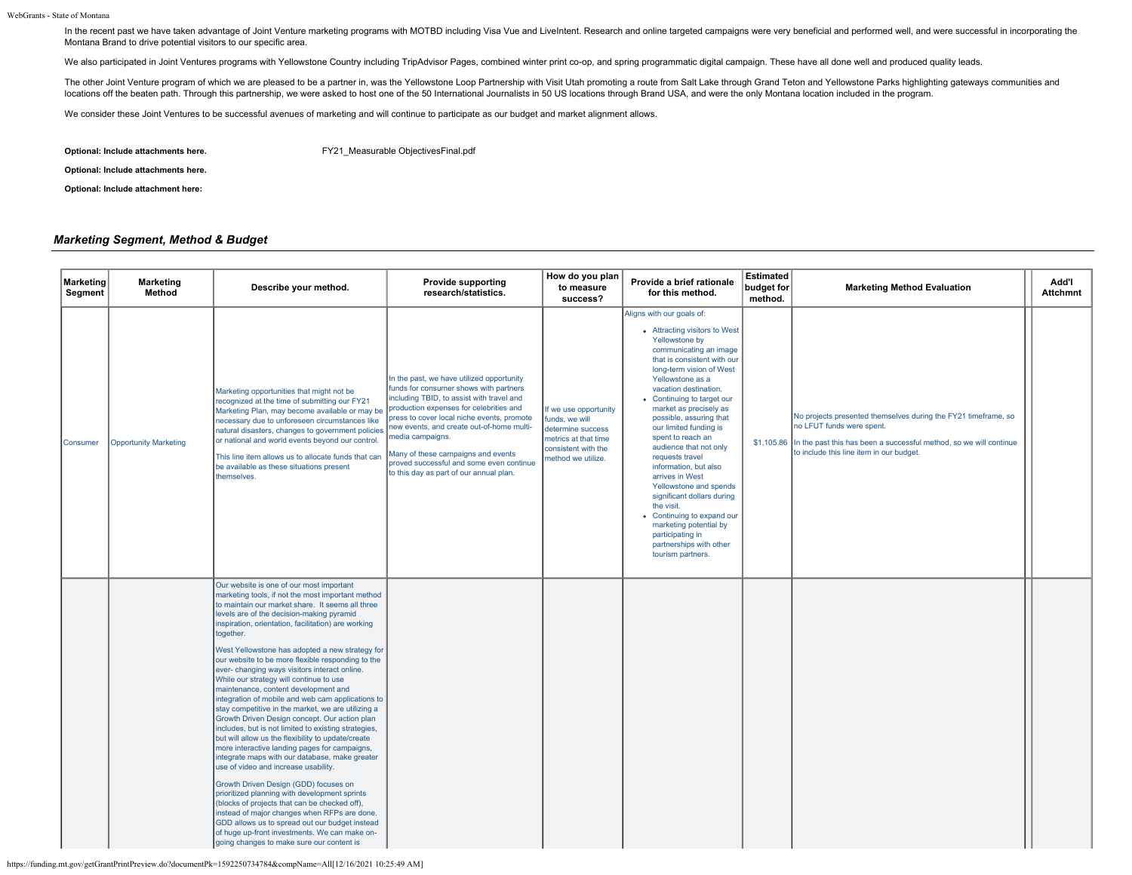In the recent past we have taken advantage of Joint Venture marketing programs with MOTBD including Visa Vue and LiveIntent. Research and online targeted campaigns were very beneficial and performed well, and were successf Montana Brand to drive potential visitors to our specific area.

We also participated in Joint Ventures programs with Yellowstone Country including TripAdvisor Pages, combined winter print co-op, and spring programmatic digital campaign. These have all done well and produced quality lea

The other Joint Venture program of which we are pleased to be a partner in, was the Yellowstone Loop Partnership with Visit Utah promoting a route from Salt Lake through Grand Teton and Yellowstone Parks highlighting gatew locations off the beaten path. Through this partnership, we were asked to host one of the 50 International Journalists in 50 US locations through Brand USA, and were the only Montana location included in the program.

We consider these Joint Ventures to be successful avenues of marketing and will continue to participate as our budget and market alignment allows.

**Optional: Include attachments here.** FY21 Measurable ObjectivesFinal.pdf

**Optional: Include attachments here.**

**Optional: Include attachment here:**

## *Marketing Segment, Method & Budget*

| Marketing<br>Segment | <b>Marketing</b><br>Method   | Describe your method.                                                                                                                                                                                                                                                                                                                                                                                                                                                                                                                                                                                                                                                                                                                                                                                                                                                                                                                                                                                                                                                                                                                                                                                                                                                          | <b>Provide supporting</b><br>research/statistics.                                                                                                                                                                                                                                                                                                                                                                       | How do you plan<br>to measure<br>success?                                                                                         | Provide a brief rationale<br>for this method.                                                                                                                                                                                                                                                                                                                                                                                                                                                                                                                                                                                               | <b>Estimated</b><br>budget for<br>method. | <b>Marketing Method Evaluation</b>                                                                                                                                                                                       | <b>Ndd'l</b><br><b>Attchmnt</b> |
|----------------------|------------------------------|--------------------------------------------------------------------------------------------------------------------------------------------------------------------------------------------------------------------------------------------------------------------------------------------------------------------------------------------------------------------------------------------------------------------------------------------------------------------------------------------------------------------------------------------------------------------------------------------------------------------------------------------------------------------------------------------------------------------------------------------------------------------------------------------------------------------------------------------------------------------------------------------------------------------------------------------------------------------------------------------------------------------------------------------------------------------------------------------------------------------------------------------------------------------------------------------------------------------------------------------------------------------------------|-------------------------------------------------------------------------------------------------------------------------------------------------------------------------------------------------------------------------------------------------------------------------------------------------------------------------------------------------------------------------------------------------------------------------|-----------------------------------------------------------------------------------------------------------------------------------|---------------------------------------------------------------------------------------------------------------------------------------------------------------------------------------------------------------------------------------------------------------------------------------------------------------------------------------------------------------------------------------------------------------------------------------------------------------------------------------------------------------------------------------------------------------------------------------------------------------------------------------------|-------------------------------------------|--------------------------------------------------------------------------------------------------------------------------------------------------------------------------------------------------------------------------|---------------------------------|
| <b>Consumer</b>      | <b>Opportunity Marketing</b> | Marketing opportunities that might not be<br>recognized at the time of submitting our FY21<br>Marketing Plan, may become available or may be<br>necessary due to unforeseen circumstances like<br>natural disasters, changes to government policies<br>or national and world events beyond our control.<br>This line item allows us to allocate funds that can<br>be available as these situations present<br>themselves.                                                                                                                                                                                                                                                                                                                                                                                                                                                                                                                                                                                                                                                                                                                                                                                                                                                      | In the past, we have utilized opportunity<br>funds for consumer shows with partners<br>including TBID, to assist with travel and<br>production expenses for celebrities and<br>press to cover local niche events, promote<br>new events, and create out-of-home multi-<br>media campaigns.<br>Many of these campaigns and events<br>proved successful and some even continue<br>to this day as part of our annual plan. | If we use opportunity<br>funds, we will<br>determine success<br>metrics at that time<br>consistent with the<br>method we utilize. | Aligns with our goals of:<br>• Attracting visitors to West<br>Yellowstone by<br>communicating an image<br>that is consistent with our<br>long-term vision of West<br>Yellowstone as a<br>vacation destination.<br>• Continuing to target our<br>market as precisely as<br>possible, assuring that<br>our limited funding is<br>spent to reach an<br>audience that not only<br>requests travel<br>information, but also<br>arrives in West<br>Yellowstone and spends<br>significant dollars during<br>the visit.<br>• Continuing to expand our<br>marketing potential by<br>participating in<br>partnerships with other<br>tourism partners. |                                           | No projects presented themselves during the FY21 timeframe, so<br>no LFUT funds were spent.<br>\$1,105.86 In the past this has been a successful method, so we will continue<br>to include this line item in our budget. |                                 |
|                      |                              | Our website is one of our most important<br>marketing tools, if not the most important method<br>to maintain our market share. It seems all three<br>levels are of the decision-making pyramid<br>inspiration, orientation, facilitation) are working<br>together.<br>West Yellowstone has adopted a new strategy for<br>our website to be more flexible responding to the<br>ever- changing ways visitors interact online.<br>While our strategy will continue to use<br>maintenance, content development and<br>integration of mobile and web cam applications to<br>stay competitive in the market, we are utilizing a<br>Growth Driven Design concept. Our action plan<br>includes, but is not limited to existing strategies,<br>but will allow us the flexibility to update/create<br>more interactive landing pages for campaigns,<br>integrate maps with our database, make greater<br>use of video and increase usability.<br>Growth Driven Design (GDD) focuses on<br>prioritized planning with development sprints<br>(blocks of projects that can be checked off),<br>instead of major changes when RFPs are done.<br>GDD allows us to spread out our budget instead<br>of huge up-front investments. We can make on-<br>going changes to make sure our content is |                                                                                                                                                                                                                                                                                                                                                                                                                         |                                                                                                                                   |                                                                                                                                                                                                                                                                                                                                                                                                                                                                                                                                                                                                                                             |                                           |                                                                                                                                                                                                                          |                                 |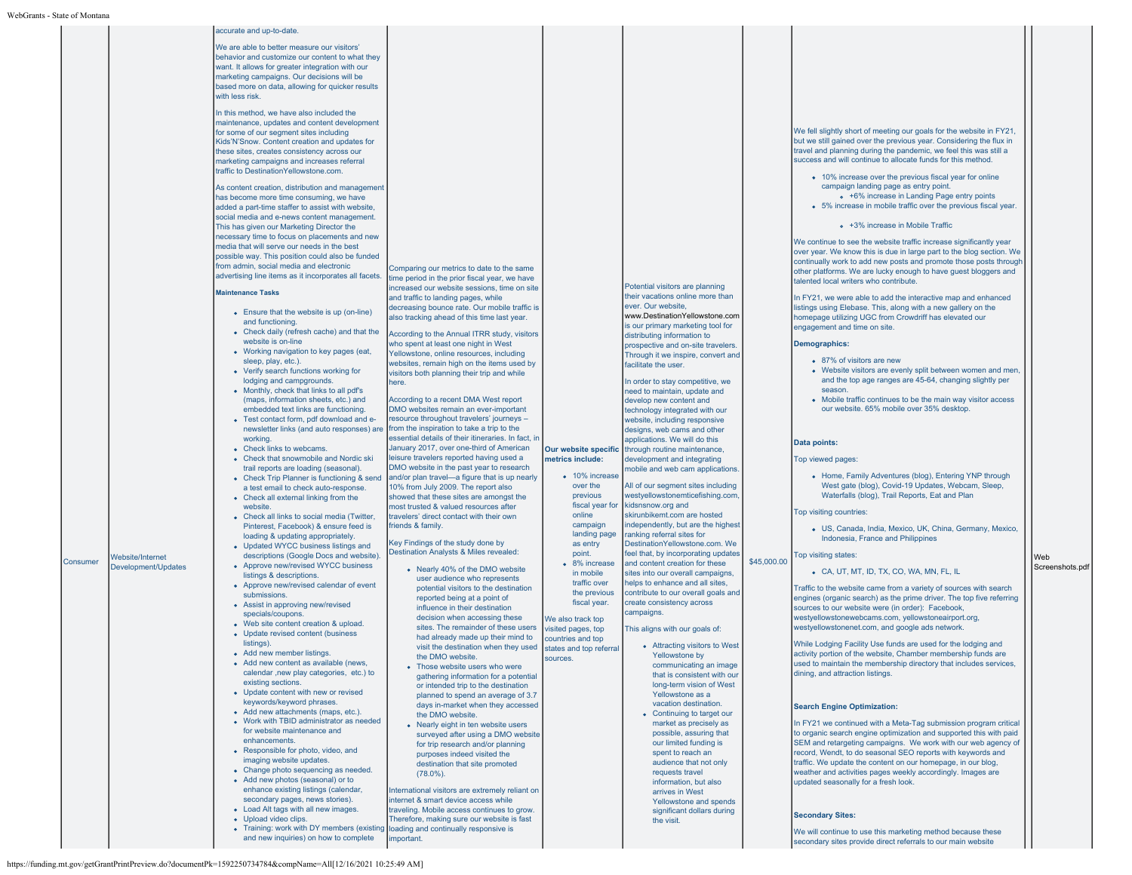|          |                         | accurate and up-to-date                                                                          |                                                                                         |                                         |                                                                      |             |                                                                                                                                            |                 |
|----------|-------------------------|--------------------------------------------------------------------------------------------------|-----------------------------------------------------------------------------------------|-----------------------------------------|----------------------------------------------------------------------|-------------|--------------------------------------------------------------------------------------------------------------------------------------------|-----------------|
|          |                         | We are able to better measure our visitors'                                                      |                                                                                         |                                         |                                                                      |             |                                                                                                                                            |                 |
|          |                         | behavior and customize our content to what they                                                  |                                                                                         |                                         |                                                                      |             |                                                                                                                                            |                 |
|          |                         | want. It allows for greater integration with our                                                 |                                                                                         |                                         |                                                                      |             |                                                                                                                                            |                 |
|          |                         | marketing campaigns. Our decisions will be                                                       |                                                                                         |                                         |                                                                      |             |                                                                                                                                            |                 |
|          |                         | based more on data, allowing for quicker results                                                 |                                                                                         |                                         |                                                                      |             |                                                                                                                                            |                 |
|          |                         | with less risk.                                                                                  |                                                                                         |                                         |                                                                      |             |                                                                                                                                            |                 |
|          |                         | In this method, we have also included the                                                        |                                                                                         |                                         |                                                                      |             |                                                                                                                                            |                 |
|          |                         | maintenance, updates and content development                                                     |                                                                                         |                                         |                                                                      |             |                                                                                                                                            |                 |
|          |                         | for some of our segment sites including                                                          |                                                                                         |                                         |                                                                      |             | We fell slightly short of meeting our goals for the website in FY21,                                                                       |                 |
|          |                         | Kids'N'Snow. Content creation and updates for                                                    |                                                                                         |                                         |                                                                      |             | but we still gained over the previous year. Considering the flux in                                                                        |                 |
|          |                         | these sites, creates consistency across our                                                      |                                                                                         |                                         |                                                                      |             | travel and planning during the pandemic, we feel this was still a<br>success and will continue to allocate funds for this method.          |                 |
|          |                         | marketing campaigns and increases referral<br>traffic to DestinationYellowstone.com.             |                                                                                         |                                         |                                                                      |             |                                                                                                                                            |                 |
|          |                         |                                                                                                  |                                                                                         |                                         |                                                                      |             | • 10% increase over the previous fiscal year for online                                                                                    |                 |
|          |                         | As content creation, distribution and management                                                 |                                                                                         |                                         |                                                                      |             | campaign landing page as entry point.                                                                                                      |                 |
|          |                         | has become more time consuming, we have                                                          |                                                                                         |                                         |                                                                      |             | • +6% increase in Landing Page entry points<br>• 5% increase in mobile traffic over the previous fiscal year.                              |                 |
|          |                         | added a part-time staffer to assist with website,<br>social media and e-news content management. |                                                                                         |                                         |                                                                      |             |                                                                                                                                            |                 |
|          |                         | This has given our Marketing Director the                                                        |                                                                                         |                                         |                                                                      |             | • +3% increase in Mobile Traffic                                                                                                           |                 |
|          |                         | necessary time to focus on placements and new                                                    |                                                                                         |                                         |                                                                      |             |                                                                                                                                            |                 |
|          |                         | media that will serve our needs in the best                                                      |                                                                                         |                                         |                                                                      |             | We continue to see the website traffic increase significantly year<br>over year. We know this is due in large part to the blog section. We |                 |
|          |                         | possible way. This position could also be funded                                                 |                                                                                         |                                         |                                                                      |             | continually work to add new posts and promote those posts through                                                                          |                 |
|          |                         | from admin, social media and electronic                                                          | Comparing our metrics to date to the same                                               |                                         |                                                                      |             | other platforms. We are lucky enough to have guest bloggers and                                                                            |                 |
|          |                         | advertising line items as it incorporates all facets.                                            | time period in the prior fiscal year, we have                                           |                                         |                                                                      |             | talented local writers who contribute.                                                                                                     |                 |
|          |                         | <b>Maintenance Tasks</b>                                                                         | increased our website sessions, time on site                                            |                                         | Potential visitors are planning<br>their vacations online more than  |             |                                                                                                                                            |                 |
|          |                         |                                                                                                  | and traffic to landing pages, while<br>decreasing bounce rate. Our mobile traffic is    |                                         | ever. Our website,                                                   |             | In FY21, we were able to add the interactive map and enhanced<br>listings using Elebase. This, along with a new gallery on the             |                 |
|          |                         | • Ensure that the website is up (on-line)                                                        | also tracking ahead of this time last year.                                             |                                         | www.DestinationYellowstone.com                                       |             | homepage utilizing UGC from Crowdriff has elevated our                                                                                     |                 |
|          |                         | and functioning                                                                                  |                                                                                         |                                         | is our primary marketing tool for                                    |             | engagement and time on site.                                                                                                               |                 |
|          |                         | • Check daily (refresh cache) and that the<br>website is on-line                                 | According to the Annual ITRR study, visitors                                            |                                         | distributing information to                                          |             |                                                                                                                                            |                 |
|          |                         | • Working navigation to key pages (eat,                                                          | who spent at least one night in West<br>Yellowstone, online resources, including        |                                         | prospective and on-site travelers.                                   |             | <b>Demographics:</b>                                                                                                                       |                 |
|          |                         | sleep, play, etc.).                                                                              | websites, remain high on the items used by                                              |                                         | Through it we inspire, convert and<br>facilitate the user.           |             | • 87% of visitors are new                                                                                                                  |                 |
|          |                         | • Verify search functions working for                                                            | visitors both planning their trip and while                                             |                                         |                                                                      |             | • Website visitors are evenly split between women and men,                                                                                 |                 |
|          |                         | lodging and campgrounds.                                                                         | here.                                                                                   |                                         | In order to stay competitive, we                                     |             | and the top age ranges are 45-64, changing slightly per                                                                                    |                 |
|          |                         | • Monthly, check that links to all pdf's                                                         | According to a recent DMA West report                                                   |                                         | need to maintain, update and                                         |             | season.<br>• Mobile traffic continues to be the main way visitor access                                                                    |                 |
|          |                         | (maps, information sheets, etc.) and<br>embedded text links are functioning.                     | DMO websites remain an ever-important                                                   |                                         | develop new content and<br>technology integrated with our            |             | our website. 65% mobile over 35% desktop.                                                                                                  |                 |
|          |                         | • Test contact form, pdf download and e-                                                         | resource throughout travelers' journeys -                                               |                                         | website, including responsive                                        |             |                                                                                                                                            |                 |
|          |                         | newsletter links (and auto responses) are from the inspiration to take a trip to the             |                                                                                         |                                         | designs, web cams and other                                          |             |                                                                                                                                            |                 |
|          |                         | working.                                                                                         | essential details of their itineraries. In fact, ir                                     |                                         | applications. We will do this                                        |             | Data points:                                                                                                                               |                 |
|          |                         | • Check links to webcams.                                                                        | January 2017, over one-third of American                                                | Our website specific                    | through routine maintenance,                                         |             |                                                                                                                                            |                 |
|          |                         | • Check that snowmobile and Nordic ski                                                           | leisure travelers reported having used a<br>DMO website in the past year to research    | metrics include:                        | development and integrating                                          |             | Top viewed pages:                                                                                                                          |                 |
|          |                         | trail reports are loading (seasonal)<br>• Check Trip Planner is functioning & send               | and/or plan travel-a figure that is up nearly                                           | • 10% increase                          | mobile and web cam applications.                                     |             | • Home, Family Adventures (blog), Entering YNP through                                                                                     |                 |
|          |                         | a test email to check auto-response.                                                             | 10% from July 2009. The report also                                                     | over the                                | All of our segment sites including                                   |             | West gate (blog), Covid-19 Updates, Webcam, Sleep,                                                                                         |                 |
|          |                         | • Check all external linking from the                                                            | showed that these sites are amongst the                                                 | previous                                | westyellowstonemticefishing.com,                                     |             | Waterfalls (blog), Trail Reports, Eat and Plan                                                                                             |                 |
|          |                         | website.                                                                                         | most trusted & valued resources after                                                   | fiscal year for                         | kidsnsnow.org and                                                    |             | Top visiting countries:                                                                                                                    |                 |
|          |                         | • Check all links to social media (Twitter,                                                      | travelers' direct contact with their own                                                | online<br>campaign                      | skirunbikemt.com are hosted<br>independently, but are the highest    |             |                                                                                                                                            |                 |
|          |                         | Pinterest, Facebook) & ensure feed is<br>loading & updating appropriately.                       | friends & family.                                                                       | landing page                            | ranking referral sites for                                           |             | · US, Canada, India, Mexico, UK, China, Germany, Mexico,                                                                                   |                 |
|          |                         | • Updated WYCC business listings and                                                             | Key Findings of the study done by                                                       | as entry                                | DestinationYellowstone.com. We                                       |             | Indonesia, France and Philippines                                                                                                          |                 |
|          | <b>Vebsite/Internet</b> | descriptions (Google Docs and website)                                                           | Destination Analysts & Miles revealed:                                                  | point.                                  | feel that, by incorporating updates                                  |             | Top visiting states:                                                                                                                       | Web             |
| Consumer | Development/Updates     | • Approve new/revised WYCC business                                                              | • Nearly 40% of the DMO website                                                         | • 8% increase                           | and content creation for these                                       | \$45,000.00 | • CA, UT, MT, ID, TX, CO, WA, MN, FL, IL                                                                                                   | Screenshots.pdf |
|          |                         | listings & descriptions.                                                                         | user audience who represents                                                            | in mobile<br>traffic over               | sites into our overall campaigns,<br>helps to enhance and all sites, |             |                                                                                                                                            |                 |
|          |                         | • Approve new/revised calendar of event<br>submissions.                                          | potential visitors to the destination                                                   | the previous                            | contribute to our overall goals and                                  |             | Traffic to the website came from a variety of sources with search                                                                          |                 |
|          |                         | • Assist in approving new/revised                                                                | reported being at a point of                                                            | fiscal year.                            | create consistency across                                            |             | engines (organic search) as the prime driver. The top five referring                                                                       |                 |
|          |                         | specials/coupons.                                                                                | influence in their destination<br>decision when accessing these                         |                                         | campaigns.                                                           |             | sources to our website were (in order): Facebook,                                                                                          |                 |
|          |                         | • Web site content creation & upload.                                                            | sites. The remainder of these users                                                     | We also track top<br>visited pages, top | This aligns with our goals of:                                       |             | westyellowstonewebcams.com, yellowstoneairport.org,<br>westyellowstonenet.com, and google ads network.                                     |                 |
|          |                         | • Update revised content (business                                                               | had already made up their mind to                                                       | countries and top                       |                                                                      |             |                                                                                                                                            |                 |
|          |                         | listings).                                                                                       | visit the destination when they used                                                    | states and top referral                 | • Attracting visitors to West                                        |             | While Lodging Facility Use funds are used for the lodging and                                                                              |                 |
|          |                         | • Add new member listings.<br>• Add new content as available (news,                              | the DMO website.                                                                        | sources.                                | Yellowstone by                                                       |             | activity portion of the website, Chamber membership funds are                                                                              |                 |
|          |                         | calendar , new play categories, etc.) to                                                         | • Those website users who were                                                          |                                         | communicating an image                                               |             | used to maintain the membership directory that includes services,<br>dining, and attraction listings.                                      |                 |
|          |                         | existing sections.                                                                               | gathering information for a potential<br>or intended trip to the destination            |                                         | that is consistent with our<br>long-term vision of West              |             |                                                                                                                                            |                 |
|          |                         | • Update content with new or revised                                                             | planned to spend an average of 3.7                                                      |                                         | Yellowstone as a                                                     |             |                                                                                                                                            |                 |
|          |                         | keywords/keyword phrases.                                                                        | days in-market when they accessed                                                       |                                         | vacation destination.                                                |             | <b>Search Engine Optimization:</b>                                                                                                         |                 |
|          |                         | • Add new attachments (maps, etc.).                                                              | the DMO website.                                                                        |                                         | • Continuing to target our                                           |             |                                                                                                                                            |                 |
|          |                         | • Work with TBID administrator as needed<br>for website maintenance and                          | • Nearly eight in ten website users                                                     |                                         | market as precisely as                                               |             | In FY21 we continued with a Meta-Tag submission program critical                                                                           |                 |
|          |                         | enhancements.                                                                                    | surveyed after using a DMO website                                                      |                                         | possible, assuring that                                              |             | to organic search engine optimization and supported this with paid                                                                         |                 |
|          |                         | • Responsible for photo, video, and                                                              | for trip research and/or planning<br>purposes indeed visited the                        |                                         | our limited funding is<br>spent to reach an                          |             | SEM and retargeting campaigns. We work with our web agency of<br>record, Wendt, to do seasonal SEO reports with keywords and               |                 |
|          |                         | imaging website updates.                                                                         | destination that site promoted                                                          |                                         | audience that not only                                               |             | traffic. We update the content on our homepage, in our blog,                                                                               |                 |
|          |                         | • Change photo sequencing as needed.                                                             | $(78.0\%)$ .                                                                            |                                         | requests travel                                                      |             | weather and activities pages weekly accordingly. Images are                                                                                |                 |
|          |                         | • Add new photos (seasonal) or to<br>enhance existing listings (calendar,                        |                                                                                         |                                         | information, but also                                                |             | updated seasonally for a fresh look.                                                                                                       |                 |
|          |                         | secondary pages, news stories).                                                                  | International visitors are extremely reliant on<br>internet & smart device access while |                                         | arrives in West                                                      |             |                                                                                                                                            |                 |
|          |                         | • Load Alt tags with all new images.                                                             | traveling. Mobile access continues to grow.                                             |                                         | Yellowstone and spends<br>significant dollars during                 |             |                                                                                                                                            |                 |
|          |                         | • Upload video clips.                                                                            | Therefore, making sure our website is fast                                              |                                         | the visit.                                                           |             | <b>Secondary Sites:</b>                                                                                                                    |                 |
|          |                         | • Training: work with DY members (existing                                                       | loading and continually responsive is                                                   |                                         |                                                                      |             | We will continue to use this marketing method because these                                                                                |                 |
|          |                         | and new inquiries) on how to complete                                                            | important.                                                                              |                                         |                                                                      |             | secondary sites provide direct referrals to our main website                                                                               |                 |
|          |                         |                                                                                                  |                                                                                         |                                         |                                                                      |             |                                                                                                                                            |                 |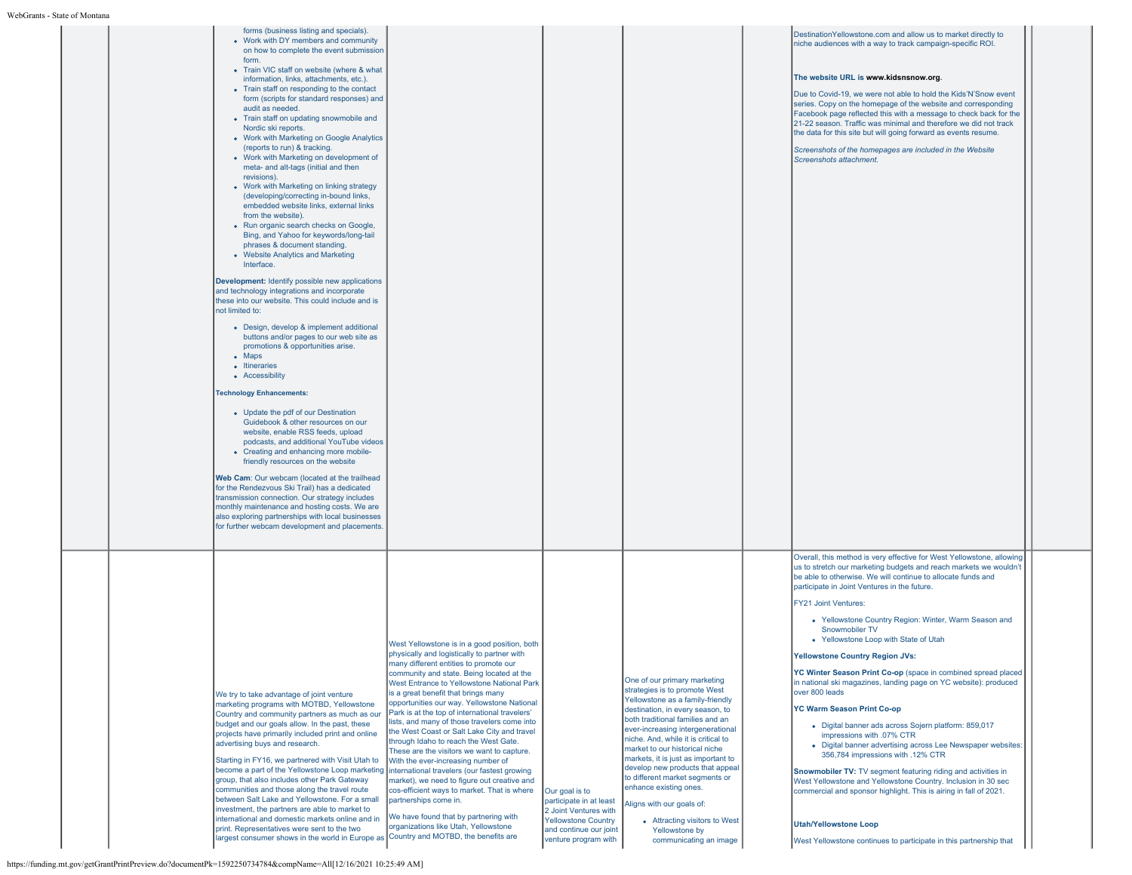| lontana |                                                                                                                                                                                                                                                                                                                                                                                                                                                                                                                                                                                                                                                                                                                                                                                                                                                                                                                                                                                                                                                                                                                                                                                                                                                                                                                                                                                                                                                                                                                                                                                                                                                                                                                                                                                                                                                                                  |                                                                                                                                                                                                                                                                                                                                                                                                                                                                                                                                                                                                                                                                                                                                                                                                                                                     |                                                                                                                                                    |                                                                                                                                                                                                                                                                                                                                                                                                                                                                                                                                           |                                                                                                                                                                                                                                                                                                                                                                                                                                                                                                                                                                                                                                                                                                                                                                                                                                                                                                                                                                                                                                                                                                                                                    |  |
|---------|----------------------------------------------------------------------------------------------------------------------------------------------------------------------------------------------------------------------------------------------------------------------------------------------------------------------------------------------------------------------------------------------------------------------------------------------------------------------------------------------------------------------------------------------------------------------------------------------------------------------------------------------------------------------------------------------------------------------------------------------------------------------------------------------------------------------------------------------------------------------------------------------------------------------------------------------------------------------------------------------------------------------------------------------------------------------------------------------------------------------------------------------------------------------------------------------------------------------------------------------------------------------------------------------------------------------------------------------------------------------------------------------------------------------------------------------------------------------------------------------------------------------------------------------------------------------------------------------------------------------------------------------------------------------------------------------------------------------------------------------------------------------------------------------------------------------------------------------------------------------------------|-----------------------------------------------------------------------------------------------------------------------------------------------------------------------------------------------------------------------------------------------------------------------------------------------------------------------------------------------------------------------------------------------------------------------------------------------------------------------------------------------------------------------------------------------------------------------------------------------------------------------------------------------------------------------------------------------------------------------------------------------------------------------------------------------------------------------------------------------------|----------------------------------------------------------------------------------------------------------------------------------------------------|-------------------------------------------------------------------------------------------------------------------------------------------------------------------------------------------------------------------------------------------------------------------------------------------------------------------------------------------------------------------------------------------------------------------------------------------------------------------------------------------------------------------------------------------|----------------------------------------------------------------------------------------------------------------------------------------------------------------------------------------------------------------------------------------------------------------------------------------------------------------------------------------------------------------------------------------------------------------------------------------------------------------------------------------------------------------------------------------------------------------------------------------------------------------------------------------------------------------------------------------------------------------------------------------------------------------------------------------------------------------------------------------------------------------------------------------------------------------------------------------------------------------------------------------------------------------------------------------------------------------------------------------------------------------------------------------------------|--|
|         | forms (business listing and specials).<br>• Work with DY members and community<br>on how to complete the event submission<br>form.<br>• Train VIC staff on website (where & what<br>information, links, attachments, etc.).<br>• Train staff on responding to the contact<br>form (scripts for standard responses) and<br>audit as needed.<br>• Train staff on updating snowmobile and<br>Nordic ski reports.<br>• Work with Marketing on Google Analytics<br>(reports to run) & tracking.<br>• Work with Marketing on development of<br>meta- and alt-tags (initial and then<br>revisions).<br>• Work with Marketing on linking strategy<br>(developing/correcting in-bound links,<br>embedded website links, external links<br>from the website).<br>• Run organic search checks on Google,<br>Bing, and Yahoo for keywords/long-tail<br>phrases & document standing.<br>• Website Analytics and Marketing<br>Interface.<br>Development: Identify possible new applications<br>and technology integrations and incorporate<br>these into our website. This could include and is<br>not limited to:<br>• Design, develop & implement additional<br>buttons and/or pages to our web site as<br>promotions & opportunities arise.<br>$\bullet$ Maps<br>• Itineraries<br>• Accessibility<br><b>Technology Enhancements:</b><br>• Update the pdf of our Destination<br>Guidebook & other resources on our<br>website, enable RSS feeds, upload<br>podcasts, and additional YouTube videos<br>• Creating and enhancing more mobile-<br>friendly resources on the website<br>Web Cam: Our webcam (located at the trailhead<br>for the Rendezvous Ski Trail) has a dedicated<br>transmission connection. Our strategy includes<br>monthly maintenance and hosting costs. We are<br>also exploring partnerships with local businesses<br>for further webcam development and placements. |                                                                                                                                                                                                                                                                                                                                                                                                                                                                                                                                                                                                                                                                                                                                                                                                                                                     |                                                                                                                                                    |                                                                                                                                                                                                                                                                                                                                                                                                                                                                                                                                           | DestinationYellowstone.com and allow us to market directly to<br>niche audiences with a way to track campaign-specific ROI.<br>The website URL is www.kidsnsnow.org.<br>Due to Covid-19, we were not able to hold the Kids'N'Snow event<br>series. Copy on the homepage of the website and corresponding<br>Facebook page reflected this with a message to check back for the<br>21-22 season. Traffic was minimal and therefore we did not track<br>the data for this site but will going forward as events resume.<br>Screenshots of the homepages are included in the Website<br>Screenshots attachment.                                                                                                                                                                                                                                                                                                                                                                                                                                                                                                                                        |  |
|         | We try to take advantage of joint venture<br>marketing programs with MOTBD, Yellowstone<br>Country and community partners as much as our<br>budget and our goals allow. In the past, these<br>projects have primarily included print and online<br>advertising buys and research.<br>Starting in FY16, we partnered with Visit Utah to<br>become a part of the Yellowstone Loop marketing international travelers (our fastest growing<br>group, that also includes other Park Gateway<br>communities and those along the travel route<br>between Salt Lake and Yellowstone. For a small<br>investment, the partners are able to market to<br>international and domestic markets online and in<br>print. Representatives were sent to the two<br>largest consumer shows in the world in Europe as                                                                                                                                                                                                                                                                                                                                                                                                                                                                                                                                                                                                                                                                                                                                                                                                                                                                                                                                                                                                                                                                                | West Yellowstone is in a good position, both<br>physically and logistically to partner with<br>many different entities to promote our<br>community and state. Being located at the<br>West Entrance to Yellowstone National Park<br>is a great benefit that brings many<br>opportunities our way. Yellowstone National<br>Park is at the top of international travelers'<br>lists, and many of those travelers come into<br>the West Coast or Salt Lake City and travel<br>through Idaho to reach the West Gate.<br>These are the visitors we want to capture.<br>With the ever-increasing number of<br>market), we need to figure out creative and<br>cos-efficient ways to market. That is where<br>partnerships come in.<br>We have found that by partnering with<br>organizations like Utah, Yellowstone<br>Country and MOTBD, the benefits are | Our goal is to<br>participate in at least<br>2 Joint Ventures with<br><b>Yellowstone Country</b><br>and continue our joint<br>venture program with | One of our primary marketing<br>strategies is to promote West<br>Yellowstone as a family-friendly<br>destination, in every season, to<br>both traditional families and an<br>ever-increasing intergenerational<br>niche. And, while it is critical to<br>market to our historical niche<br>markets, it is just as important to<br>develop new products that appeal<br>to different market segments or<br>enhance existing ones.<br>Aligns with our goals of:<br>• Attracting visitors to West<br>Yellowstone by<br>communicating an image | Overall, this method is very effective for West Yellowstone, allowing<br>us to stretch our marketing budgets and reach markets we wouldn't<br>be able to otherwise. We will continue to allocate funds and<br>participate in Joint Ventures in the future.<br><b>FY21 Joint Ventures:</b><br>• Yellowstone Country Region: Winter, Warm Season and<br>Snowmobiler TV<br>• Yellowstone Loop with State of Utah<br>Yellowstone Country Region JVs:<br>YC Winter Season Print Co-op (space in combined spread placed<br>in national ski magazines, landing page on YC website): produced<br>over 800 leads<br><b>YC Warm Season Print Co-op</b><br>· Digital banner ads across Sojern platform: 859,017<br>impressions with .07% CTR<br>• Digital banner advertising across Lee Newspaper websites:<br>356,784 impressions with .12% CTR<br>Snowmobiler TV: TV segment featuring riding and activities in<br>West Yellowstone and Yellowstone Country. Inclusion in 30 sec<br>commercial and sponsor highlight. This is airing in fall of 2021.<br><b>Utah/Yellowstone Loop</b><br>West Yellowstone continues to participate in this partnership that |  |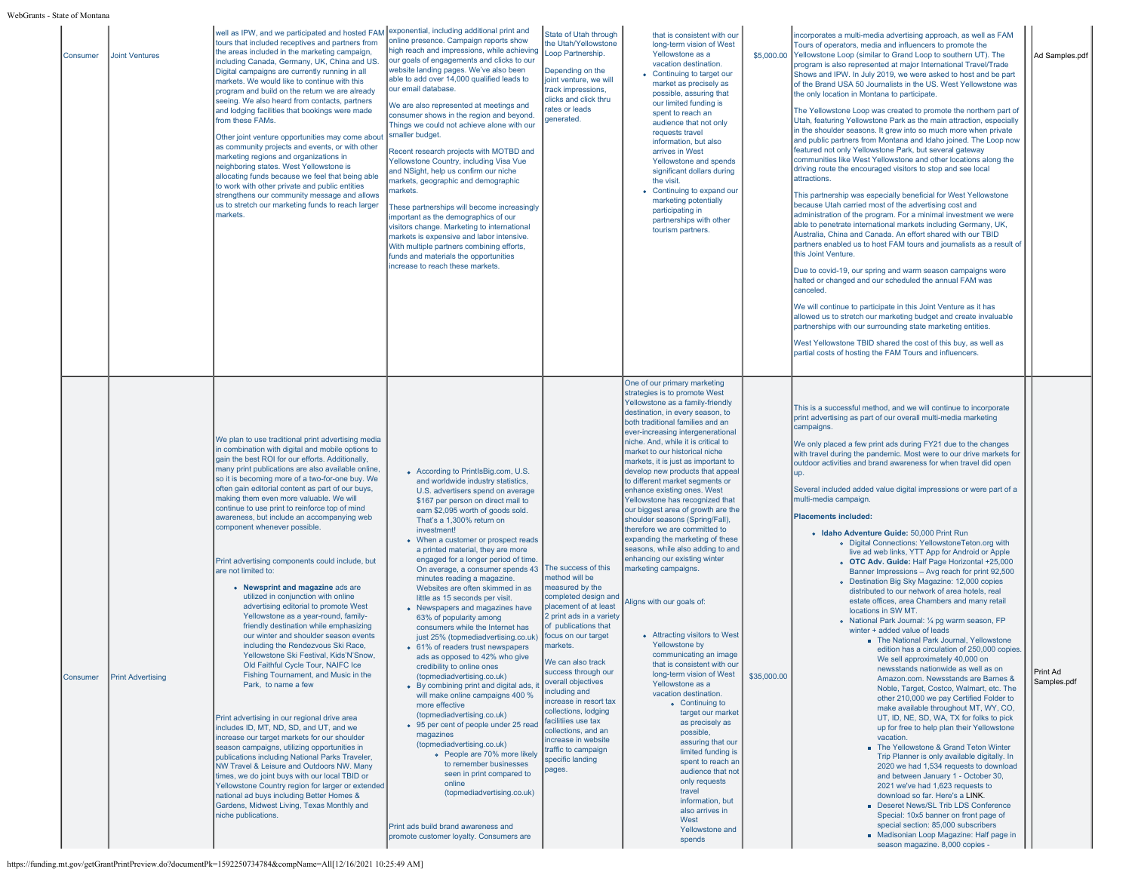| s - State of Monta |                          |                                                                                                                                                                                                                                                                                                                                                                                                                                                                                                                                                                                                                                                                                                                                                                                                                                                                                                                                                                                                                                                                                                                                                                                                                                                                                                                                                                                                                                                                                                                                        |                                                                                                                                                                                                                                                                                                                                                                                                                                                                                                                                                                                                                                                                                                                                                                                                                                                                                                                                                                                                                                                                                                                                                                                                                      |                                                                                                                                                                                                                                                                                                                                                                                                                                                                 |                                                                                                                                                                                                                                                                                                                                                                                                                                                                                                                                                                                                                                                                                                                                                                                                                                                                                                                                                                                                                                                                                                                                                                                                           |             |                                                                                                                                                                                                                                                                                                                                                                                                                                                                                                                                                                                                                                                                                                                                                                                                                                                                                                                                                                                                                                                                                                                                                                                                                                                                                                                                                                                                                                                                                                                                                                                                                                                                                                                                                                                                                                                                                                                                      |                         |
|--------------------|--------------------------|----------------------------------------------------------------------------------------------------------------------------------------------------------------------------------------------------------------------------------------------------------------------------------------------------------------------------------------------------------------------------------------------------------------------------------------------------------------------------------------------------------------------------------------------------------------------------------------------------------------------------------------------------------------------------------------------------------------------------------------------------------------------------------------------------------------------------------------------------------------------------------------------------------------------------------------------------------------------------------------------------------------------------------------------------------------------------------------------------------------------------------------------------------------------------------------------------------------------------------------------------------------------------------------------------------------------------------------------------------------------------------------------------------------------------------------------------------------------------------------------------------------------------------------|----------------------------------------------------------------------------------------------------------------------------------------------------------------------------------------------------------------------------------------------------------------------------------------------------------------------------------------------------------------------------------------------------------------------------------------------------------------------------------------------------------------------------------------------------------------------------------------------------------------------------------------------------------------------------------------------------------------------------------------------------------------------------------------------------------------------------------------------------------------------------------------------------------------------------------------------------------------------------------------------------------------------------------------------------------------------------------------------------------------------------------------------------------------------------------------------------------------------|-----------------------------------------------------------------------------------------------------------------------------------------------------------------------------------------------------------------------------------------------------------------------------------------------------------------------------------------------------------------------------------------------------------------------------------------------------------------|-----------------------------------------------------------------------------------------------------------------------------------------------------------------------------------------------------------------------------------------------------------------------------------------------------------------------------------------------------------------------------------------------------------------------------------------------------------------------------------------------------------------------------------------------------------------------------------------------------------------------------------------------------------------------------------------------------------------------------------------------------------------------------------------------------------------------------------------------------------------------------------------------------------------------------------------------------------------------------------------------------------------------------------------------------------------------------------------------------------------------------------------------------------------------------------------------------------|-------------|--------------------------------------------------------------------------------------------------------------------------------------------------------------------------------------------------------------------------------------------------------------------------------------------------------------------------------------------------------------------------------------------------------------------------------------------------------------------------------------------------------------------------------------------------------------------------------------------------------------------------------------------------------------------------------------------------------------------------------------------------------------------------------------------------------------------------------------------------------------------------------------------------------------------------------------------------------------------------------------------------------------------------------------------------------------------------------------------------------------------------------------------------------------------------------------------------------------------------------------------------------------------------------------------------------------------------------------------------------------------------------------------------------------------------------------------------------------------------------------------------------------------------------------------------------------------------------------------------------------------------------------------------------------------------------------------------------------------------------------------------------------------------------------------------------------------------------------------------------------------------------------------------------------------------------------|-------------------------|
| Consumer           | <b>Joint Ventures</b>    | well as IPW, and we participated and hosted FAM exponential, including additional print and<br>tours that included receptives and partners from<br>the areas included in the marketing campaign,<br>including Canada, Germany, UK, China and US.<br>Digital campaigns are currently running in all<br>markets. We would like to continue with this<br>program and build on the return we are already<br>seeing. We also heard from contacts, partners<br>and lodging facilities that bookings were made<br>from these FAMs.<br>Other joint venture opportunities may come about<br>as community projects and events, or with other<br>marketing regions and organizations in<br>neighboring states. West Yellowstone is<br>allocating funds because we feel that being able<br>to work with other private and public entities<br>strengthens our community message and allows<br>us to stretch our marketing funds to reach larger<br>markets.                                                                                                                                                                                                                                                                                                                                                                                                                                                                                                                                                                                         | online presence. Campaign reports show<br>high reach and impressions, while achieving<br>our goals of engagements and clicks to our<br>website landing pages. We've also been<br>able to add over 14,000 qualified leads to<br>our email database.<br>We are also represented at meetings and<br>consumer shows in the region and beyond.<br>Things we could not achieve alone with our<br>smaller budget.<br>Recent research projects with MOTBD and<br>Yellowstone Country, including Visa Vue<br>and NSight, help us confirm our niche<br>markets, geographic and demographic<br>narkets.<br>These partnerships will become increasingly<br>important as the demographics of our<br>visitors change. Marketing to international<br>markets is expensive and labor intensive.<br>With multiple partners combining efforts,<br>funds and materials the opportunities<br>increase to reach these markets.                                                                                                                                                                                                                                                                                                            | State of Utah through<br>the Utah/Yellowstone<br>Loop Partnership.<br>Depending on the<br>joint venture, we will<br>track impressions,<br>clicks and click thru<br>ates or leads<br>denerated                                                                                                                                                                                                                                                                   | that is consistent with our<br>long-term vision of West<br>Yellowstone as a<br>vacation destination.<br>• Continuing to target our<br>market as precisely as<br>possible, assuring that<br>our limited funding is<br>spent to reach an<br>audience that not only<br>requests travel<br>information, but also<br>arrives in West<br>Yellowstone and spends<br>significant dollars during<br>the visit.<br>• Continuing to expand our<br>marketing potentially<br>participating in<br>partnerships with other<br>tourism partners.                                                                                                                                                                                                                                                                                                                                                                                                                                                                                                                                                                                                                                                                          |             | incorporates a multi-media advertising approach, as well as FAM<br>Tours of operators, media and influencers to promote the<br>\$5,000.00 Yellowstone Loop (similar to Grand Loop to southern UT). The<br>program is also represented at major International Travel/Trade<br>Shows and IPW. In July 2019, we were asked to host and be part<br>of the Brand USA 50 Journalists in the US. West Yellowstone was<br>the only location in Montana to participate.<br>The Yellowstone Loop was created to promote the northern part of<br>Utah, featuring Yellowstone Park as the main attraction, especially<br>in the shoulder seasons. It grew into so much more when private<br>and public partners from Montana and Idaho joined. The Loop now<br>featured not only Yellowstone Park, but several gateway<br>communities like West Yellowstone and other locations along the<br>driving route the encouraged visitors to stop and see local<br>attractions.<br>This partnership was especially beneficial for West Yellowstone<br>because Utah carried most of the advertising cost and<br>administration of the program. For a minimal investment we were<br>able to penetrate international markets including Germany, UK,<br>Australia, China and Canada. An effort shared with our TBID<br>partners enabled us to host FAM tours and journalists as a result of<br>this Joint Venture.<br>Due to covid-19, our spring and warm season campaigns were<br>halted or changed and our scheduled the annual FAM was<br>canceled<br>We will continue to participate in this Joint Venture as it has<br>allowed us to stretch our marketing budget and create invaluable<br>partnerships with our surrounding state marketing entities.<br>West Yellowstone TBID shared the cost of this buy, as well as<br>partial costs of hosting the FAM Tours and influencers.                                                                    | Ad Samples.pdf          |
| Consumer           | <b>Print Advertising</b> | We plan to use traditional print advertising media<br>in combination with digital and mobile options to<br>gain the best ROI for our efforts. Additionally,<br>many print publications are also available online,<br>so it is becoming more of a two-for-one buy. We<br>often gain editorial content as part of our buys,<br>making them even more valuable. We will<br>continue to use print to reinforce top of mind<br>awareness, but include an accompanying web<br>component whenever possible.<br>Print advertising components could include, but<br>are not limited to:<br>• Newsprint and magazine ads are<br>utilized in conjunction with online<br>advertising editorial to promote West<br>Yellowstone as a year-round, family-<br>friendly destination while emphasizing<br>our winter and shoulder season events<br>including the Rendezvous Ski Race.<br>Yellowstone Ski Festival, Kids'N'Snow,<br>Old Faithful Cycle Tour, NAIFC Ice<br>Fishing Tournament, and Music in the<br>Park, to name a few<br>Print advertising in our regional drive area<br>includes ID, MT, ND, SD, and UT, and we<br>Increase our target markets for our shoulder<br>season campaigns, utilizing opportunities in<br>publications including National Parks Traveler,<br>NW Travel & Leisure and Outdoors NW. Many<br>times, we do joint buys with our local TBID or<br>Yellowstone Country region for larger or extended<br>national ad buys including Better Homes &<br>Gardens, Midwest Living, Texas Monthly and<br>niche publications. | • According to PrintlsBig.com, U.S.<br>and worldwide industry statistics,<br>U.S. advertisers spend on average<br>\$167 per person on direct mail to<br>earn \$2,095 worth of goods sold.<br>That's a 1,300% return on<br>investment!<br>• When a customer or prospect reads<br>a printed material, they are more<br>engaged for a longer period of time.<br>On average, a consumer spends 43<br>minutes reading a magazine.<br>Websites are often skimmed in as<br>little as 15 seconds per visit.<br>• Newspapers and magazines have<br>63% of popularity among<br>consumers while the Internet has<br>just 25% (topmediadvertising.co.uk)<br>• 61% of readers trust newspapers<br>ads as opposed to 42% who give<br>credibility to online ones<br>(topmediadvertising.co.uk)<br>• By combining print and digital ads, it<br>will make online campaigns 400 %<br>more effective<br>(topmediadvertising.co.uk)<br>• 95 per cent of people under 25 read<br>magazines<br>(topmediadvertising.co.uk)<br>• People are 70% more likely<br>to remember businesses<br>seen in print compared to<br>online<br>(topmediadvertising.co.uk)<br>Print ads build brand awareness and<br>promote customer loyalty. Consumers are | The success of this<br>method will be<br>measured by the<br>completed design and<br>placement of at least<br>2 print ads in a variety<br>of publications that<br>focus on our target<br>markets.<br>We can also track<br>success through our<br>overall objectives<br>including and<br>increase in resort tax<br>collections, lodging<br>facilitiies use tax<br>collections, and an<br>increase in website<br>traffic to campaign<br>specific landing<br>pages. | One of our primary marketing<br>strategies is to promote West<br>Yellowstone as a family-friendly<br>destination, in every season, to<br>both traditional families and an<br>ever-increasing intergenerational<br>niche. And, while it is critical to<br>market to our historical niche<br>markets, it is just as important to<br>develop new products that appeal<br>to different market segments or<br>enhance existing ones. West<br>Yellowstone has recognized that<br>our biggest area of growth are the<br>shoulder seasons (Spring/Fall),<br>therefore we are committed to<br>expanding the marketing of these<br>seasons, while also adding to and<br>enhancing our existing winter<br>marketing campaigns.<br>Aligns with our goals of:<br>• Attracting visitors to West<br>Yellowstone by<br>communicating an image<br>that is consistent with our<br>long-term vision of West<br>Yellowstone as a<br>vacation destination.<br>• Continuing to<br>target our market<br>as precisely as<br>possible,<br>assuring that our<br>limited funding is<br>spent to reach an<br>audience that not<br>only requests<br>travel<br>information, but<br>also arrives in<br>West<br>Yellowstone and<br>spends | \$35,000.00 | This is a successful method, and we will continue to incorporate<br>print advertising as part of our overall multi-media marketing<br>campaigns.<br>We only placed a few print ads during FY21 due to the changes<br>with travel during the pandemic. Most were to our drive markets for<br>outdoor activities and brand awareness for when travel did open<br>up.<br>Several included added value digital impressions or were part of a<br>multi-media campaign.<br><b>Placements included:</b><br>· Idaho Adventure Guide: 50,000 Print Run<br>o Digital Connections: YellowstoneTeton.org with<br>live ad web links, YTT App for Android or Apple<br>o OTC Adv. Guide: Half Page Horizontal +25,000<br>Banner Impressions - Avg reach for print 92,500<br>• Destination Big Sky Magazine: 12,000 copies<br>distributed to our network of area hotels, real<br>estate offices, area Chambers and many retail<br>locations in SW MT.<br>. National Park Journal: 1/4 pg warm season, FP<br>winter + added value of leads<br>• The National Park Journal, Yellowstone<br>edition has a circulation of 250,000 copies.<br>We sell approximately 40,000 on<br>newsstands nationwide as well as on<br>Amazon.com. Newsstands are Barnes &<br>Noble, Target, Costco, Walmart, etc. The<br>other 210,000 we pay Certified Folder to<br>make available throughout MT, WY, CO,<br>UT, ID, NE, SD, WA, TX for folks to pick<br>up for free to help plan their Yellowstone<br>vacation.<br>• The Yellowstone & Grand Teton Winter<br>Trip Planner is only available digitally. In<br>2020 we had 1,534 requests to download<br>and between January 1 - October 30,<br>2021 we've had 1,623 requests to<br>download so far. Here's a LINK.<br>Deseret News/SL Trib LDS Conference<br>Special: 10x5 banner on front page of<br>special section: 85,000 subscribers<br>Madisonian Loop Magazine: Half page in<br>season magazine. 8,000 copies - | Print Ad<br>Samples.pdf |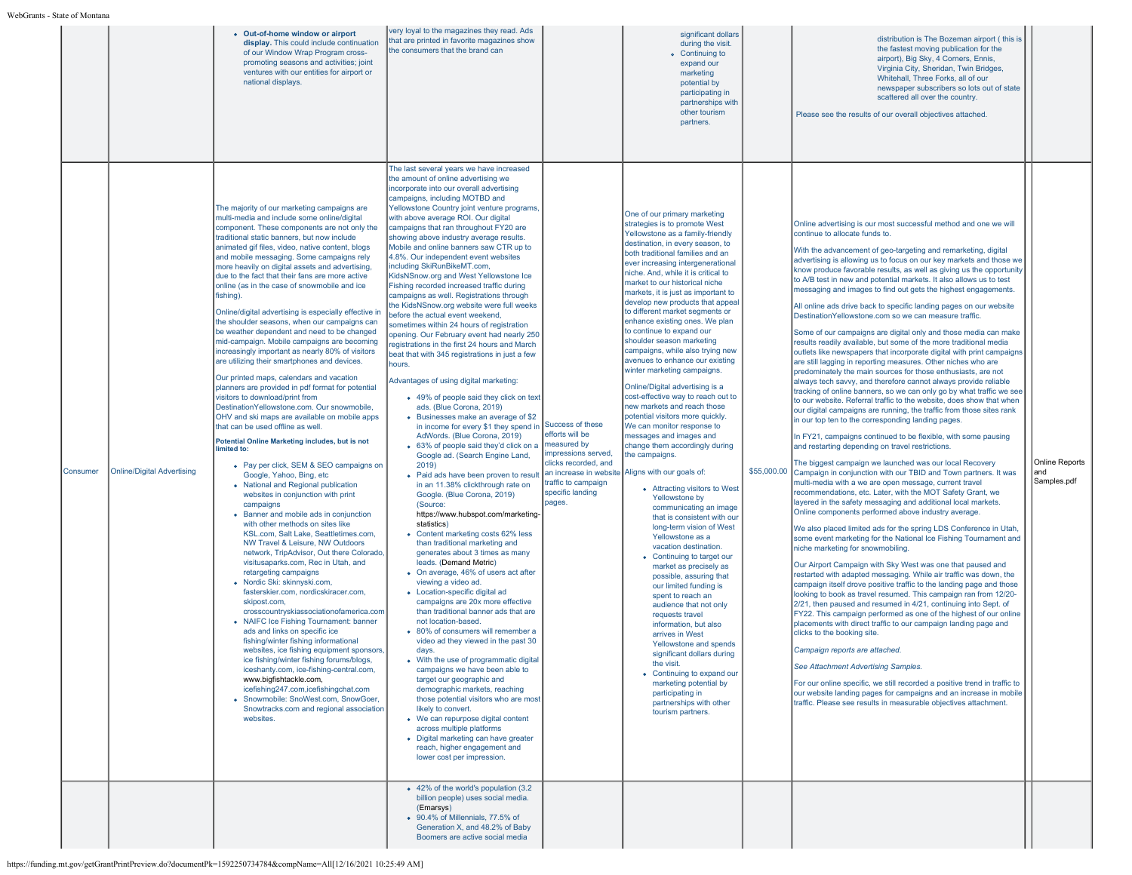|          |                                   | • Out-of-home window or airport<br>display. This could include continuation<br>of our Window Wrap Program cross-<br>promoting seasons and activities; joint<br>ventures with our entities for airport or<br>national displays.                                                                                                                                                                                                                                                                                                                                                                                                                                                                                                                                                                                                                                                                                                                                                                                                                                                                                                                                                                                                                                                                                                                                                                                                                                                                                                                                                                                                                                                                                                                                                                                                                                                                                                                                                                                                                                                                                          | very loyal to the magazines they read. Ads<br>that are printed in favorite magazines show<br>the consumers that the brand can                                                                                                                                                                                                                                                                                                                                                                                                                                                                                                                                                                                                                                                                                                                                                                                                                                                                                                                                                                                                                                                                                                                                                                                                                                                                                                                                                                                                                                                                                                                                                                                                                                                                                                                                                                                                                                                                                                                                                                                                                                                                                                                                                 |                                                                                                                                   | significant dollars<br>during the visit.<br>• Continuing to<br>expand our<br>marketing<br>potential by<br>participating in<br>partnerships with<br>other tourism<br>partners.                                                                                                                                                                                                                                                                                                                                                                                                                                                                                                                                                                                                                                                                                                                                                                                                                                                                                                                                                                                                                                                                                                                                                                                                                                                                                                      |             | distribution is The Bozeman airport (this is<br>the fastest moving publication for the<br>airport), Big Sky, 4 Corners, Ennis,<br>Virginia City, Sheridan, Twin Bridges,<br>Whitehall, Three Forks, all of our<br>newspaper subscribers so lots out of state<br>scattered all over the country.<br>Please see the results of our overall objectives attached.                                                                                                                                                                                                                                                                                                                                                                                                                                                                                                                                                                                                                                                                                                                                                                                                                                                                                                                                                                                                                                                                                                                                                                                                                                                                                                                                                                                                                                                                                                                                                                                                                                                                                                                                                                                                                                                                                                                                                                                                                                                                                                                                                                                                                                                                                                                                                                                                                                             |                                             |
|----------|-----------------------------------|-------------------------------------------------------------------------------------------------------------------------------------------------------------------------------------------------------------------------------------------------------------------------------------------------------------------------------------------------------------------------------------------------------------------------------------------------------------------------------------------------------------------------------------------------------------------------------------------------------------------------------------------------------------------------------------------------------------------------------------------------------------------------------------------------------------------------------------------------------------------------------------------------------------------------------------------------------------------------------------------------------------------------------------------------------------------------------------------------------------------------------------------------------------------------------------------------------------------------------------------------------------------------------------------------------------------------------------------------------------------------------------------------------------------------------------------------------------------------------------------------------------------------------------------------------------------------------------------------------------------------------------------------------------------------------------------------------------------------------------------------------------------------------------------------------------------------------------------------------------------------------------------------------------------------------------------------------------------------------------------------------------------------------------------------------------------------------------------------------------------------|-------------------------------------------------------------------------------------------------------------------------------------------------------------------------------------------------------------------------------------------------------------------------------------------------------------------------------------------------------------------------------------------------------------------------------------------------------------------------------------------------------------------------------------------------------------------------------------------------------------------------------------------------------------------------------------------------------------------------------------------------------------------------------------------------------------------------------------------------------------------------------------------------------------------------------------------------------------------------------------------------------------------------------------------------------------------------------------------------------------------------------------------------------------------------------------------------------------------------------------------------------------------------------------------------------------------------------------------------------------------------------------------------------------------------------------------------------------------------------------------------------------------------------------------------------------------------------------------------------------------------------------------------------------------------------------------------------------------------------------------------------------------------------------------------------------------------------------------------------------------------------------------------------------------------------------------------------------------------------------------------------------------------------------------------------------------------------------------------------------------------------------------------------------------------------------------------------------------------------------------------------------------------------|-----------------------------------------------------------------------------------------------------------------------------------|------------------------------------------------------------------------------------------------------------------------------------------------------------------------------------------------------------------------------------------------------------------------------------------------------------------------------------------------------------------------------------------------------------------------------------------------------------------------------------------------------------------------------------------------------------------------------------------------------------------------------------------------------------------------------------------------------------------------------------------------------------------------------------------------------------------------------------------------------------------------------------------------------------------------------------------------------------------------------------------------------------------------------------------------------------------------------------------------------------------------------------------------------------------------------------------------------------------------------------------------------------------------------------------------------------------------------------------------------------------------------------------------------------------------------------------------------------------------------------|-------------|-----------------------------------------------------------------------------------------------------------------------------------------------------------------------------------------------------------------------------------------------------------------------------------------------------------------------------------------------------------------------------------------------------------------------------------------------------------------------------------------------------------------------------------------------------------------------------------------------------------------------------------------------------------------------------------------------------------------------------------------------------------------------------------------------------------------------------------------------------------------------------------------------------------------------------------------------------------------------------------------------------------------------------------------------------------------------------------------------------------------------------------------------------------------------------------------------------------------------------------------------------------------------------------------------------------------------------------------------------------------------------------------------------------------------------------------------------------------------------------------------------------------------------------------------------------------------------------------------------------------------------------------------------------------------------------------------------------------------------------------------------------------------------------------------------------------------------------------------------------------------------------------------------------------------------------------------------------------------------------------------------------------------------------------------------------------------------------------------------------------------------------------------------------------------------------------------------------------------------------------------------------------------------------------------------------------------------------------------------------------------------------------------------------------------------------------------------------------------------------------------------------------------------------------------------------------------------------------------------------------------------------------------------------------------------------------------------------------------------------------------------------------------------------------------------------|---------------------------------------------|
| Consumer | <b>Online/Digital Advertising</b> | The majority of our marketing campaigns are<br>multi-media and include some online/digital<br>component. These components are not only the<br>traditional static banners, but now include<br>animated gif files, video, native content, blogs<br>and mobile messaging. Some campaigns rely<br>more heavily on digital assets and advertising,<br>due to the fact that their fans are more active<br>online (as in the case of snowmobile and ice<br>fishing).<br>Online/digital advertising is especially effective in<br>the shoulder seasons, when our campaigns can<br>be weather dependent and need to be changed<br>mid-campaign. Mobile campaigns are becoming<br>increasingly important as nearly 80% of visitors<br>are utilizing their smartphones and devices.<br>Our printed maps, calendars and vacation<br>planners are provided in pdf format for potential<br>visitors to download/print from<br>DestinationYellowstone.com. Our snowmobile.<br>OHV and ski maps are available on mobile apps<br>that can be used offline as well.<br>Potential Online Marketing includes, but is not<br>limited to:<br>• Pay per click, SEM & SEO campaigns on<br>Google, Yahoo, Bing, etc<br>• National and Regional publication<br>websites in conjunction with print<br>campaigns<br>• Banner and mobile ads in conjunction<br>with other methods on sites like<br>KSL.com, Salt Lake, Seattletimes.com,<br>NW Travel & Leisure, NW Outdoors<br>network, TripAdvisor, Out there Colorado,<br>visitusaparks.com, Rec in Utah, and<br>retargeting campaigns<br>• Nordic Ski: skinnyski.com.<br>fasterskier.com, nordicskiracer.com,<br>skipost.com,<br>crosscountryskiassociationofamerica.com<br>• NAIFC Ice Fishing Tournament: banner<br>ads and links on specific ice<br>fishing/winter fishing informational<br>websites, ice fishing equipment sponsors,<br>ice fishing/winter fishing forums/blogs<br>iceshanty.com, ice-fishing-central.com,<br>www.bigfishtackle.com,<br>icefishing247.com,icefishingchat.com<br>• Snowmobile: SnoWest.com, SnowGoer,<br>Snowtracks.com and regional association<br>websites. | The last several years we have increased<br>the amount of online advertising we<br>incorporate into our overall advertising<br>campaigns, including MOTBD and<br>Yellowstone Country joint venture programs,<br>with above average ROI. Our digital<br>campaigns that ran throughout FY20 are<br>showing above industry average results.<br>Mobile and online banners saw CTR up to<br>4.8%. Our independent event websites<br>including SkiRunBikeMT.com,<br>KidsNSnow.org and West Yellowstone Ice<br>Fishing recorded increased traffic during<br>campaigns as well. Registrations through<br>the KidsNSnow.org website were full weeks<br>before the actual event weekend.<br>sometimes within 24 hours of registration<br>opening. Our February event had nearly 250<br>registrations in the first 24 hours and March<br>beat that with 345 registrations in just a few<br>hours.<br>Advantages of using digital marketing:<br>• 49% of people said they click on text<br>ads. (Blue Corona, 2019)<br>• Businesses make an average of \$2<br>in income for every \$1 they spend in Success of these<br>AdWords. (Blue Corona, 2019)<br>• 63% of people said they'd click on a<br>Google ad. (Search Engine Land,<br>2019<br>. Paid ads have been proven to result an increase in website Aligns with our goals of:<br>in an 11.38% clickthrough rate on<br>Google. (Blue Corona, 2019)<br>(Source:<br>https://www.hubspot.com/marketing-<br>statistics)<br>• Content marketing costs 62% less<br>than traditional marketing and<br>generates about 3 times as many<br>leads. (Demand Metric)<br>• On average, 46% of users act after<br>viewing a video ad.<br>• Location-specific digital ad<br>campaigns are 20x more effective<br>than traditional banner ads that are<br>not location-based.<br>• 80% of consumers will remember a<br>video ad they viewed in the past 30<br>days.<br>• With the use of programmatic digital<br>campaigns we have been able to<br>target our geographic and<br>demographic markets, reaching<br>those potential visitors who are most<br>likely to convert.<br>• We can repurpose digital content<br>across multiple platforms<br>• Digital marketing can have greater<br>reach, higher engagement and<br>lower cost per impression. | efforts will be<br>measured by<br>mpressions served,<br>clicks recorded, and<br>traffic to campaign<br>specific landing<br>pages. | One of our primary marketing<br>strategies is to promote West<br>Yellowstone as a family-friendly<br>destination, in every season, to<br>both traditional families and an<br>ever increasing intergenerational<br>niche. And, while it is critical to<br>market to our historical niche<br>markets, it is just as important to<br>develop new products that appeal<br>to different market segments or<br>enhance existing ones. We plan<br>to continue to expand our<br>shoulder season marketing<br>campaigns, while also trying new<br>avenues to enhance our existing<br>winter marketing campaigns.<br>Online/Digital advertising is a<br>cost-effective way to reach out to<br>new markets and reach those<br>potential visitors more quickly.<br>We can monitor response to<br>messages and images and<br>change them accordingly during<br>the campaigns.<br>• Attracting visitors to West<br>Yellowstone by<br>communicating an image<br>that is consistent with our<br>long-term vision of West<br>Yellowstone as a<br>vacation destination.<br>• Continuing to target our<br>market as precisely as<br>possible, assuring that<br>our limited funding is<br>spent to reach an<br>audience that not only<br>requests travel<br>information, but also<br>arrives in West<br>Yellowstone and spends<br>significant dollars during<br>the visit.<br>• Continuing to expand our<br>marketing potential by<br>participating in<br>partnerships with other<br>tourism partners. | \$55,000.00 | Online advertising is our most successful method and one we will<br>continue to allocate funds to.<br>With the advancement of geo-targeting and remarketing, digital<br>advertising is allowing us to focus on our key markets and those we<br>know produce favorable results, as well as giving us the opportunity<br>to A/B test in new and potential markets. It also allows us to test<br>messaging and images to find out gets the highest engagements.<br>All online ads drive back to specific landing pages on our website<br>DestinationYellowstone.com so we can measure traffic.<br>Some of our campaigns are digital only and those media can make<br>results readily available, but some of the more traditional media<br>outlets like newspapers that incorporate digital with print campaigns<br>are still lagging in reporting measures. Other niches who are<br>predominately the main sources for those enthusiasts, are not<br>always tech savvy, and therefore cannot always provide reliable<br>tracking of online banners, so we can only go by what traffic we see<br>to our website. Referral traffic to the website, does show that when<br>our digital campaigns are running, the traffic from those sites rank<br>in our top ten to the corresponding landing pages.<br>In FY21, campaigns continued to be flexible, with some pausing<br>and restarting depending on travel restrictions.<br>The biggest campaign we launched was our local Recovery<br>Campaign in conjunction with our TBID and Town partners. It was<br>multi-media with a we are open message, current travel<br>recommendations, etc. Later, with the MOT Safety Grant, we<br>layered in the safety messaging and additional local markets.<br>Online components performed above industry average.<br>We also placed limited ads for the spring LDS Conference in Utah.<br>some event marketing for the National Ice Fishing Tournament and<br>niche marketing for snowmobiling.<br>Our Airport Campaign with Sky West was one that paused and<br>restarted with adapted messaging. While air traffic was down, the<br>campaign itself drove positive traffic to the landing page and those<br>looking to book as travel resumed. This campaign ran from 12/20-<br>2/21, then paused and resumed in 4/21, continuing into Sept. of<br>FY22. This campaign performed as one of the highest of our online<br>blacements with direct traffic to our campaign landing page and<br>clicks to the booking site.<br>Campaign reports are attached.<br>See Attachment Advertising Samples.<br>For our online specific, we still recorded a positive trend in traffic to<br>our website landing pages for campaigns and an increase in mobile<br>traffic. Please see results in measurable objectives attachment. | <b>Online Reports</b><br>and<br>Samples.pdf |
|          |                                   |                                                                                                                                                                                                                                                                                                                                                                                                                                                                                                                                                                                                                                                                                                                                                                                                                                                                                                                                                                                                                                                                                                                                                                                                                                                                                                                                                                                                                                                                                                                                                                                                                                                                                                                                                                                                                                                                                                                                                                                                                                                                                                                         | • 42% of the world's population (3.2)<br>billion people) uses social media.<br>(Emarsys)<br>• 90.4% of Millennials, 77.5% of<br>Generation X, and 48.2% of Baby<br>Boomers are active social media                                                                                                                                                                                                                                                                                                                                                                                                                                                                                                                                                                                                                                                                                                                                                                                                                                                                                                                                                                                                                                                                                                                                                                                                                                                                                                                                                                                                                                                                                                                                                                                                                                                                                                                                                                                                                                                                                                                                                                                                                                                                            |                                                                                                                                   |                                                                                                                                                                                                                                                                                                                                                                                                                                                                                                                                                                                                                                                                                                                                                                                                                                                                                                                                                                                                                                                                                                                                                                                                                                                                                                                                                                                                                                                                                    |             |                                                                                                                                                                                                                                                                                                                                                                                                                                                                                                                                                                                                                                                                                                                                                                                                                                                                                                                                                                                                                                                                                                                                                                                                                                                                                                                                                                                                                                                                                                                                                                                                                                                                                                                                                                                                                                                                                                                                                                                                                                                                                                                                                                                                                                                                                                                                                                                                                                                                                                                                                                                                                                                                                                                                                                                                           |                                             |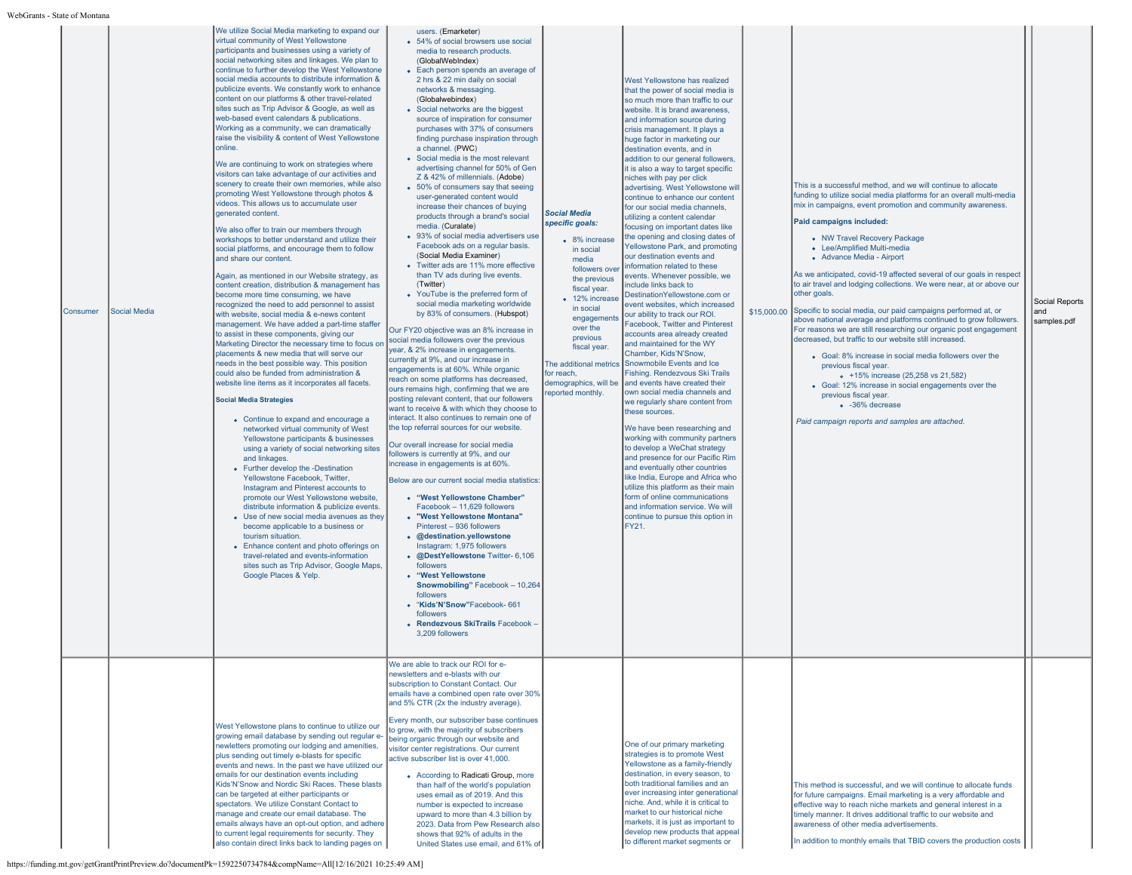| s - State of Montana |                     |                                                                                                                                                                                                                                                                                                                                                                                                                                                                                                                                                                                                                                                                                                                                                                                                                                                                                                                                                                                                                                                                                                                                                                                                                                                                                                                                                                                                                                                                                                                                                                                                                                                                                                                                                                                                                                                                                                                                                                                                                                                                                                                                                                                                                                                                                                                                                                                             |                                                                                                                                                                                                                                                                                                                                                                                                                                                                                                                                                                                                                                                                                                                                                                                                                                                                                                                                                                                                                                                                                                                                                                                                                                                                                                                                                                                                                                                                                                                                                                                                                                                                                                                                                                                                                                                                                                                                                                                                                                                                                                                                                    |                                                                                                                                                                                                                                                                                                            |                                                                                                                                                                                                                                                                                                                                                                                                                                                                                                                                                                                                                                                                                                                                                                                                                                                                                                                                                                                                                                                                                                                                                                                                                                                                                                                                                                                                                                                                                                                                                                |                                                                                                                                                                                                                                                                                                                                                                                                                                                                                                                                                                                                                                                                                                                                                                                                                                                                                                                                                                                                                                                                       |                                      |
|----------------------|---------------------|---------------------------------------------------------------------------------------------------------------------------------------------------------------------------------------------------------------------------------------------------------------------------------------------------------------------------------------------------------------------------------------------------------------------------------------------------------------------------------------------------------------------------------------------------------------------------------------------------------------------------------------------------------------------------------------------------------------------------------------------------------------------------------------------------------------------------------------------------------------------------------------------------------------------------------------------------------------------------------------------------------------------------------------------------------------------------------------------------------------------------------------------------------------------------------------------------------------------------------------------------------------------------------------------------------------------------------------------------------------------------------------------------------------------------------------------------------------------------------------------------------------------------------------------------------------------------------------------------------------------------------------------------------------------------------------------------------------------------------------------------------------------------------------------------------------------------------------------------------------------------------------------------------------------------------------------------------------------------------------------------------------------------------------------------------------------------------------------------------------------------------------------------------------------------------------------------------------------------------------------------------------------------------------------------------------------------------------------------------------------------------------------|----------------------------------------------------------------------------------------------------------------------------------------------------------------------------------------------------------------------------------------------------------------------------------------------------------------------------------------------------------------------------------------------------------------------------------------------------------------------------------------------------------------------------------------------------------------------------------------------------------------------------------------------------------------------------------------------------------------------------------------------------------------------------------------------------------------------------------------------------------------------------------------------------------------------------------------------------------------------------------------------------------------------------------------------------------------------------------------------------------------------------------------------------------------------------------------------------------------------------------------------------------------------------------------------------------------------------------------------------------------------------------------------------------------------------------------------------------------------------------------------------------------------------------------------------------------------------------------------------------------------------------------------------------------------------------------------------------------------------------------------------------------------------------------------------------------------------------------------------------------------------------------------------------------------------------------------------------------------------------------------------------------------------------------------------------------------------------------------------------------------------------------------------|------------------------------------------------------------------------------------------------------------------------------------------------------------------------------------------------------------------------------------------------------------------------------------------------------------|----------------------------------------------------------------------------------------------------------------------------------------------------------------------------------------------------------------------------------------------------------------------------------------------------------------------------------------------------------------------------------------------------------------------------------------------------------------------------------------------------------------------------------------------------------------------------------------------------------------------------------------------------------------------------------------------------------------------------------------------------------------------------------------------------------------------------------------------------------------------------------------------------------------------------------------------------------------------------------------------------------------------------------------------------------------------------------------------------------------------------------------------------------------------------------------------------------------------------------------------------------------------------------------------------------------------------------------------------------------------------------------------------------------------------------------------------------------------------------------------------------------------------------------------------------------|-----------------------------------------------------------------------------------------------------------------------------------------------------------------------------------------------------------------------------------------------------------------------------------------------------------------------------------------------------------------------------------------------------------------------------------------------------------------------------------------------------------------------------------------------------------------------------------------------------------------------------------------------------------------------------------------------------------------------------------------------------------------------------------------------------------------------------------------------------------------------------------------------------------------------------------------------------------------------------------------------------------------------------------------------------------------------|--------------------------------------|
| Consumer             | <b>Social Media</b> | We utilize Social Media marketing to expand our<br>virtual community of West Yellowstone<br>participants and businesses using a variety of<br>social networking sites and linkages. We plan to<br>continue to further develop the West Yellowstone<br>social media accounts to distribute information &<br>publicize events. We constantly work to enhance<br>content on our platforms & other travel-related<br>sites such as Trip Advisor & Google, as well as<br>web-based event calendars & publications.<br>Working as a community, we can dramatically<br>raise the visibility & content of West Yellowstone<br>online.<br>We are continuing to work on strategies where<br>visitors can take advantage of our activities and<br>scenery to create their own memories, while also<br>promoting West Yellowstone through photos &<br>videos. This allows us to accumulate user<br>generated content.<br>We also offer to train our members through<br>workshops to better understand and utilize their<br>social platforms, and encourage them to follow<br>and share our content.<br>Again, as mentioned in our Website strategy, as<br>content creation, distribution & management has<br>become more time consuming, we have<br>recognized the need to add personnel to assist<br>with website, social media & e-news content<br>management. We have added a part-time staffer<br>to assist in these components, giving our<br>Marketing Director the necessary time to focus on<br>placements & new media that will serve our<br>needs in the best possible way. This position<br>could also be funded from administration &<br>website line items as it incorporates all facets.<br><b>Social Media Strategies</b><br>• Continue to expand and encourage a<br>networked virtual community of West<br>Yellowstone participants & businesses<br>using a variety of social networking sites<br>and linkages.<br>• Further develop the -Destination<br>Yellowstone Facebook, Twitter,<br>Instagram and Pinterest accounts to<br>promote our West Yellowstone website,<br>distribute information & publicize events.<br>• Use of new social media avenues as they<br>become applicable to a business or<br>tourism situation.<br>• Enhance content and photo offerings on<br>travel-related and events-information<br>sites such as Trip Advisor, Google Maps,<br>Google Places & Yelp | users. (Emarketer)<br>• 54% of social browsers use social<br>media to research products.<br>(GlobalWebIndex)<br>• Each person spends an average of<br>2 hrs & 22 min daily on social<br>networks & messaging.<br>(Globalwebindex)<br>• Social networks are the biggest<br>source of inspiration for consumer<br>purchases with 37% of consumers<br>finding purchase inspiration through<br>a channel. (PWC)<br>• Social media is the most relevant<br>advertising channel for 50% of Gen<br>Z & 42% of millennials. (Adobe)<br>• 50% of consumers say that seeing<br>user-generated content would<br>increase their chances of buving<br>products through a brand's social<br>media. (Curalate)<br>• 93% of social media advertisers use<br>Facebook ads on a regular basis.<br>(Social Media Examiner)<br>• Twitter ads are 11% more effective<br>than TV ads during live events.<br>(Twitter)<br>• YouTube is the preferred form of<br>social media marketing worldwide<br>by 83% of consumers. (Hubspot)<br>Our FY20 objective was an 8% increase in<br>social media followers over the previous<br>year, & 2% increase in engagements.<br>currently at 9%, and our increase in<br>engagements is at 60%. While organic<br>reach on some platforms has decreased,<br>ours remains high, confirming that we are<br>posting relevant content, that our followers<br>want to receive & with which they choose to<br>interact. It also continues to remain one of<br>the top referral sources for our website<br>Our overall increase for social media<br>followers is currently at 9%, and our<br>increase in engagements is at 60%.<br>Below are our current social media statistics<br>• "West Yellowstone Chamber"<br>Facebook - 11.629 followers<br>• "West Yellowstone Montana"<br>Pinterest - 936 followers<br>• @destination.yellowstone<br>Instagram: 1,975 followers<br>· @DestYellowstone Twitter- 6,106<br>followers<br>• "West Yellowstone<br>Snowmobiling" Facebook - 10,264<br>followers<br>• "Kids'N'Snow"Facebook- 661<br>followers<br>• Rendezvous SkiTrails Facebook -<br>3.209 followers<br>We are able to track our ROI for e- | <b>Social Media</b><br>specific goals:<br>• 8% increase<br>in social<br>media<br>followers over<br>the previous<br>fiscal year.<br>• 12% increase<br>in social<br>engagements<br>over the<br>previous<br>fiscal year.<br>The additional metrics<br>for reach.<br>demographics, will be<br>eported monthly. | West Yellowstone has realized<br>that the power of social media is<br>so much more than traffic to our<br>website. It is brand awareness.<br>and information source during<br>crisis management. It plays a<br>huge factor in marketing our<br>destination events, and in<br>addition to our general followers,<br>it is also a way to target specific<br>niches with pay per click<br>advertising. West Yellowstone will<br>continue to enhance our content<br>for our social media channels.<br>utilizing a content calendar<br>focusing on important dates like<br>the opening and closing dates of<br>Yellowstone Park, and promoting<br>our destination events and<br>information related to these<br>events. Whenever possible, we<br>include links back to<br>DestinationYellowstone.com or<br>event websites, which increased<br>our ability to track our ROI.<br>Facebook. Twitter and Pinterest<br>accounts area already created<br>and maintained for the WY<br>Chamber, Kids'N'Snow.<br>Snowmobile Events and Ice<br>Fishing. Rendezvous Ski Trails<br>and events have created their<br>own social media channels and<br>we regularly share content from<br>these sources.<br>We have been researching and<br>working with community partners<br>to develop a WeChat strategy<br>and presence for our Pacific Rim<br>and eventually other countries<br>like India, Europe and Africa who<br>utilize this platform as their main<br>form of online communications<br>and information service. We will<br>continue to pursue this option in<br>FY21. | This is a successful method, and we will continue to allocate<br>funding to utilize social media platforms for an overall multi-media<br>mix in campaigns, event promotion and community awareness.<br>Paid campaigns included:<br>• NW Travel Recovery Package<br>• Lee/Amplified Multi-media<br>• Advance Media - Airport<br>As we anticipated, covid-19 affected several of our goals in respect<br>to air travel and lodging collections. We were near, at or above our<br>other goals.<br>\$15,000.00 Specific to social media, our paid campaigns performed at, or<br>above national average and platforms continued to grow followers.<br>For reasons we are still researching our organic post engagement<br>decreased, but traffic to our website still increased.<br>• Goal: 8% increase in social media followers over the<br>previous fiscal year.<br>• +15% increase (25,258 vs 21,582)<br>• Goal: 12% increase in social engagements over the<br>previous fiscal year.<br><sup>o</sup> -36% decrease<br>Paid campaign reports and samples are attached. | Social Reports<br>and<br>samples.pdf |
|                      |                     | West Yellowstone plans to continue to utilize our<br>growing email database by sending out regular e-<br>newletters promoting our lodging and amenities,<br>plus sending out timely e-blasts for specific<br>events and news. In the past we have utilized our<br>emails for our destination events including<br>Kids'N'Snow and Nordic Ski Races. These blasts<br>can be targeted at either participants or<br>spectators. We utilize Constant Contact to<br>manage and create our email database. The<br>emails always have an opt-out option, and adhere<br>to current legal requirements for security. They<br>also contain direct links back to landing pages on                                                                                                                                                                                                                                                                                                                                                                                                                                                                                                                                                                                                                                                                                                                                                                                                                                                                                                                                                                                                                                                                                                                                                                                                                                                                                                                                                                                                                                                                                                                                                                                                                                                                                                                       | newsletters and e-blasts with our<br>subscription to Constant Contact. Our<br>emails have a combined open rate over 30%<br>and 5% CTR (2x the industry average).<br>Every month, our subscriber base continues<br>to grow, with the majority of subscribers<br>being organic through our website and<br>visitor center registrations. Our current<br>active subscriber list is over 41,000.<br>• According to Radicati Group, more<br>than half of the world's population<br>uses email as of 2019. And this<br>number is expected to increase<br>upward to more than 4.3 billion by<br>2023. Data from Pew Research also<br>shows that 92% of adults in the<br>United States use email, and 61% of                                                                                                                                                                                                                                                                                                                                                                                                                                                                                                                                                                                                                                                                                                                                                                                                                                                                                                                                                                                                                                                                                                                                                                                                                                                                                                                                                                                                                                                |                                                                                                                                                                                                                                                                                                            | One of our primary marketing<br>strategies is to promote West<br>Yellowstone as a family-friendly<br>destination, in every season, to<br>both traditional families and an<br>ever increasing inter generational<br>niche. And, while it is critical to<br>market to our historical niche<br>markets, it is just as important to<br>develop new products that appeal<br>to different market segments or                                                                                                                                                                                                                                                                                                                                                                                                                                                                                                                                                                                                                                                                                                                                                                                                                                                                                                                                                                                                                                                                                                                                                         | This method is successful, and we will continue to allocate funds<br>for future campaigns. Email marketing is a very affordable and<br>effective way to reach niche markets and general interest in a<br>timely manner. It drives additional traffic to our website and<br>awareness of other media advertisements.<br>In addition to monthly emails that TBID covers the production costs                                                                                                                                                                                                                                                                                                                                                                                                                                                                                                                                                                                                                                                                            |                                      |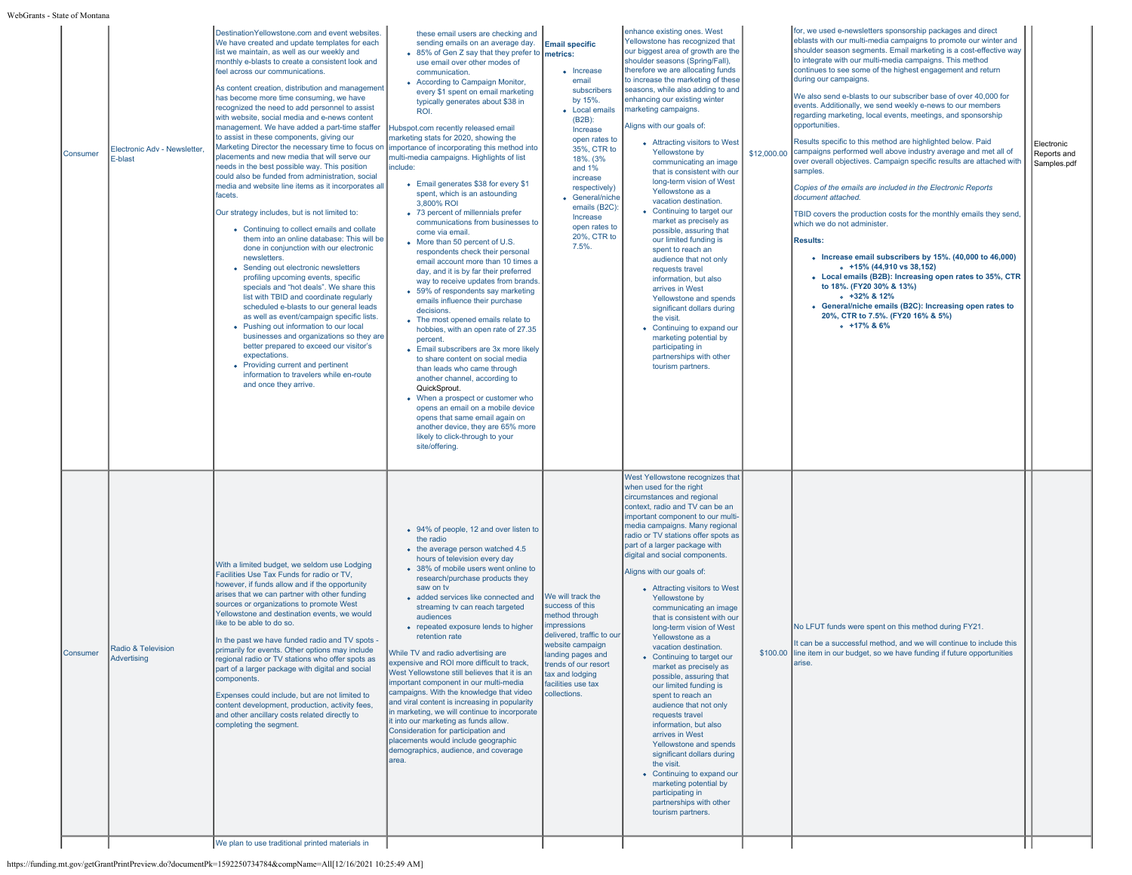WebGrants - S

| State of Montana |                                         |                                                                                                                                                                                                                                                                                                                                                                                                                                                                                                                                                                                                                                                                                                                                                                                                                                                                                                                                                                                                                                                                                                                                                                                                                                                                                                                                                                                                                                                                                                                                                                                                  |                                                                                                                                                                                                                                                                                                                                                                                                                                                                                                                                                                                                                                                                                                                                                                                                                                                                                                                                                                                                                                                                                                                                                                                                                                                                                                                                                                                                 |                                                                                                                                                                                                                                                                   |                                                                                                                                                                                                                                                                                                                                                                                                                                                                                                                                                                                                                                                                                                                                                                                                                                                                                                                                                                |             |                                                                                                                                                                                                                                                                                                                                                                                                                                                                                                                                                                                                                                                                                                                                                                                                                                                                                                                                                                                                                                                                                                                                                                                                                                                                                                                                   |                                          |
|------------------|-----------------------------------------|--------------------------------------------------------------------------------------------------------------------------------------------------------------------------------------------------------------------------------------------------------------------------------------------------------------------------------------------------------------------------------------------------------------------------------------------------------------------------------------------------------------------------------------------------------------------------------------------------------------------------------------------------------------------------------------------------------------------------------------------------------------------------------------------------------------------------------------------------------------------------------------------------------------------------------------------------------------------------------------------------------------------------------------------------------------------------------------------------------------------------------------------------------------------------------------------------------------------------------------------------------------------------------------------------------------------------------------------------------------------------------------------------------------------------------------------------------------------------------------------------------------------------------------------------------------------------------------------------|-------------------------------------------------------------------------------------------------------------------------------------------------------------------------------------------------------------------------------------------------------------------------------------------------------------------------------------------------------------------------------------------------------------------------------------------------------------------------------------------------------------------------------------------------------------------------------------------------------------------------------------------------------------------------------------------------------------------------------------------------------------------------------------------------------------------------------------------------------------------------------------------------------------------------------------------------------------------------------------------------------------------------------------------------------------------------------------------------------------------------------------------------------------------------------------------------------------------------------------------------------------------------------------------------------------------------------------------------------------------------------------------------|-------------------------------------------------------------------------------------------------------------------------------------------------------------------------------------------------------------------------------------------------------------------|----------------------------------------------------------------------------------------------------------------------------------------------------------------------------------------------------------------------------------------------------------------------------------------------------------------------------------------------------------------------------------------------------------------------------------------------------------------------------------------------------------------------------------------------------------------------------------------------------------------------------------------------------------------------------------------------------------------------------------------------------------------------------------------------------------------------------------------------------------------------------------------------------------------------------------------------------------------|-------------|-----------------------------------------------------------------------------------------------------------------------------------------------------------------------------------------------------------------------------------------------------------------------------------------------------------------------------------------------------------------------------------------------------------------------------------------------------------------------------------------------------------------------------------------------------------------------------------------------------------------------------------------------------------------------------------------------------------------------------------------------------------------------------------------------------------------------------------------------------------------------------------------------------------------------------------------------------------------------------------------------------------------------------------------------------------------------------------------------------------------------------------------------------------------------------------------------------------------------------------------------------------------------------------------------------------------------------------|------------------------------------------|
| Consumer         | Electronic Adv - Newsletter,<br>E-blast | DestinationYellowstone.com and event websites.<br>We have created and update templates for each<br>list we maintain, as well as our weekly and<br>monthly e-blasts to create a consistent look and<br>feel across our communications.<br>As content creation, distribution and management<br>has become more time consuming, we have<br>recognized the need to add personnel to assist<br>with website, social media and e-news content<br>management. We have added a part-time staffer<br>to assist in these components, giving our<br>Marketing Director the necessary time to focus on   importance of incorporating this method into<br>placements and new media that will serve our<br>needs in the best possible way. This position<br>could also be funded from administration, social<br>media and website line items as it incorporates all<br>facets.<br>Our strategy includes, but is not limited to:<br>• Continuing to collect emails and collate<br>them into an online database: This will be<br>done in conjunction with our electronic<br>newsletters.<br>• Sending out electronic newsletters<br>profiling upcoming events, specific<br>specials and "hot deals". We share this<br>list with TBID and coordinate regularly<br>scheduled e-blasts to our general leads<br>as well as event/campaign specific lists.<br>• Pushing out information to our local<br>businesses and organizations so they are<br>better prepared to exceed our visitor's<br>expectations.<br>• Providing current and pertinent<br>information to travelers while en-route<br>and once they arrive. | these email users are checking and<br>sending emails on an average day. Email specific<br>• 85% of Gen Z say that they prefer to metrics:<br>use email over other modes of<br>communication.<br>• According to Campaign Monitor,<br>every \$1 spent on email marketing<br>typically generates about \$38 in<br>ROI.<br>Hubspot.com recently released email<br>marketing stats for 2020, showing the<br>multi-media campaigns. Highlights of list<br>include:<br>• Email generates \$38 for every \$1<br>spent, which is an astounding<br>3,800% ROI<br>• 73 percent of millennials prefer<br>communications from businesses to<br>come via email<br>• More than 50 percent of U.S.<br>respondents check their personal<br>email account more than 10 times a<br>day, and it is by far their preferred<br>way to receive updates from brands<br>• 59% of respondents say marketing<br>emails influence their purchase<br>decisions.<br>• The most opened emails relate to<br>hobbies, with an open rate of 27.35<br>percent.<br>• Email subscribers are 3x more likely<br>to share content on social media<br>than leads who came through<br>another channel, according to<br>QuickSprout.<br>• When a prospect or customer who<br>opens an email on a mobile device<br>opens that same email again on<br>another device, they are 65% more<br>likely to click-through to your<br>site/offering. | • Increase<br>email<br>subscribers<br>by 15%.<br>• Local emails<br>(B2B)<br>Increase<br>open rates to<br>35%, CTR to<br>18%. (3%<br>and $1%$<br>increase<br>respectively)<br>• General/niche<br>emails (B2C):<br>Increase<br>open rates to<br>20%, CTR to<br>7.5% | enhance existing ones. West<br>Yellowstone has recognized that<br>our biggest area of growth are the<br>shoulder seasons (Spring/Fall),<br>therefore we are allocating funds<br>to increase the marketing of these<br>seasons, while also adding to and<br>enhancing our existing winter<br>marketing campaigns.<br>Aligns with our goals of:<br>• Attracting visitors to West<br>Yellowstone by<br>communicating an image<br>that is consistent with our<br>long-term vision of West<br>Yellowstone as a<br>vacation destination<br>• Continuing to target our<br>market as precisely as<br>possible, assuring that<br>our limited funding is<br>spent to reach an<br>audience that not only<br>requests travel<br>information, but also<br>arrives in West<br>Yellowstone and spends<br>significant dollars during<br>the visit.<br>• Continuing to expand our<br>marketing potential by<br>participating in<br>partnerships with other<br>tourism partners. | \$12,000.00 | for, we used e-newsletters sponsorship packages and direct<br>eblasts with our multi-media campaigns to promote our winter and<br>shoulder season segments. Email marketing is a cost-effective way<br>to integrate with our multi-media campaigns. This method<br>continues to see some of the highest engagement and return<br>during our campaigns.<br>We also send e-blasts to our subscriber base of over 40,000 for<br>events. Additionally, we send weekly e-news to our members<br>regarding marketing, local events, meetings, and sponsorship<br>opportunities.<br>Results specific to this method are highlighted below. Paid<br>campaigns performed well above industry average and met all of<br>over overall objectives. Campaign specific results are attached with<br>samples.<br>Copies of the emails are included in the Electronic Reports<br>document attached.<br>TBID covers the production costs for the monthly emails they send.<br>which we do not administer.<br><b>Results:</b><br>• Increase email subscribers by 15%. (40,000 to 46,000)<br>$+15\%$ (44,910 vs 38,152)<br>• Local emails (B2B): Increasing open rates to 35%, CTR<br>to 18%. (FY20 30% & 13%)<br>$-132\%$ & 12%<br>• General/niche emails (B2C): Increasing open rates to<br>20%, CTR to 7.5%. (FY20 16% & 5%)<br>$\circ$ +17% & 6% | Electronic<br>Reports and<br>Samples.pdf |
| Consumer         | Radio & Television<br>Advertising       | With a limited budget, we seldom use Lodging<br>Facilities Use Tax Funds for radio or TV,<br>however, if funds allow and if the opportunity<br>arises that we can partner with other funding<br>sources or organizations to promote West<br>Yellowstone and destination events, we would<br>like to be able to do so.<br>In the past we have funded radio and TV spots -<br>primarily for events. Other options may include<br>regional radio or TV stations who offer spots as<br>part of a larger package with digital and social<br>components.<br>Expenses could include, but are not limited to<br>content development, production, activity fees,<br>and other ancillary costs related directly to<br>completing the segment.<br>We plan to use traditional printed materials in                                                                                                                                                                                                                                                                                                                                                                                                                                                                                                                                                                                                                                                                                                                                                                                                           | • 94% of people, 12 and over listen to<br>the radio<br>• the average person watched 4.5<br>hours of television every day<br>• 38% of mobile users went online to<br>research/purchase products they<br>saw on ty<br>· added services like connected and<br>streaming tv can reach targeted<br>audiences<br>• repeated exposure lends to higher<br>retention rate<br>While TV and radio advertising are<br>expensive and ROI more difficult to track.<br>West Yellowstone still believes that it is an<br>important component in our multi-media<br>campaigns. With the knowledge that video<br>and viral content is increasing in popularity<br>in marketing, we will continue to incorporate<br>it into our marketing as funds allow.<br>Consideration for participation and<br>placements would include geographic<br>demographics, audience, and coverage<br>larea.                                                                                                                                                                                                                                                                                                                                                                                                                                                                                                                          | We will track the<br>success of this<br>method through<br>mpressions<br>delivered, traffic to our<br>website campaign<br>anding pages and<br>trends of our resort<br>tax and lodging<br>facilities use tax<br>collections.                                        | West Yellowstone recognizes that<br>when used for the right<br>circumstances and regional<br>context, radio and TV can be an<br>important component to our multi-<br>media campaigns. Many regional<br>radio or TV stations offer spots as<br>part of a larger package with<br>digital and social components.<br>Aligns with our goals of:<br>• Attracting visitors to West<br>Yellowstone by<br>communicating an image<br>that is consistent with our<br>long-term vision of West<br>Yellowstone as a<br>vacation destination.<br>• Continuing to target our<br>market as precisely as<br>possible, assuring that<br>our limited funding is<br>spent to reach an<br>audience that not only<br>requests travel<br>information, but also<br>arrives in West<br>Yellowstone and spends<br>significant dollars during<br>the visit.<br>• Continuing to expand our<br>marketing potential by<br>participating in<br>partnerships with other<br>tourism partners.   |             | No LFUT funds were spent on this method during FY21.<br>It can be a successful method, and we will continue to include this<br>\$100.00 line item in our budget, so we have funding if future opportunities<br>arise.                                                                                                                                                                                                                                                                                                                                                                                                                                                                                                                                                                                                                                                                                                                                                                                                                                                                                                                                                                                                                                                                                                             |                                          |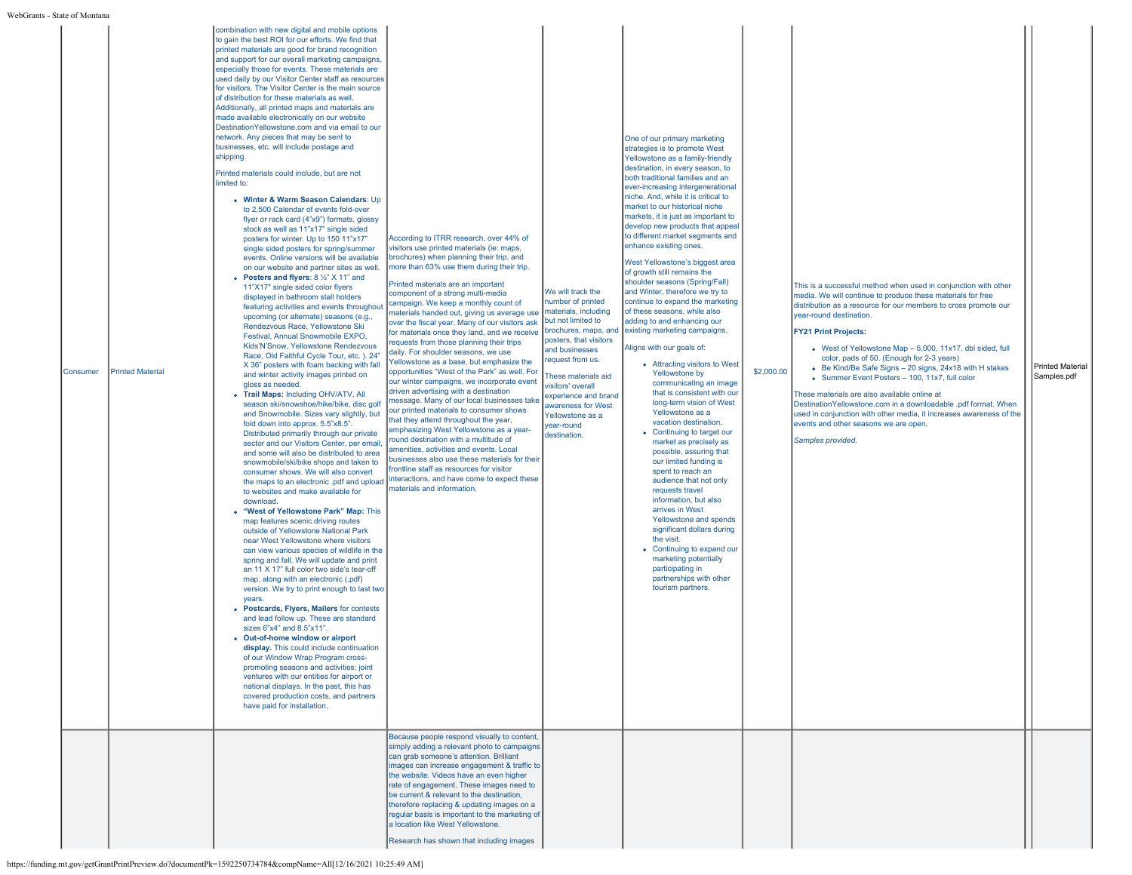| Consumer | <b>Printed Material</b> | combination with new digital and mobile options<br>to gain the best ROI for our efforts. We find that<br>printed materials are good for brand recognition<br>and support for our overall marketing campaigns,<br>especially those for events. These materials are<br>used daily by our Visitor Center staff as resources<br>for visitors. The Visitor Center is the main source<br>of distribution for these materials as well.<br>Additionally, all printed maps and materials are<br>made available electronically on our website<br>DestinationYellowstone.com and via email to our<br>network. Any pieces that may be sent to<br>businesses, etc. will include postage and<br>shipping.<br>Printed materials could include, but are not<br>limited to:<br>• Winter & Warm Season Calendars: Up<br>to 2,500 Calendar of events fold-over<br>flyer or rack card (4"x9") formats, glossy<br>stock as well as 11"x17" single sided<br>posters for winter. Up to 150 11"x17"<br>single sided posters for spring/summer<br>events. Online versions will be available<br>on our website and partner sites as well.<br>• Posters and flyers: $8\frac{1}{2}$ " X 11" and<br>11"X17" single sided color flyers<br>displayed in bathroom stall holders<br>featuring activities and events throughout<br>upcoming (or alternate) seasons (e.g.,<br>Rendezvous Race, Yellowstone Ski<br>Festival, Annual Snowmobile EXPO,<br>Kids'N'Snow, Yellowstone Rendezvous<br>Race, Old Faithful Cycle Tour, etc. ), 24"<br>X 36" posters with foam backing with fall<br>and winter activity images printed on<br>gloss as needed.<br>• Trail Maps: Including OHV/ATV, All<br>season ski/snowshoe/hike/bike, disc golf<br>and Snowmobile. Sizes vary slightly, but<br>fold down into approx, 5.5"x8.5".<br>Distributed primarily through our private<br>sector and our Visitors Center, per email,<br>and some will also be distributed to area<br>snowmobile/ski/bike shops and taken to<br>consumer shows. We will also convert<br>the maps to an electronic .pdf and upload<br>to websites and make available for<br>download.<br>• "West of Yellowstone Park" Map: This<br>map features scenic driving routes<br>outside of Yellowstone National Park<br>near West Yellowstone where visitors<br>can view various species of wildlife in the<br>spring and fall. We will update and print<br>an 11 X 17" full color two side's tear-off<br>map, along with an electronic (.pdf)<br>version. We try to print enough to last two<br>years.<br>• Postcards, Flyers, Mailers for contests<br>and lead follow up. These are standard<br>sizes 6"x4" and 8.5"x11".<br>• Out-of-home window or airport<br>display. This could include continuation<br>of our Window Wrap Program cross-<br>promoting seasons and activities; joint<br>ventures with our entities for airport or<br>national displays. In the past, this has<br>covered production costs, and partners<br>have paid for installation. | According to ITRR research, over 44% of<br>visitors use printed materials (ie: maps,<br>brochures) when planning their trip, and<br>more than 63% use them during their trip.<br>Printed materials are an important<br>component of a strong multi-media<br>campaign. We keep a monthly count of<br>materials handed out, giving us average use<br>over the fiscal year. Many of our visitors ask<br>for materials once they land, and we receive<br>equests from those planning their trips<br>daily. For shoulder seasons, we use<br>Yellowstone as a base, but emphasize the<br>opportunities "West of the Park" as well. For<br>our winter campaigns, we incorporate event<br>driven advertising with a destination<br>message. Many of our local businesses take<br>our printed materials to consumer shows<br>that they attend throughout the year,<br>emphasizing West Yellowstone as a year-<br>round destination with a multitude of<br>amenities, activities and events. Local<br>businesses also use these materials for their<br>frontline staff as resources for visitor<br>interactions, and have come to expect these<br>materials and information.<br>Because people respond visually to content, | We will track the<br>number of printed<br>materials, including<br>but not limited to<br>brochures, maps, and<br>posters, that visitors<br>and businesses<br>request from us.<br>These materials aid<br>visitors' overall<br>experience and brand<br>awareness for West<br>Yellowstone as a<br>year-round<br>destination. | One of our primary marketing<br>strategies is to promote West<br>Yellowstone as a family-friendly<br>destination, in every season, to<br>both traditional families and an<br>ever-increasing intergenerational<br>niche. And, while it is critical to<br>market to our historical niche<br>markets, it is just as important to<br>develop new products that appeal<br>to different market segments and<br>enhance existing ones.<br>West Yellowstone's biggest area<br>of growth still remains the<br>shoulder seasons (Spring/Fall)<br>and Winter, therefore we try to<br>continue to expand the marketing<br>of these seasons, while also<br>adding to and enhancing our<br>existing marketing campaigns.<br>Aligns with our goals of:<br>• Attracting visitors to West<br>Yellowstone by<br>communicating an image<br>that is consistent with our<br>Iong-term vision of West<br>Yellowstone as a<br>vacation destination.<br>• Continuing to target our<br>market as precisely as<br>possible, assuring that<br>our limited funding is<br>spent to reach an<br>audience that not only<br>requests travel<br>information, but also<br>arrives in West<br>Yellowstone and spends<br>significant dollars during<br>the visit.<br>• Continuing to expand our<br>marketing potentially<br>participating in<br>partnerships with other<br>tourism partners. | \$2,000.00 | This is a successful method when used in conjunction with other<br>media. We will continue to produce these materials for free<br>distribution as a resource for our members to cross promote our<br>vear-round destination.<br><b>FY21 Print Projects:</b><br>• West of Yellowstone Map - 5,000, 11x17, dbl sided, full<br>color, pads of 50. (Enough for 2-3 years)<br>• Be Kind/Be Safe Signs - 20 signs, 24x18 with H stakes<br>• Summer Event Posters - 100, 11x7, full color<br>These materials are also available online at<br>DestinationYellowstone.com in a downloadable .pdf format. When<br>used in conjunction with other media, it increases awareness of the<br>events and other seasons we are open.<br>Samples provided. | Printed Material<br>Samples.pdf |
|----------|-------------------------|--------------------------------------------------------------------------------------------------------------------------------------------------------------------------------------------------------------------------------------------------------------------------------------------------------------------------------------------------------------------------------------------------------------------------------------------------------------------------------------------------------------------------------------------------------------------------------------------------------------------------------------------------------------------------------------------------------------------------------------------------------------------------------------------------------------------------------------------------------------------------------------------------------------------------------------------------------------------------------------------------------------------------------------------------------------------------------------------------------------------------------------------------------------------------------------------------------------------------------------------------------------------------------------------------------------------------------------------------------------------------------------------------------------------------------------------------------------------------------------------------------------------------------------------------------------------------------------------------------------------------------------------------------------------------------------------------------------------------------------------------------------------------------------------------------------------------------------------------------------------------------------------------------------------------------------------------------------------------------------------------------------------------------------------------------------------------------------------------------------------------------------------------------------------------------------------------------------------------------------------------------------------------------------------------------------------------------------------------------------------------------------------------------------------------------------------------------------------------------------------------------------------------------------------------------------------------------------------------------------------------------------------------------------------------------------------------------------------------------------------------------------------------------------------------------------------------------------------------------------------------------------------------------------------------------------------------------------------------------|-------------------------------------------------------------------------------------------------------------------------------------------------------------------------------------------------------------------------------------------------------------------------------------------------------------------------------------------------------------------------------------------------------------------------------------------------------------------------------------------------------------------------------------------------------------------------------------------------------------------------------------------------------------------------------------------------------------------------------------------------------------------------------------------------------------------------------------------------------------------------------------------------------------------------------------------------------------------------------------------------------------------------------------------------------------------------------------------------------------------------------------------------------------------------------------------------------------------|--------------------------------------------------------------------------------------------------------------------------------------------------------------------------------------------------------------------------------------------------------------------------------------------------------------------------|-----------------------------------------------------------------------------------------------------------------------------------------------------------------------------------------------------------------------------------------------------------------------------------------------------------------------------------------------------------------------------------------------------------------------------------------------------------------------------------------------------------------------------------------------------------------------------------------------------------------------------------------------------------------------------------------------------------------------------------------------------------------------------------------------------------------------------------------------------------------------------------------------------------------------------------------------------------------------------------------------------------------------------------------------------------------------------------------------------------------------------------------------------------------------------------------------------------------------------------------------------------------------------------------------------------------------------------------------------------|------------|-------------------------------------------------------------------------------------------------------------------------------------------------------------------------------------------------------------------------------------------------------------------------------------------------------------------------------------------------------------------------------------------------------------------------------------------------------------------------------------------------------------------------------------------------------------------------------------------------------------------------------------------------------------------------------------------------------------------------------------------|---------------------------------|
|          |                         |                                                                                                                                                                                                                                                                                                                                                                                                                                                                                                                                                                                                                                                                                                                                                                                                                                                                                                                                                                                                                                                                                                                                                                                                                                                                                                                                                                                                                                                                                                                                                                                                                                                                                                                                                                                                                                                                                                                                                                                                                                                                                                                                                                                                                                                                                                                                                                                                                                                                                                                                                                                                                                                                                                                                                                                                                                                                                                                                                                                | simply adding a relevant photo to campaigns<br>can grab someone's attention. Brilliant<br>images can increase engagement & traffic to<br>the website. Videos have an even higher<br>rate of engagement. These images need to<br>be current & relevant to the destination,<br>therefore replacing & updating images on a<br>regular basis is important to the marketing of<br>a location like West Yellowstone.<br>Research has shown that including images                                                                                                                                                                                                                                                                                                                                                                                                                                                                                                                                                                                                                                                                                                                                                        |                                                                                                                                                                                                                                                                                                                          |                                                                                                                                                                                                                                                                                                                                                                                                                                                                                                                                                                                                                                                                                                                                                                                                                                                                                                                                                                                                                                                                                                                                                                                                                                                                                                                                                           |            |                                                                                                                                                                                                                                                                                                                                                                                                                                                                                                                                                                                                                                                                                                                                           |                                 |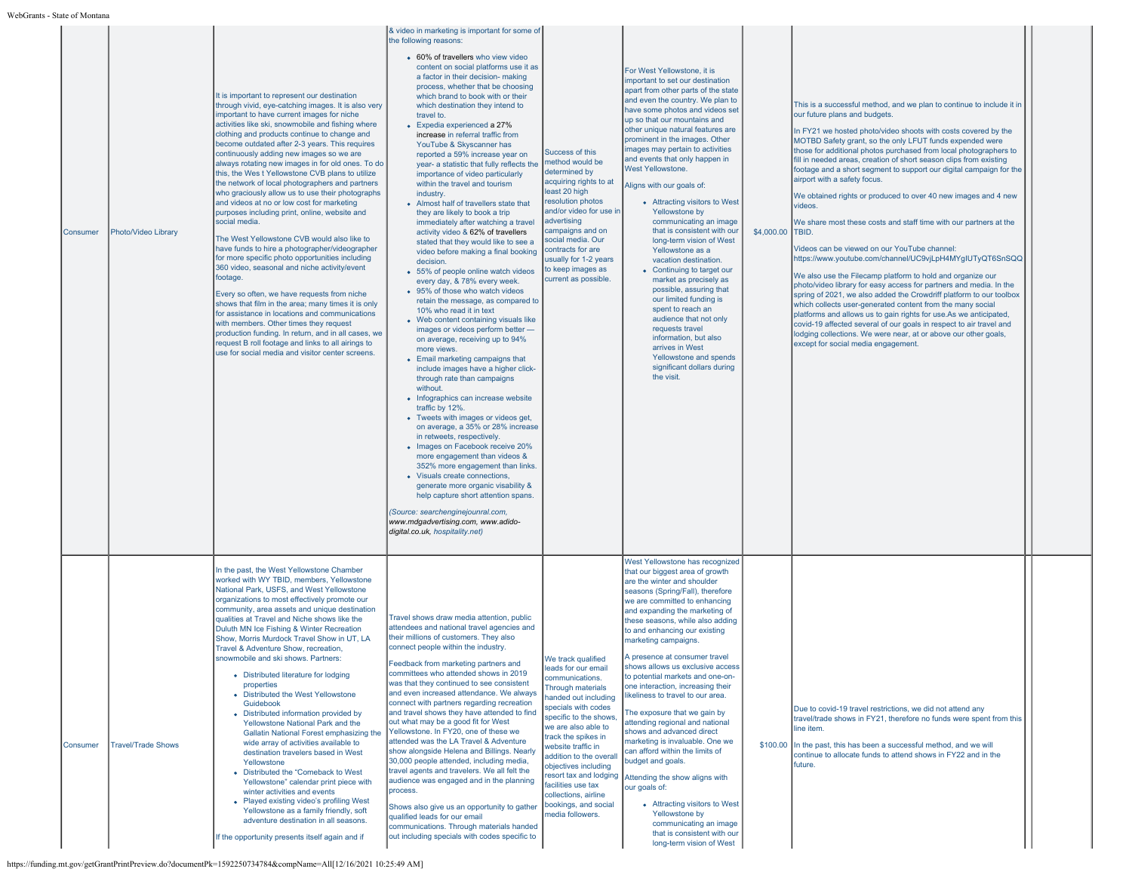| Consumer | Photo/Video Library       | It is important to represent our destination<br>through vivid, eye-catching images. It is also very<br>important to have current images for niche<br>activities like ski, snowmobile and fishing where<br>clothing and products continue to change and<br>become outdated after 2-3 years. This requires<br>continuously adding new images so we are<br>always rotating new images in for old ones. To do<br>this, the Wes t Yellowstone CVB plans to utilize<br>the network of local photographers and partners<br>who graciously allow us to use their photographs<br>and videos at no or low cost for marketing<br>purposes including print, online, website and<br>social media.<br>The West Yellowstone CVB would also like to<br>have funds to hire a photographer/videographer<br>for more specific photo opportunities including<br>360 video, seasonal and niche activity/event<br>footage.<br>Every so often, we have requests from niche<br>shows that film in the area; many times it is only<br>for assistance in locations and communications<br>with members. Other times they request<br>production funding. In return, and in all cases, we<br>request B roll footage and links to all airings to<br>use for social media and visitor center screens. | & video in marketing is important for some of<br>the following reasons:<br>• 60% of travellers who view video<br>content on social platforms use it as<br>a factor in their decision- making<br>process, whether that be choosing<br>which brand to book with or their<br>which destination they intend to<br>travel to.<br>• Expedia experienced a 27%<br>increase in referral traffic from<br>YouTube & Skyscanner has<br>reported a 59% increase year on<br>year- a statistic that fully reflects the<br>importance of video particularly<br>within the travel and tourism<br>industry.<br>• Almost half of travellers state that<br>they are likely to book a trip<br>immediately after watching a travel<br>activity video & 62% of travellers<br>stated that they would like to see a<br>video before making a final booking<br>decision.<br>• 55% of people online watch videos<br>every day, & 78% every week.<br>• 95% of those who watch videos<br>retain the message, as compared to<br>10% who read it in text<br>• Web content containing visuals like<br>images or videos perform better -<br>on average, receiving up to 94%<br>more views.<br>• Email marketing campaigns that<br>include images have a higher click-<br>through rate than campaigns<br>without.<br>• Infographics can increase website<br>traffic by 12%.<br>• Tweets with images or videos get,<br>on average, a 35% or 28% increase<br>in retweets, respectively.<br>• Images on Facebook receive 20%<br>more engagement than videos &<br>352% more engagement than links.<br>• Visuals create connections,<br>generate more organic visability &<br>help capture short attention spans.<br>(Source: searchenginejounral.com,<br>www.mdgadvertising.com, www.adido-<br>digital.co.uk, hospitality.net) | Success of this<br>method would be<br>determined by<br>acquiring rights to at<br>least 20 high<br>resolution photos<br>and/or video for use in<br>advertising<br>campaigns and on<br>social media. Our<br>contracts for are<br>usually for 1-2 years<br>to keep images as<br>current as possible.                                                                                                            | For West Yellowstone, it is<br>important to set our destination<br>apart from other parts of the state<br>and even the country. We plan to<br>have some photos and videos set<br>up so that our mountains and<br>other unique natural features are<br>prominent in the images. Other<br>images may pertain to activities<br>and events that only happen in<br><b>West Yellowstone.</b><br>Aligns with our goals of:<br>• Attracting visitors to West<br>Yellowstone by<br>communicating an image<br>that is consistent with our<br>long-term vision of West<br>Yellowstone as a<br>vacation destination.<br>• Continuing to target our<br>market as precisely as<br>possible, assuring that<br>our limited funding is<br>spent to reach an<br>audience that not only<br>requests travel<br>information, but also<br>arrives in West<br>Yellowstone and spends<br>significant dollars during<br>the visit. | \$4,000.00 | This is a successful method, and we plan to continue to include it in<br>our future plans and budgets.<br>In FY21 we hosted photo/video shoots with costs covered by the<br>MOTBD Safety grant, so the only LFUT funds expended were<br>those for additional photos purchased from local photographers to<br>fill in needed areas, creation of short season clips from existing<br>footage and a short segment to support our digital campaign for the<br>airport with a safety focus.<br>We obtained rights or produced to over 40 new images and 4 new<br>videos.<br>We share most these costs and staff time with our partners at the<br>ITBID.<br>Videos can be viewed on our YouTube channel:<br>https://www.youtube.com/channel/UC9vjLpH4MYgIUTyQT6SnSQQ<br>We also use the Filecamp platform to hold and organize our<br>photo/video library for easy access for partners and media. In the<br>spring of 2021, we also added the Crowdriff platform to our toolbox<br>which collects user-generated content from the many social<br>platforms and allows us to gain rights for use.As we anticipated,<br>covid-19 affected several of our goals in respect to air travel and<br>lodging collections. We were near, at or above our other goals,<br>except for social media engagement. |
|----------|---------------------------|------------------------------------------------------------------------------------------------------------------------------------------------------------------------------------------------------------------------------------------------------------------------------------------------------------------------------------------------------------------------------------------------------------------------------------------------------------------------------------------------------------------------------------------------------------------------------------------------------------------------------------------------------------------------------------------------------------------------------------------------------------------------------------------------------------------------------------------------------------------------------------------------------------------------------------------------------------------------------------------------------------------------------------------------------------------------------------------------------------------------------------------------------------------------------------------------------------------------------------------------------------------------|-------------------------------------------------------------------------------------------------------------------------------------------------------------------------------------------------------------------------------------------------------------------------------------------------------------------------------------------------------------------------------------------------------------------------------------------------------------------------------------------------------------------------------------------------------------------------------------------------------------------------------------------------------------------------------------------------------------------------------------------------------------------------------------------------------------------------------------------------------------------------------------------------------------------------------------------------------------------------------------------------------------------------------------------------------------------------------------------------------------------------------------------------------------------------------------------------------------------------------------------------------------------------------------------------------------------------------------------------------------------------------------------------------------------------------------------------------------------------------------------------------------------------------------------------------------------------------------------------------------------------------------------------------------------------------------------------------------------------------------------------------------------------------------------|--------------------------------------------------------------------------------------------------------------------------------------------------------------------------------------------------------------------------------------------------------------------------------------------------------------------------------------------------------------------------------------------------------------|-----------------------------------------------------------------------------------------------------------------------------------------------------------------------------------------------------------------------------------------------------------------------------------------------------------------------------------------------------------------------------------------------------------------------------------------------------------------------------------------------------------------------------------------------------------------------------------------------------------------------------------------------------------------------------------------------------------------------------------------------------------------------------------------------------------------------------------------------------------------------------------------------------------|------------|-----------------------------------------------------------------------------------------------------------------------------------------------------------------------------------------------------------------------------------------------------------------------------------------------------------------------------------------------------------------------------------------------------------------------------------------------------------------------------------------------------------------------------------------------------------------------------------------------------------------------------------------------------------------------------------------------------------------------------------------------------------------------------------------------------------------------------------------------------------------------------------------------------------------------------------------------------------------------------------------------------------------------------------------------------------------------------------------------------------------------------------------------------------------------------------------------------------------------------------------------------------------------------------------------|
| Consumer | <b>Travel/Trade Shows</b> | In the past, the West Yellowstone Chamber<br>worked with WY TBID, members, Yellowstone<br>National Park, USFS, and West Yellowstone<br>organizations to most effectively promote our<br>community, area assets and unique destination<br>qualities at Travel and Niche shows like the<br>Duluth MN Ice Fishing & Winter Recreation<br>Show, Morris Murdock Travel Show in UT, LA<br>Travel & Adventure Show, recreation,<br>snowmobile and ski shows. Partners:<br>• Distributed literature for lodging<br>properties<br>• Distributed the West Yellowstone<br>Guidebook<br>Distributed information provided by<br>Yellowstone National Park and the<br>Gallatin National Forest emphasizing the<br>wide array of activities available to<br>destination travelers based in West<br>Yellowstone<br>Distributed the "Comeback to West<br>Yellowstone" calendar print piece with<br>winter activities and events<br>• Played existing video's profiling West<br>Yellowstone as a family friendly, soft<br>adventure destination in all seasons.<br>If the opportunity presents itself again and if                                                                                                                                                                       | Travel shows draw media attention, public<br>attendees and national travel agencies and<br>their millions of customers. They also<br>connect people within the industry.<br>Feedback from marketing partners and<br>committees who attended shows in 2019<br>was that they continued to see consistent<br>and even increased attendance. We always<br>connect with partners regarding recreation<br>and travel shows they have attended to find<br>out what may be a good fit for West<br>Yellowstone. In FY20, one of these we<br>attended was the LA Travel & Adventure<br>show alongside Helena and Billings. Nearly<br>30,000 people attended, including media,<br>travel agents and travelers. We all felt the<br>audience was engaged and in the planning<br>process.<br>Shows also give us an opportunity to gather<br>qualified leads for our email<br>communications. Through materials handed<br>out including specials with codes specific to                                                                                                                                                                                                                                                                                                                                                                                                                                                                                                                                                                                                                                                                                                                                                                                                                                  | We track qualified<br>leads for our email<br>communications.<br><b>Through materials</b><br>handed out including<br>specials with codes<br>specific to the shows,<br>we are also able to<br>track the spikes in<br>website traffic in<br>addition to the overall<br>objectives including<br>resort tax and lodging<br>facilities use tax<br>collections, airline<br>bookings, and social<br>media followers. | West Yellowstone has recognized<br>that our biggest area of growth<br>are the winter and shoulder<br>seasons (Spring/Fall), therefore<br>we are committed to enhancing<br>and expanding the marketing of<br>these seasons, while also adding<br>to and enhancing our existing<br>marketing campaigns.<br>A presence at consumer travel<br>shows allows us exclusive access<br>to potential markets and one-on-<br>one interaction, increasing their<br>likeliness to travel to our area.<br>The exposure that we gain by<br>attending regional and national<br>shows and advanced direct<br>marketing is invaluable. One we<br>can afford within the limits of<br>budget and goals.<br>Attending the show aligns with<br>our goals of:<br>• Attracting visitors to West<br>Yellowstone by<br>communicating an image<br>that is consistent with our<br>long-term vision of West                            |            | Due to covid-19 travel restrictions, we did not attend any<br>travel/trade shows in FY21, therefore no funds were spent from this<br>line item.<br>\$100.00 In the past, this has been a successful method, and we will<br>continue to allocate funds to attend shows in FY22 and in the<br>future.                                                                                                                                                                                                                                                                                                                                                                                                                                                                                                                                                                                                                                                                                                                                                                                                                                                                                                                                                                                           |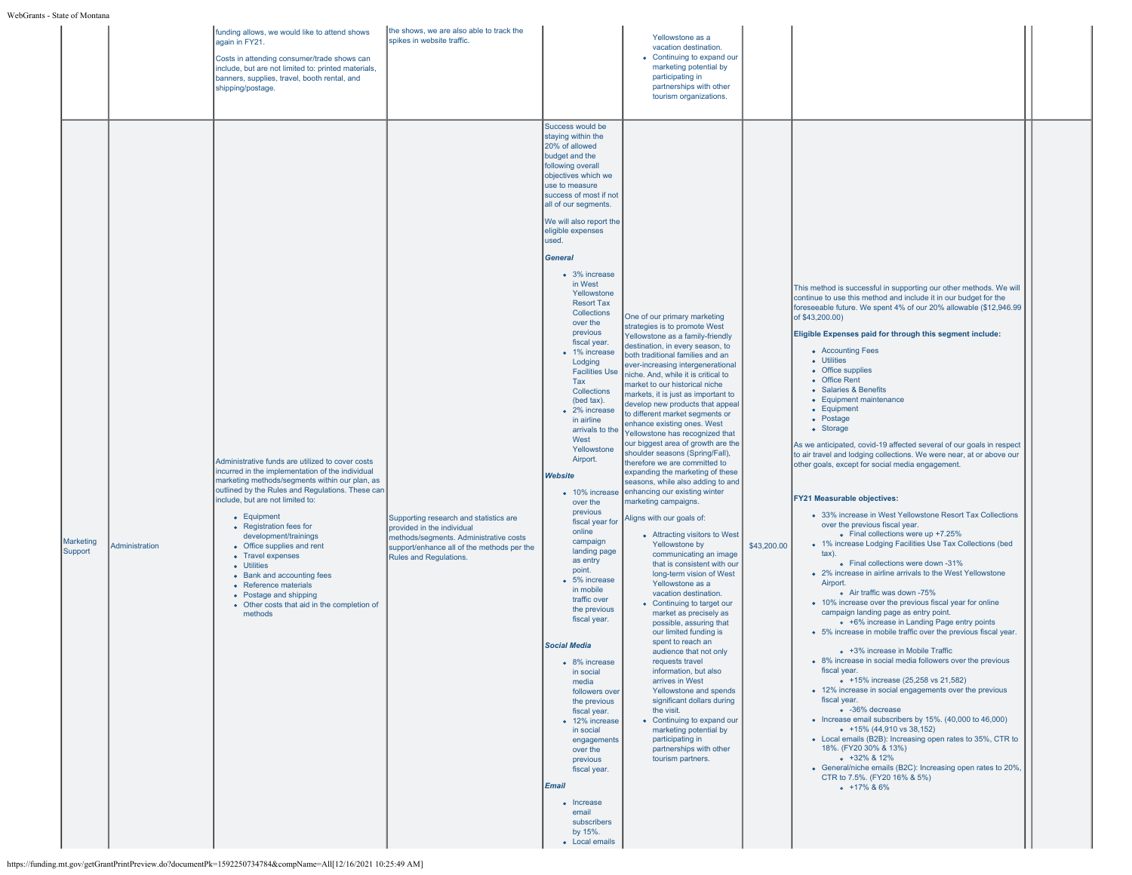|                      |                | funding allows, we would like to attend shows<br>again in FY21.<br>Costs in attending consumer/trade shows can<br>include, but are not limited to: printed materials,<br>banners, supplies, travel, booth rental, and<br>shipping/postage.                                                                                                                                                                                                                                                                                     | the shows, we are also able to track the<br>spikes in website traffic.                                                                                                                 |                                                                                                                                                                                                                                                                                                                                                                                                                                                                                                                                                                                                                                                                                                                                                                                                                                                                                                                                                                                                                                                                              | Yellowstone as a<br>vacation destination.<br>• Continuing to expand our<br>marketing potential by<br>participating in<br>partnerships with other<br>tourism organizations.                                                                                                                                                                                                                                                                                                                                                                                                                                                                                                                                                                                                                                                                                                                                                                                                                                                                                                                                                                                                                                                                                                                                                                                         |             |                                                                                                                                                                                                                                                                                                                                                                                                                                                                                                                                                                                                                                                                                                                                                                                                                                                                                                                                                                                                                                                                                                                                                                                                                                                                                                                                                                                                                                                                                                                                                                                                                                                                                                                                                                                                                                                               |  |
|----------------------|----------------|--------------------------------------------------------------------------------------------------------------------------------------------------------------------------------------------------------------------------------------------------------------------------------------------------------------------------------------------------------------------------------------------------------------------------------------------------------------------------------------------------------------------------------|----------------------------------------------------------------------------------------------------------------------------------------------------------------------------------------|------------------------------------------------------------------------------------------------------------------------------------------------------------------------------------------------------------------------------------------------------------------------------------------------------------------------------------------------------------------------------------------------------------------------------------------------------------------------------------------------------------------------------------------------------------------------------------------------------------------------------------------------------------------------------------------------------------------------------------------------------------------------------------------------------------------------------------------------------------------------------------------------------------------------------------------------------------------------------------------------------------------------------------------------------------------------------|--------------------------------------------------------------------------------------------------------------------------------------------------------------------------------------------------------------------------------------------------------------------------------------------------------------------------------------------------------------------------------------------------------------------------------------------------------------------------------------------------------------------------------------------------------------------------------------------------------------------------------------------------------------------------------------------------------------------------------------------------------------------------------------------------------------------------------------------------------------------------------------------------------------------------------------------------------------------------------------------------------------------------------------------------------------------------------------------------------------------------------------------------------------------------------------------------------------------------------------------------------------------------------------------------------------------------------------------------------------------|-------------|---------------------------------------------------------------------------------------------------------------------------------------------------------------------------------------------------------------------------------------------------------------------------------------------------------------------------------------------------------------------------------------------------------------------------------------------------------------------------------------------------------------------------------------------------------------------------------------------------------------------------------------------------------------------------------------------------------------------------------------------------------------------------------------------------------------------------------------------------------------------------------------------------------------------------------------------------------------------------------------------------------------------------------------------------------------------------------------------------------------------------------------------------------------------------------------------------------------------------------------------------------------------------------------------------------------------------------------------------------------------------------------------------------------------------------------------------------------------------------------------------------------------------------------------------------------------------------------------------------------------------------------------------------------------------------------------------------------------------------------------------------------------------------------------------------------------------------------------------------------|--|
| Marketing<br>Support | Administration | Administrative funds are utilized to cover costs<br>incurred in the implementation of the individual<br>marketing methods/segments within our plan, as<br>outlined by the Rules and Regulations. These can<br>include, but are not limited to:<br>• Equipment<br>• Registration fees for<br>development/trainings<br>• Office supplies and rent<br>• Travel expenses<br>• Utilities<br>• Bank and accounting fees<br>• Reference materials<br>• Postage and shipping<br>• Other costs that aid in the completion of<br>methods | Supporting research and statistics are<br>provided in the individual<br>methods/segments. Administrative costs<br>support/enhance all of the methods per the<br>Rules and Regulations. | Success would be<br>staying within the<br>20% of allowed<br>budget and the<br>following overall<br>objectives which we<br>use to measure<br>success of most if not<br>all of our segments.<br>We will also report the<br>eligible expenses<br>used.<br><b>General</b><br>• 3% increase<br>in West<br>Yellowstone<br><b>Resort Tax</b><br>Collections<br>over the<br>previous<br>fiscal year.<br>• 1% increase<br>Lodging<br><b>Facilities Use</b><br>Tax<br>Collections<br>(bed tax).<br>• 2% increase<br>in airline<br>arrivals to the<br>West<br>Yellowstone<br>Airport.<br>Website<br>• 10% increase<br>over the<br>previous<br>fiscal year for<br>online<br>campaign<br>landing page<br>as entry<br>point.<br>• 5% increase<br>in mobile<br>traffic over<br>the previous<br>fiscal year.<br><b>Social Media</b><br>8% increase<br>in social<br>media<br>followers over<br>the previous<br>fiscal year.<br>• 12% increase<br>in social<br>engagements<br>over the<br>previous<br>fiscal year.<br>Email<br>• Increase<br>email<br>subscribers<br>by 15%.<br>• Local emails | One of our primary marketing<br>strategies is to promote West<br>Yellowstone as a family-friendly<br>destination, in every season, to<br>both traditional families and an<br>ever-increasing intergenerational<br>niche. And, while it is critical to<br>market to our historical niche<br>markets, it is just as important to<br>develop new products that appeal<br>to different market segments or<br>enhance existing ones. West<br>Yellowstone has recognized that<br>our biggest area of growth are the<br>shoulder seasons (Spring/Fall),<br>therefore we are committed to<br>expanding the marketing of these<br>seasons, while also adding to and<br>enhancing our existing winter<br>marketing campaigns.<br>Aligns with our goals of:<br>• Attracting visitors to West<br>Yellowstone by<br>communicating an image<br>that is consistent with our<br>long-term vision of West<br>Yellowstone as a<br>vacation destination.<br>• Continuing to target our<br>market as precisely as<br>possible, assuring that<br>our limited funding is<br>spent to reach an<br>audience that not only<br>requests travel<br>information, but also<br>arrives in West<br>Yellowstone and spends<br>significant dollars during<br>the visit.<br>• Continuing to expand our<br>marketing potential by<br>participating in<br>partnerships with other<br>tourism partners. | \$43,200.00 | This method is successful in supporting our other methods. We will<br>continue to use this method and include it in our budget for the<br>foreseeable future. We spent 4% of our 20% allowable (\$12,946.99<br>of \$43,200.00)<br>Eligible Expenses paid for through this segment include:<br>• Accounting Fees<br>• Utilities<br>• Office supplies<br>• Office Rent<br>• Salaries & Benefits<br>• Equipment maintenance<br>• Equipment<br>• Postage<br>• Storage<br>As we anticipated, covid-19 affected several of our goals in respect<br>to air travel and lodging collections. We were near, at or above our<br>other goals, except for social media engagement.<br><b>FY21 Measurable objectives:</b><br>• 33% increase in West Yellowstone Resort Tax Collections<br>over the previous fiscal year.<br>• Final collections were up +7.25%<br>• 1% increase Lodging Facilities Use Tax Collections (bed<br>tax).<br>• Final collections were down -31%<br>• 2% increase in airline arrivals to the West Yellowstone<br>Airport.<br>o Air traffic was down -75%<br>• 10% increase over the previous fiscal year for online<br>campaign landing page as entry point.<br>• +6% increase in Landing Page entry points<br>• 5% increase in mobile traffic over the previous fiscal year.<br>• +3% increase in Mobile Traffic<br>• 8% increase in social media followers over the previous<br>fiscal year.<br>• +15% increase (25,258 vs 21,582)<br>• 12% increase in social engagements over the previous<br>fiscal year.<br>· -36% decrease<br>• Increase email subscribers by 15%. (40,000 to 46,000)<br>$+15\%$ (44,910 vs 38,152)<br>• Local emails (B2B): Increasing open rates to 35%, CTR to<br>18%. (FY20 30% & 13%)<br>$+32\%$ & 12%<br>• General/niche emails (B2C): Increasing open rates to 20%,<br>CTR to 7.5%. (FY20 16% & 5%)<br>$-17\%$ & 6% |  |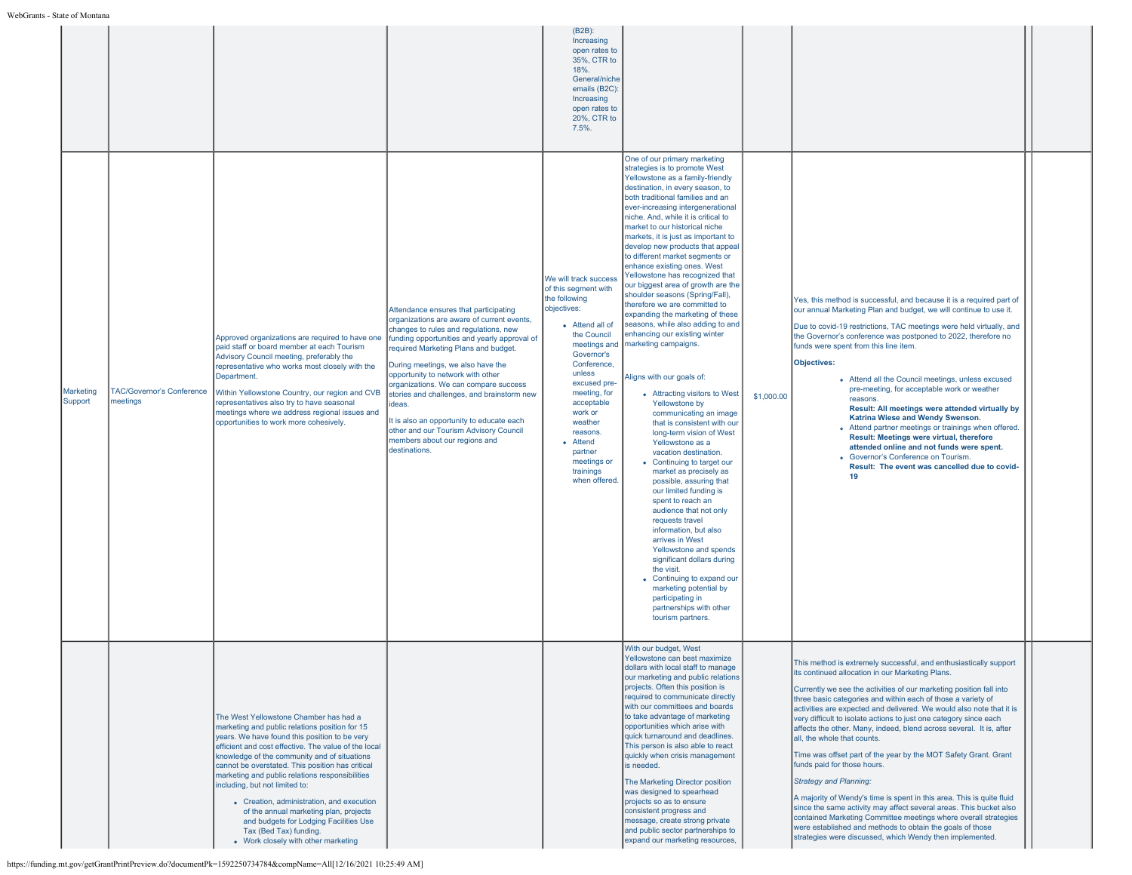|                      |                                              |                                                                                                                                                                                                                                                                                                                                                                                                                                                                                                                                                                                              |                                                                                                                                                                                                                                                                                                                                                                                                                                                                                                                                          | (B2B):<br>Increasing<br>open rates to<br>35%, CTR to<br>18%.<br>General/niche<br>emails (B2C)<br>Increasing<br>open rates to<br>20%, CTR to<br>7.5%.                                                                                                                                                                      |                                                                                                                                                                                                                                                                                                                                                                                                                                                                                                                                                                                                                                                                                                                                                                                                                                                                                                                                                                                                                                                                                                                                                                                                                                                                                                                                                                    |            |                                                                                                                                                                                                                                                                                                                                                                                                                                                                                                                                                                                                                                                                                                                                                                                                                                                                                                                                                                                               |  |
|----------------------|----------------------------------------------|----------------------------------------------------------------------------------------------------------------------------------------------------------------------------------------------------------------------------------------------------------------------------------------------------------------------------------------------------------------------------------------------------------------------------------------------------------------------------------------------------------------------------------------------------------------------------------------------|------------------------------------------------------------------------------------------------------------------------------------------------------------------------------------------------------------------------------------------------------------------------------------------------------------------------------------------------------------------------------------------------------------------------------------------------------------------------------------------------------------------------------------------|---------------------------------------------------------------------------------------------------------------------------------------------------------------------------------------------------------------------------------------------------------------------------------------------------------------------------|--------------------------------------------------------------------------------------------------------------------------------------------------------------------------------------------------------------------------------------------------------------------------------------------------------------------------------------------------------------------------------------------------------------------------------------------------------------------------------------------------------------------------------------------------------------------------------------------------------------------------------------------------------------------------------------------------------------------------------------------------------------------------------------------------------------------------------------------------------------------------------------------------------------------------------------------------------------------------------------------------------------------------------------------------------------------------------------------------------------------------------------------------------------------------------------------------------------------------------------------------------------------------------------------------------------------------------------------------------------------|------------|-----------------------------------------------------------------------------------------------------------------------------------------------------------------------------------------------------------------------------------------------------------------------------------------------------------------------------------------------------------------------------------------------------------------------------------------------------------------------------------------------------------------------------------------------------------------------------------------------------------------------------------------------------------------------------------------------------------------------------------------------------------------------------------------------------------------------------------------------------------------------------------------------------------------------------------------------------------------------------------------------|--|
| Marketing<br>Support | <b>TAC/Governor's Conference</b><br>meetings | Approved organizations are required to have one<br>paid staff or board member at each Tourism<br>Advisory Council meeting, preferably the<br>representative who works most closely with the<br>Department.<br>Within Yellowstone Country, our region and CVB<br>representatives also try to have seasonal<br>meetings where we address regional issues and<br>opportunities to work more cohesively.                                                                                                                                                                                         | Attendance ensures that participating<br>organizations are aware of current events,<br>changes to rules and regulations, new<br>funding opportunities and yearly approval of<br>required Marketing Plans and budget.<br>During meetings, we also have the<br>opportunity to network with other<br>organizations. We can compare success<br>stories and challenges, and brainstorm new<br>ideas.<br>It is also an opportunity to educate each<br>other and our Tourism Advisory Council<br>members about our regions and<br>destinations. | We will track success<br>of this segment with<br>the following<br>objectives:<br>• Attend all of<br>the Council<br>meetings and<br>Governor's<br>Conference.<br>unless<br>excused pre-<br>meeting, for<br>acceptable<br>work or<br>weather<br>reasons.<br>• Attend<br>partner<br>meetings or<br>trainings<br>when offered | One of our primary marketing<br>strategies is to promote West<br>Yellowstone as a family-friendly<br>destination, in every season, to<br>both traditional families and an<br>ever-increasing intergenerational<br>niche. And, while it is critical to<br>market to our historical niche<br>markets, it is just as important to<br>develop new products that appeal<br>to different market segments or<br>enhance existing ones. West<br>Yellowstone has recognized that<br>our biggest area of growth are the<br>shoulder seasons (Spring/Fall),<br>therefore we are committed to<br>expanding the marketing of these<br>seasons, while also adding to and<br>enhancing our existing winter<br>marketing campaigns.<br>Aligns with our goals of:<br>• Attracting visitors to West<br>Yellowstone by<br>communicating an image<br>that is consistent with our<br>long-term vision of West<br>Yellowstone as a<br>vacation destination.<br>• Continuing to target our<br>market as precisely as<br>possible, assuring that<br>our limited funding is<br>spent to reach an<br>audience that not only<br>requests travel<br>information, but also<br>arrives in West<br>Yellowstone and spends<br>significant dollars during<br>the visit.<br>• Continuing to expand our<br>marketing potential by<br>participating in<br>partnerships with other<br>tourism partners. | \$1,000.00 | Yes, this method is successful, and because it is a required part of<br>our annual Marketing Plan and budget, we will continue to use it.<br>Due to covid-19 restrictions, TAC meetings were held virtually, and<br>the Governor's conference was postponed to 2022, therefore no<br>funds were spent from this line item.<br>Objectives:<br>o Attend all the Council meetings, unless excused<br>pre-meeting, for acceptable work or weather<br>reasons.<br>Result: All meetings were attended virtually by<br>Katrina Wiese and Wendy Swenson.<br>• Attend partner meetings or trainings when offered.<br>Result: Meetings were virtual, therefore<br>attended online and not funds were spent.<br>• Governor's Conference on Tourism.<br>Result: The event was cancelled due to covid-<br>19                                                                                                                                                                                               |  |
|                      |                                              | The West Yellowstone Chamber has had a<br>marketing and public relations position for 15<br>years. We have found this position to be very<br>efficient and cost effective. The value of the local<br>knowledge of the community and of situations<br>cannot be overstated. This position has critical<br>marketing and public relations responsibilities<br>including, but not limited to:<br>• Creation, administration, and execution<br>of the annual marketing plan, projects<br>and budgets for Lodging Facilities Use<br>Tax (Bed Tax) funding.<br>• Work closely with other marketing |                                                                                                                                                                                                                                                                                                                                                                                                                                                                                                                                          |                                                                                                                                                                                                                                                                                                                           | With our budget, West<br>Yellowstone can best maximize<br>dollars with local staff to manage<br>our marketing and public relations<br>projects. Often this position is<br>required to communicate directly<br>with our committees and boards<br>to take advantage of marketing<br>opportunities which arise with<br>quick turnaround and deadlines.<br>This person is also able to react<br>quickly when crisis management<br>is needed.<br>The Marketing Director position<br>was designed to spearhead<br>projects so as to ensure<br>consistent progress and<br>message, create strong private<br>and public sector partnerships to<br>expand our marketing resources,                                                                                                                                                                                                                                                                                                                                                                                                                                                                                                                                                                                                                                                                                          |            | This method is extremely successful, and enthusiastically support<br>its continued allocation in our Marketing Plans.<br>Currently we see the activities of our marketing position fall into<br>three basic categories and within each of those a variety of<br>activities are expected and delivered. We would also note that it is<br>very difficult to isolate actions to just one category since each<br>affects the other. Many, indeed, blend across several. It is, after<br>all, the whole that counts.<br>Time was offset part of the year by the MOT Safety Grant. Grant<br>funds paid for those hours.<br><b>Strategy and Planning:</b><br>A majority of Wendy's time is spent in this area. This is quite fluid<br>since the same activity may affect several areas. This bucket also<br>contained Marketing Committee meetings where overall strategies<br>were established and methods to obtain the goals of those<br>strategies were discussed, which Wendy then implemented. |  |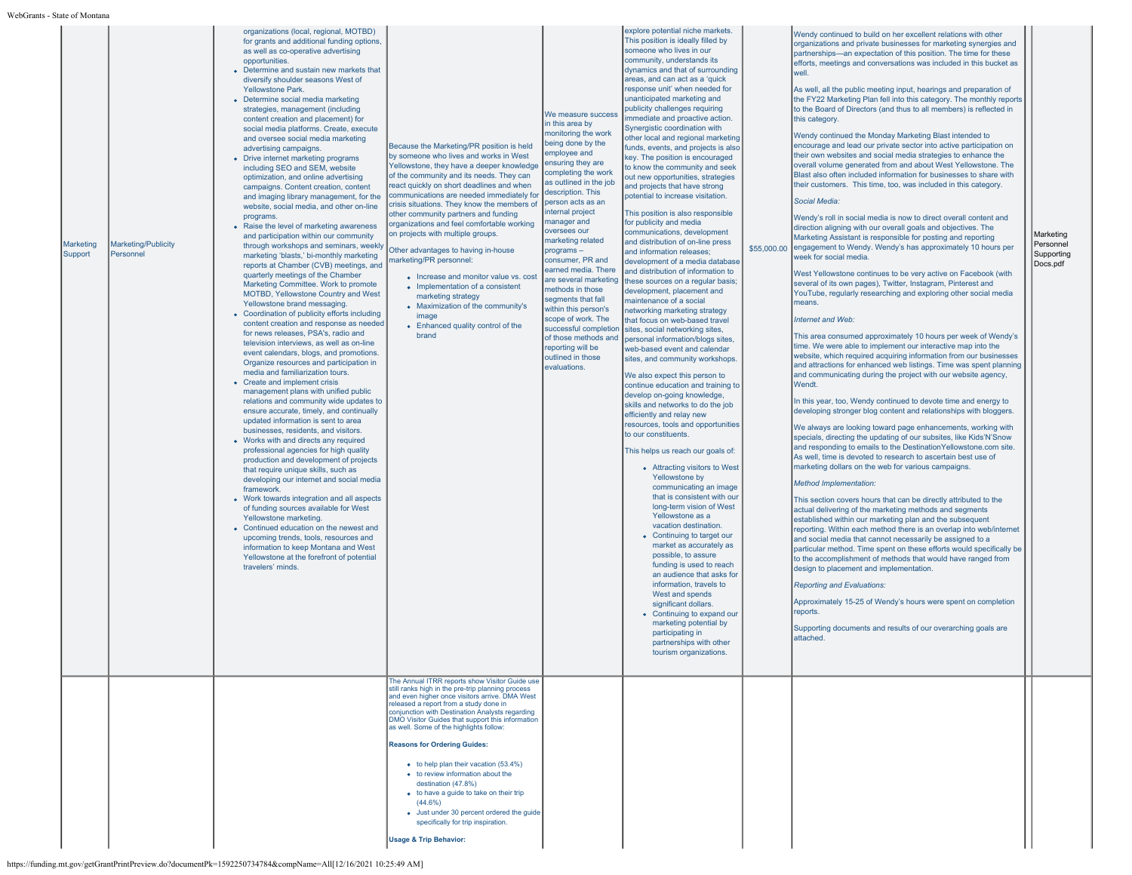| Marketing<br>Support | Marketing/Publicity<br>Personnel | organizations (local, regional, MOTBD)<br>for grants and additional funding options,<br>as well as co-operative advertising<br>opportunities.<br>• Determine and sustain new markets that<br>diversify shoulder seasons West of<br><b>Yellowstone Park.</b><br>• Determine social media marketing<br>strategies, management (including<br>content creation and placement) for<br>social media platforms. Create, execute<br>and oversee social media marketing<br>advertising campaigns.<br>• Drive internet marketing programs<br>including SEO and SEM, website<br>optimization, and online advertising<br>campaigns. Content creation, content<br>and imaging library management, for the<br>website, social media, and other on-line<br>programs.<br>• Raise the level of marketing awareness<br>and participation within our community<br>through workshops and seminars, weekly<br>marketing 'blasts,' bi-monthly marketing<br>reports at Chamber (CVB) meetings, and<br>quarterly meetings of the Chamber<br>Marketing Committee. Work to promote<br>MOTBD, Yellowstone Country and West<br>Yellowstone brand messaging.<br>• Coordination of publicity efforts including<br>content creation and response as needed<br>for news releases. PSA's, radio and<br>television interviews, as well as on-line<br>event calendars, blogs, and promotions.<br>Organize resources and participation in<br>media and familiarization tours.<br>• Create and implement crisis<br>management plans with unified public<br>relations and community wide updates to<br>ensure accurate, timely, and continually<br>updated information is sent to area<br>businesses, residents, and visitors.<br>• Works with and directs any required<br>professional agencies for high quality<br>production and development of projects<br>that require unique skills, such as<br>developing our internet and social media<br>framework.<br>• Work towards integration and all aspects<br>of funding sources available for West<br>Yellowstone marketing.<br>• Continued education on the newest and<br>upcoming trends, tools, resources and<br>information to keep Montana and West<br>Yellowstone at the forefront of potential<br>travelers' minds. | Because the Marketing/PR position is held<br>by someone who lives and works in West<br>Yellowstone, they have a deeper knowledge<br>of the community and its needs. They can<br>react quickly on short deadlines and when<br>communications are needed immediately for<br>crisis situations. They know the members of<br>other community partners and funding<br>organizations and feel comfortable working<br>on projects with multiple groups.<br>Other advantages to having in-house<br>narketing/PR personnel:<br>• Increase and monitor value vs. cost<br>• Implementation of a consistent<br>marketing strategy<br>• Maximization of the community's<br>image<br>• Enhanced quality control of the<br>brand<br>The Annual ITRR reports show Visitor Guide use<br>still ranks high in the pre-trip planning process | We measure success<br>in this area by<br>monitoring the work<br>being done by the<br>employee and<br>ensuring they are<br>completing the work<br>as outlined in the job<br>description. This<br>person acts as an<br>internal project<br>manager and<br>oversees our<br>marketing related<br>$programs -$<br>consumer, PR and<br>earned media. There<br>are several marketing<br>methods in those<br>segments that fall<br>within this person's<br>scope of work. The<br>successful completion<br>of those methods and<br>reporting will be<br>outlined in those<br>evaluations. | explore potential niche markets.<br>This position is ideally filled by<br>someone who lives in our<br>community, understands its<br>dynamics and that of surrounding<br>areas, and can act as a 'quick<br>response unit' when needed for<br>unanticipated marketing and<br>publicity challenges requiring<br>immediate and proactive action.<br>Synergistic coordination with<br>other local and regional marketing<br>funds, events, and projects is also<br>key. The position is encouraged<br>to know the community and seek<br>out new opportunities, strategies<br>and projects that have strong<br>potential to increase visitation.<br>This position is also responsible<br>for publicity and media<br>communications, development<br>and distribution of on-line press<br>and information releases;<br>development of a media database<br>and distribution of information to<br>these sources on a regular basis;<br>development, placement and<br>maintenance of a social<br>networking marketing strategy<br>that focus on web-based travel<br>sites, social networking sites,<br>personal information/blogs sites,<br>web-based event and calendar<br>sites, and community workshops.<br>We also expect this person to<br>continue education and training to<br>develop on-going knowledge,<br>skills and networks to do the job<br>efficiently and relay new<br>resources, tools and opportunities<br>to our constituents.<br>This helps us reach our goals of:<br>• Attracting visitors to West<br>Yellowstone by<br>communicating an image<br>that is consistent with our<br>long-term vision of West<br>Yellowstone as a<br>vacation destination.<br>• Continuing to target our<br>market as accurately as<br>possible, to assure<br>funding is used to reach<br>an audience that asks for<br>information, travels to<br>West and spends<br>significant dollars.<br>• Continuing to expand our<br>marketing potential by<br>participating in<br>partnerships with other<br>tourism organizations. | \$55,000.00 | Wendy continued to build on her excellent relations with other<br>organizations and private businesses for marketing synergies and<br>partnerships-an expectation of this position. The time for these<br>efforts, meetings and conversations was included in this bucket as<br>well<br>As well, all the public meeting input, hearings and preparation of<br>the FY22 Marketing Plan fell into this category. The monthly reports<br>to the Board of Directors (and thus to all members) is reflected in<br>this category.<br>Wendy continued the Monday Marketing Blast intended to<br>encourage and lead our private sector into active participation on<br>their own websites and social media strategies to enhance the<br>overall volume generated from and about West Yellowstone. The<br>Blast also often included information for businesses to share with<br>their customers. This time, too, was included in this category.<br>Social Media:<br>Wendy's roll in social media is now to direct overall content and<br>direction aligning with our overall goals and objectives. The<br>Marketing Assistant is responsible for posting and reporting<br>engagement to Wendy. Wendy's has approximately 10 hours per<br>week for social media.<br>West Yellowstone continues to be very active on Facebook (with<br>several of its own pages), Twitter, Instagram, Pinterest and<br>YouTube, regularly researching and exploring other social media<br>means.<br>Internet and Web:<br>This area consumed approximately 10 hours per week of Wendy's<br>time. We were able to implement our interactive map into the<br>website, which required acquiring information from our businesses<br>and attractions for enhanced web listings. Time was spent planning<br>and communicating during the project with our website agency.<br>Wendt.<br>In this year, too, Wendy continued to devote time and energy to<br>developing stronger blog content and relationships with bloggers.<br>We always are looking toward page enhancements, working with<br>specials, directing the updating of our subsites, like Kids'N'Snow<br>and responding to emails to the DestinationYellowstone.com site.<br>As well, time is devoted to research to ascertain best use of<br>marketing dollars on the web for various campaigns.<br>Method Implementation:<br>This section covers hours that can be directly attributed to the<br>actual delivering of the marketing methods and segments<br>established within our marketing plan and the subsequent<br>reporting. Within each method there is an overlap into web/internet<br>and social media that cannot necessarily be assigned to a<br>particular method. Time spent on these efforts would specifically be<br>to the accomplishment of methods that would have ranged from<br>design to placement and implementation.<br><b>Reporting and Evaluations:</b><br>Approximately 15-25 of Wendy's hours were spent on completion<br>reports.<br>Supporting documents and results of our overarching goals are<br>attached. | Marketing<br>Personnel<br>Supporting<br>Docs.pdf |
|----------------------|----------------------------------|---------------------------------------------------------------------------------------------------------------------------------------------------------------------------------------------------------------------------------------------------------------------------------------------------------------------------------------------------------------------------------------------------------------------------------------------------------------------------------------------------------------------------------------------------------------------------------------------------------------------------------------------------------------------------------------------------------------------------------------------------------------------------------------------------------------------------------------------------------------------------------------------------------------------------------------------------------------------------------------------------------------------------------------------------------------------------------------------------------------------------------------------------------------------------------------------------------------------------------------------------------------------------------------------------------------------------------------------------------------------------------------------------------------------------------------------------------------------------------------------------------------------------------------------------------------------------------------------------------------------------------------------------------------------------------------------------------------------------------------------------------------------------------------------------------------------------------------------------------------------------------------------------------------------------------------------------------------------------------------------------------------------------------------------------------------------------------------------------------------------------------------------------------------------------------------------------------------------------------------|--------------------------------------------------------------------------------------------------------------------------------------------------------------------------------------------------------------------------------------------------------------------------------------------------------------------------------------------------------------------------------------------------------------------------------------------------------------------------------------------------------------------------------------------------------------------------------------------------------------------------------------------------------------------------------------------------------------------------------------------------------------------------------------------------------------------------|----------------------------------------------------------------------------------------------------------------------------------------------------------------------------------------------------------------------------------------------------------------------------------------------------------------------------------------------------------------------------------------------------------------------------------------------------------------------------------------------------------------------------------------------------------------------------------|------------------------------------------------------------------------------------------------------------------------------------------------------------------------------------------------------------------------------------------------------------------------------------------------------------------------------------------------------------------------------------------------------------------------------------------------------------------------------------------------------------------------------------------------------------------------------------------------------------------------------------------------------------------------------------------------------------------------------------------------------------------------------------------------------------------------------------------------------------------------------------------------------------------------------------------------------------------------------------------------------------------------------------------------------------------------------------------------------------------------------------------------------------------------------------------------------------------------------------------------------------------------------------------------------------------------------------------------------------------------------------------------------------------------------------------------------------------------------------------------------------------------------------------------------------------------------------------------------------------------------------------------------------------------------------------------------------------------------------------------------------------------------------------------------------------------------------------------------------------------------------------------------------------------------------------------------------------------------------------------------------------|-------------|-------------------------------------------------------------------------------------------------------------------------------------------------------------------------------------------------------------------------------------------------------------------------------------------------------------------------------------------------------------------------------------------------------------------------------------------------------------------------------------------------------------------------------------------------------------------------------------------------------------------------------------------------------------------------------------------------------------------------------------------------------------------------------------------------------------------------------------------------------------------------------------------------------------------------------------------------------------------------------------------------------------------------------------------------------------------------------------------------------------------------------------------------------------------------------------------------------------------------------------------------------------------------------------------------------------------------------------------------------------------------------------------------------------------------------------------------------------------------------------------------------------------------------------------------------------------------------------------------------------------------------------------------------------------------------------------------------------------------------------------------------------------------------------------------------------------------------------------------------------------------------------------------------------------------------------------------------------------------------------------------------------------------------------------------------------------------------------------------------------------------------------------------------------------------------------------------------------------------------------------------------------------------------------------------------------------------------------------------------------------------------------------------------------------------------------------------------------------------------------------------------------------------------------------------------------------------------------------------------------------------------------------------------------------------------------------------------------------------------------------------------------------------------------------------------------------------------------------------------------------------------------------------------------------------------------------------------------------------------------------------------------------------------------------------------------------------|--------------------------------------------------|
|                      |                                  |                                                                                                                                                                                                                                                                                                                                                                                                                                                                                                                                                                                                                                                                                                                                                                                                                                                                                                                                                                                                                                                                                                                                                                                                                                                                                                                                                                                                                                                                                                                                                                                                                                                                                                                                                                                                                                                                                                                                                                                                                                                                                                                                                                                                                                       | and even higher once visitors arrive. DMA West<br>released a report from a study done in<br>conjunction with Destination Analysts regarding<br>DMO Visitor Guides that support this information<br>as well. Some of the highlights follow:<br><b>Reasons for Ordering Guides:</b><br>$\bullet$ to help plan their vacation (53.4%)<br>• to review information about the<br>destination (47.8%)<br>• to have a guide to take on their trip<br>$(44.6\%)$<br>• Just under 30 percent ordered the guide<br>specifically for trip inspiration.<br><b>Usage &amp; Trip Behavior:</b>                                                                                                                                                                                                                                          |                                                                                                                                                                                                                                                                                                                                                                                                                                                                                                                                                                                  |                                                                                                                                                                                                                                                                                                                                                                                                                                                                                                                                                                                                                                                                                                                                                                                                                                                                                                                                                                                                                                                                                                                                                                                                                                                                                                                                                                                                                                                                                                                                                                                                                                                                                                                                                                                                                                                                                                                                                                                                                  |             |                                                                                                                                                                                                                                                                                                                                                                                                                                                                                                                                                                                                                                                                                                                                                                                                                                                                                                                                                                                                                                                                                                                                                                                                                                                                                                                                                                                                                                                                                                                                                                                                                                                                                                                                                                                                                                                                                                                                                                                                                                                                                                                                                                                                                                                                                                                                                                                                                                                                                                                                                                                                                                                                                                                                                                                                                                                                                                                                                                                                                                                                         |                                                  |
|                      |                                  |                                                                                                                                                                                                                                                                                                                                                                                                                                                                                                                                                                                                                                                                                                                                                                                                                                                                                                                                                                                                                                                                                                                                                                                                                                                                                                                                                                                                                                                                                                                                                                                                                                                                                                                                                                                                                                                                                                                                                                                                                                                                                                                                                                                                                                       |                                                                                                                                                                                                                                                                                                                                                                                                                                                                                                                                                                                                                                                                                                                                                                                                                          |                                                                                                                                                                                                                                                                                                                                                                                                                                                                                                                                                                                  |                                                                                                                                                                                                                                                                                                                                                                                                                                                                                                                                                                                                                                                                                                                                                                                                                                                                                                                                                                                                                                                                                                                                                                                                                                                                                                                                                                                                                                                                                                                                                                                                                                                                                                                                                                                                                                                                                                                                                                                                                  |             |                                                                                                                                                                                                                                                                                                                                                                                                                                                                                                                                                                                                                                                                                                                                                                                                                                                                                                                                                                                                                                                                                                                                                                                                                                                                                                                                                                                                                                                                                                                                                                                                                                                                                                                                                                                                                                                                                                                                                                                                                                                                                                                                                                                                                                                                                                                                                                                                                                                                                                                                                                                                                                                                                                                                                                                                                                                                                                                                                                                                                                                                         |                                                  |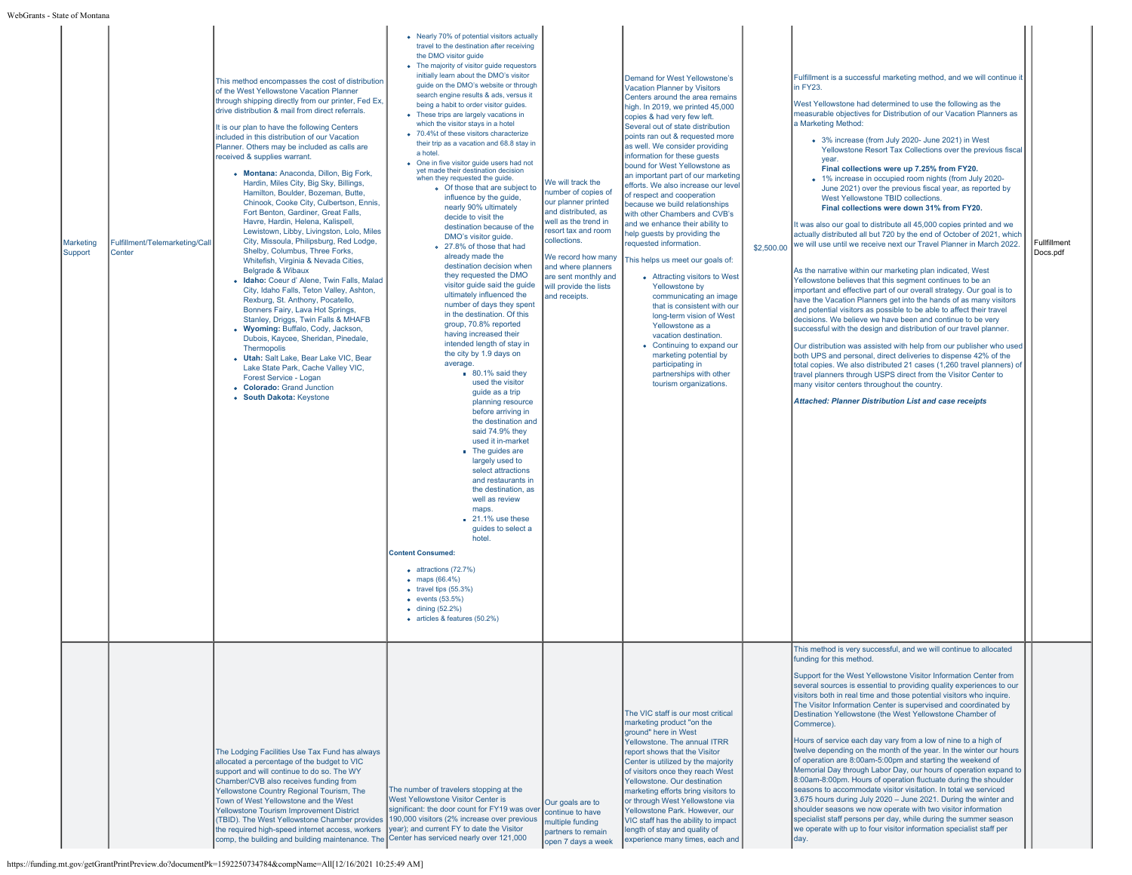| эше от ілопша        |                                          |                                                                                                                                                                                                                                                                                                                                                                                                                                                                                                                                                                                                                                                                                                                                                                                                                                                                                                                                                                                                                                                                                                                                                                                                                                                                                                                      |                                                                                                                                                                                                                                                                                                                                                                                                                                                                                                                                                                                                                                                                                                                                                                                                                                                                                                                                                                                                                                                                                                                                                                                                                                                                                                                                                                                                                                                                                                                                                                                                                                                                                                                                                                  |                                                                                                                                                                                                                                                                      |                                                                                                                                                                                                                                                                                                                                                                                                                                                                                                                                                                                                                                                                                                                                                                                                                                                                                                                                                                                           |            |                                                                                                                                                                                                                                                                                                                                                                                                                                                                                                                                                                                                                                                                                                                                                                                                                                                                                                                                                                                                                                                                                                                                                                                                                                                                                                                                                                                                                                                                                                                                                                                                                                                                                                                                                                                                                         |                          |  |
|----------------------|------------------------------------------|----------------------------------------------------------------------------------------------------------------------------------------------------------------------------------------------------------------------------------------------------------------------------------------------------------------------------------------------------------------------------------------------------------------------------------------------------------------------------------------------------------------------------------------------------------------------------------------------------------------------------------------------------------------------------------------------------------------------------------------------------------------------------------------------------------------------------------------------------------------------------------------------------------------------------------------------------------------------------------------------------------------------------------------------------------------------------------------------------------------------------------------------------------------------------------------------------------------------------------------------------------------------------------------------------------------------|------------------------------------------------------------------------------------------------------------------------------------------------------------------------------------------------------------------------------------------------------------------------------------------------------------------------------------------------------------------------------------------------------------------------------------------------------------------------------------------------------------------------------------------------------------------------------------------------------------------------------------------------------------------------------------------------------------------------------------------------------------------------------------------------------------------------------------------------------------------------------------------------------------------------------------------------------------------------------------------------------------------------------------------------------------------------------------------------------------------------------------------------------------------------------------------------------------------------------------------------------------------------------------------------------------------------------------------------------------------------------------------------------------------------------------------------------------------------------------------------------------------------------------------------------------------------------------------------------------------------------------------------------------------------------------------------------------------------------------------------------------------|----------------------------------------------------------------------------------------------------------------------------------------------------------------------------------------------------------------------------------------------------------------------|-------------------------------------------------------------------------------------------------------------------------------------------------------------------------------------------------------------------------------------------------------------------------------------------------------------------------------------------------------------------------------------------------------------------------------------------------------------------------------------------------------------------------------------------------------------------------------------------------------------------------------------------------------------------------------------------------------------------------------------------------------------------------------------------------------------------------------------------------------------------------------------------------------------------------------------------------------------------------------------------|------------|-------------------------------------------------------------------------------------------------------------------------------------------------------------------------------------------------------------------------------------------------------------------------------------------------------------------------------------------------------------------------------------------------------------------------------------------------------------------------------------------------------------------------------------------------------------------------------------------------------------------------------------------------------------------------------------------------------------------------------------------------------------------------------------------------------------------------------------------------------------------------------------------------------------------------------------------------------------------------------------------------------------------------------------------------------------------------------------------------------------------------------------------------------------------------------------------------------------------------------------------------------------------------------------------------------------------------------------------------------------------------------------------------------------------------------------------------------------------------------------------------------------------------------------------------------------------------------------------------------------------------------------------------------------------------------------------------------------------------------------------------------------------------------------------------------------------------|--------------------------|--|
| Marketing<br>Support | Fulfillment/Telemarketing/Call<br>Center | This method encompasses the cost of distribution<br>of the West Yellowstone Vacation Planner<br>through shipping directly from our printer, Fed Ex,<br>drive distribution & mail from direct referrals.<br>It is our plan to have the following Centers<br>included in this distribution of our Vacation<br>Planner. Others may be included as calls are<br>received & supplies warrant.<br>• Montana: Anaconda, Dillon, Big Fork,<br>Hardin, Miles City, Big Sky, Billings,<br>Hamilton, Boulder, Bozeman, Butte,<br>Chinook, Cooke City, Culbertson, Ennis,<br>Fort Benton, Gardiner, Great Falls,<br>Havre, Hardin, Helena, Kalispell,<br>Lewistown, Libby, Livingston, Lolo, Miles<br>City, Missoula, Philipsburg, Red Lodge,<br>Shelby, Columbus, Three Forks,<br>Whitefish, Virginia & Nevada Cities,<br><b>Belgrade &amp; Wibaux</b><br>· Idaho: Coeur d' Alene, Twin Falls, Malad<br>City, Idaho Falls, Teton Valley, Ashton,<br>Rexburg, St. Anthony, Pocatello,<br>Bonners Fairy, Lava Hot Springs,<br>Stanley, Driggs, Twin Falls & MHAFB<br>• Wyoming: Buffalo, Cody, Jackson,<br>Dubois, Kaycee, Sheridan, Pinedale,<br>Thermopolis<br>• Utah: Salt Lake, Bear Lake VIC, Bear<br>Lake State Park, Cache Valley VIC,<br>Forest Service - Logan<br>• Colorado: Grand Junction<br>• South Dakota: Keystone | • Nearly 70% of potential visitors actually<br>travel to the destination after receiving<br>the DMO visitor guide<br>• The majority of visitor guide requestors<br>initially learn about the DMO's visitor<br>guide on the DMO's website or through<br>search engine results & ads, versus it<br>being a habit to order visitor guides.<br>• These trips are largely vacations in<br>which the visitor stays in a hotel<br>• 70.4%t of these visitors characterize<br>their trip as a vacation and 68.8 stay in<br>a hotel<br>• One in five visitor guide users had not<br>yet made their destination decision<br>when they requested the guide.<br>o Of those that are subject to<br>influence by the guide,<br>nearly 90% ultimately<br>decide to visit the<br>destination because of the<br>DMO's visitor guide.<br>o 27.8% of those that had<br>already made the<br>destination decision when<br>they requested the DMO<br>visitor guide said the guide<br>ultimately influenced the<br>number of days they spent<br>in the destination. Of this<br>group, 70.8% reported<br>having increased their<br>intended length of stay in<br>the city by 1.9 days on<br>average.<br>$80.1\%$ said they<br>used the visitor<br>quide as a trip<br>planning resource<br>before arriving in<br>the destination and<br>said 74.9% they<br>used it in-market<br>• The guides are<br>largely used to<br>select attractions<br>and restaurants in<br>the destination, as<br>well as review<br>maps.<br>$\blacksquare$ 21.1% use these<br>quides to select a<br>hotel.<br><b>Content Consumed:</b><br>· attractions (72.7%)<br>• maps $(66.4%)$<br>$\bullet$ travel tips $(55.3\%)$<br>$\bullet$ events (53.5%)<br>$\bullet$ dining (52.2%)<br>· articles & features (50.2%) | We will track the<br>number of copies of<br>our planner printed<br>and distributed, as<br>well as the trend in<br>resort tax and room<br>collections.<br>We record how many<br>and where planners<br>are sent monthly and<br>will provide the lists<br>and receipts. | Demand for West Yellowstone's<br><b>Vacation Planner by Visitors</b><br>Centers around the area remains<br>high. In 2019, we printed 45,000<br>copies & had very few left.<br>Several out of state distribution<br>points ran out & requested more<br>as well. We consider providing<br>information for these quests<br>bound for West Yellowstone as<br>an important part of our marketing<br>efforts. We also increase our level<br>of respect and cooperation<br>because we build relationships<br>with other Chambers and CVB's<br>and we enhance their ability to<br>help guests by providing the<br>requested information<br>This helps us meet our goals of:<br>• Attracting visitors to West<br>Yellowstone by<br>communicating an image<br>that is consistent with our<br>long-term vision of West<br>Yellowstone as a<br>vacation destination.<br>• Continuing to expand our<br>marketing potential by<br>participating in<br>partnerships with other<br>tourism organizations. | \$2,500.00 | Fulfillment is a successful marketing method, and we will continue it<br>in FY23.<br>West Yellowstone had determined to use the following as the<br>measurable objectives for Distribution of our Vacation Planners as<br>a Marketing Method:<br>• 3% increase (from July 2020- June 2021) in West<br>Yellowstone Resort Tax Collections over the previous fiscal<br>vear.<br>Final collections were up 7.25% from FY20.<br>• 1% increase in occupied room nights (from July 2020-<br>June 2021) over the previous fiscal year, as reported by<br>West Yellowstone TBID collections.<br>Final collections were down 31% from FY20.<br>It was also our goal to distribute all 45,000 copies printed and we<br>actually distributed all but 720 by the end of October of 2021, which<br>we will use until we receive next our Travel Planner in March 2022.<br>As the narrative within our marketing plan indicated, West<br>Yellowstone believes that this segment continues to be an<br>important and effective part of our overall strategy. Our goal is to<br>have the Vacation Planners get into the hands of as many visitors<br>and potential visitors as possible to be able to affect their travel<br>decisions. We believe we have been and continue to be very<br>successful with the design and distribution of our travel planner.<br>Our distribution was assisted with help from our publisher who used<br>both UPS and personal, direct deliveries to dispense 42% of the<br>total copies. We also distributed 21 cases (1,260 travel planners) of<br>travel planners through USPS direct from the Visitor Center to<br>many visitor centers throughout the country.<br><b>Attached: Planner Distribution List and case receipts</b><br>This method is very successful, and we will continue to allocated | Fullfillment<br>Docs.pdf |  |
|                      |                                          | The Lodging Facilities Use Tax Fund has always<br>allocated a percentage of the budget to VIC<br>support and will continue to do so. The WY<br>Chamber/CVB also receives funding from<br>Yellowstone Country Regional Tourism, The<br>Town of West Yellowstone and the West<br>Yellowstone Tourism Improvement District<br>(TBID). The West Yellowstone Chamber provides<br>the required high-speed internet access, workers<br>comp, the building and building maintenance. The                                                                                                                                                                                                                                                                                                                                                                                                                                                                                                                                                                                                                                                                                                                                                                                                                                     | The number of travelers stopping at the<br>West Yellowstone Visitor Center is<br>significant: the door count for FY19 was over<br>190,000 visitors (2% increase over previous<br>vear); and current FY to date the Visitor<br>Center has serviced nearly over 121,000                                                                                                                                                                                                                                                                                                                                                                                                                                                                                                                                                                                                                                                                                                                                                                                                                                                                                                                                                                                                                                                                                                                                                                                                                                                                                                                                                                                                                                                                                            | Our goals are to<br>continue to have<br>multiple funding<br>partners to remain<br>open 7 days a week                                                                                                                                                                 | The VIC staff is our most critical<br>marketing product "on the<br>ground" here in West<br>Yellowstone. The annual ITRR<br>report shows that the Visitor<br>Center is utilized by the majority<br>of visitors once they reach West<br>Yellowstone. Our destination<br>marketing efforts bring visitors to<br>or through West Yellowstone via<br>Yellowstone Park. However, our<br>VIC staff has the ability to impact<br>length of stay and quality of<br>experience many times, each and                                                                                                                                                                                                                                                                                                                                                                                                                                                                                                 |            | funding for this method.<br>Support for the West Yellowstone Visitor Information Center from<br>several sources is essential to providing quality experiences to our<br>visitors both in real time and those potential visitors who inquire.<br>The Visitor Information Center is supervised and coordinated by<br>Destination Yellowstone (the West Yellowstone Chamber of<br>Commerce).<br>Hours of service each day vary from a low of nine to a high of<br>twelve depending on the month of the year. In the winter our hours<br>of operation are 8:00am-5:00pm and starting the weekend of<br>Memorial Day through Labor Day, our hours of operation expand to<br>8:00am-8:00pm. Hours of operation fluctuate during the shoulder<br>seasons to accommodate visitor visitation. In total we serviced<br>3,675 hours during July 2020 - June 2021. During the winter and<br>shoulder seasons we now operate with two visitor information<br>specialist staff persons per day, while during the summer season<br>we operate with up to four visitor information specialist staff per                                                                                                                                                                                                                                                                                                                                                                                                                                                                                                                                                                                                                                                                                                                                 |                          |  |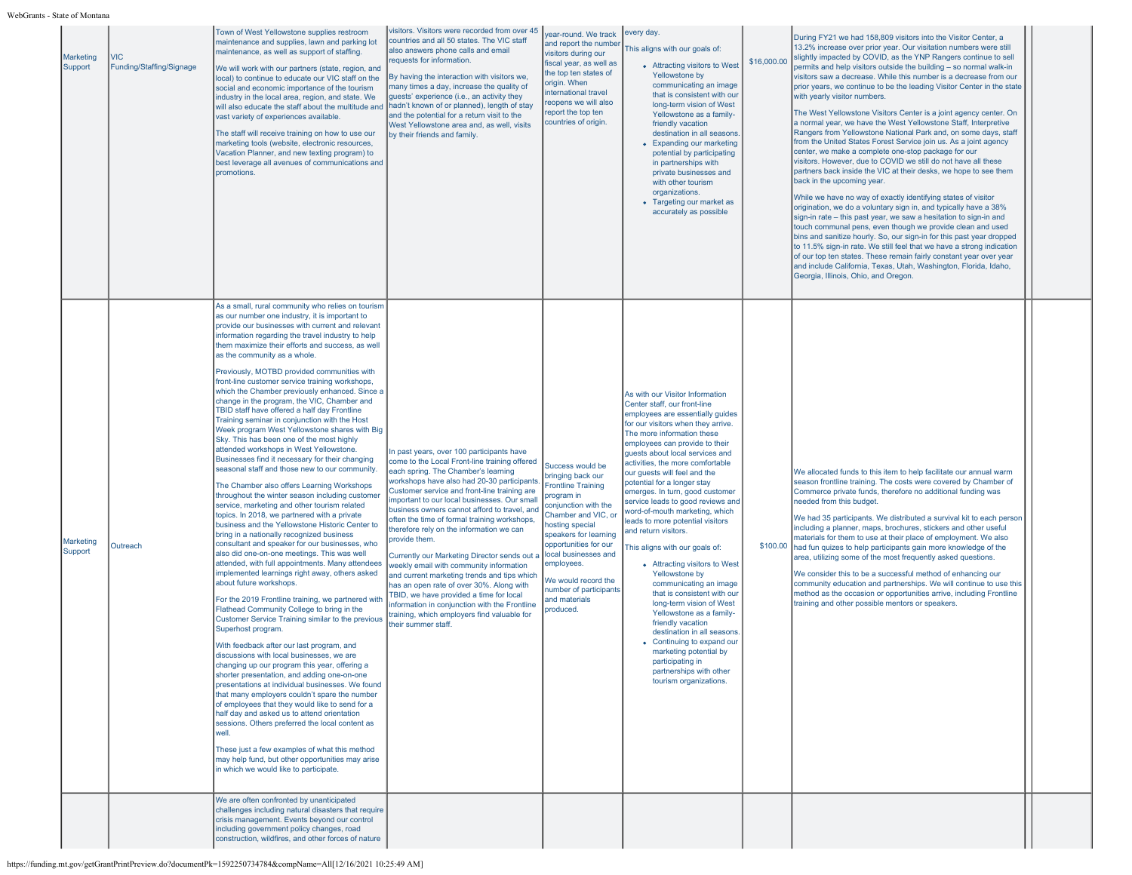| Marketing<br>Support | VIC<br>Funding/Staffing/Signage | Town of West Yellowstone supplies restroom<br>maintenance and supplies, lawn and parking lot<br>maintenance, as well as support of staffing.<br>We will work with our partners (state, region, and<br>local) to continue to educate our VIC staff on the<br>social and economic importance of the tourism<br>industry in the local area, region, and state. We<br>will also educate the staff about the multitude and<br>vast variety of experiences available.<br>The staff will receive training on how to use our<br>marketing tools (website, electronic resources,<br>Vacation Planner, and new texting program) to<br>best leverage all avenues of communications and<br>promotions.                                                                                                                                                                                                                                                                                                                                                                                                                                                                                                                                                                                                                                                                                                                                                                                                                                                                                                                                                                                                                                                                                                                                                                                                                                                                                                                                                                                                                                                                                                                                   | visitors. Visitors were recorded from over 45<br>countries and all 50 states. The VIC staff<br>also answers phone calls and email<br>requests for information.<br>By having the interaction with visitors we,<br>many times a day, increase the quality of<br>guests' experience (i.e., an activity they<br>hadn't known of or planned), length of stay<br>and the potential for a return visit to the<br>West Yellowstone area and, as well, visits<br>by their friends and family.                                                                                                                                                                                                                                                                                                                 | year-round. We track<br>and report the number<br>visitors during our<br>fiscal year, as well as<br>the top ten states of<br>origin. When<br>international travel<br>reopens we will also<br>report the top ten<br>countries of origin.                                                                             | every day.<br>This aligns with our goals of:<br>• Attracting visitors to West<br>Yellowstone by<br>communicating an image<br>that is consistent with our<br>long-term vision of West<br>Yellowstone as a family-<br>friendly vacation<br>destination in all seasons<br>• Expanding our marketing<br>potential by participating<br>in partnerships with<br>private businesses and<br>with other tourism<br>organizations.<br>• Targeting our market as<br>accurately as possible                                                                                                                                                                                                                                                                                                                                                                                                                                 | \$16,000.00 | During FY21 we had 158,809 visitors into the Visitor Center, a<br>13.2% increase over prior year. Our visitation numbers were still<br>slightly impacted by COVID, as the YNP Rangers continue to sell<br>permits and help visitors outside the building - so normal walk-in<br>visitors saw a decrease. While this number is a decrease from our<br>prior years, we continue to be the leading Visitor Center in the state<br>with yearly visitor numbers.<br>The West Yellowstone Visitors Center is a joint agency center. On<br>a normal year, we have the West Yellowstone Staff, Interpretive<br>Rangers from Yellowstone National Park and, on some days, staff<br>from the United States Forest Service join us. As a joint agency<br>center, we make a complete one-stop package for our<br>visitors. However, due to COVID we still do not have all these<br>partners back inside the VIC at their desks, we hope to see them<br>back in the upcoming year.<br>While we have no way of exactly identifying states of visitor<br>origination, we do a voluntary sign in, and typically have a 38%<br>sign-in rate – this past year, we saw a hesitation to sign-in and<br>touch communal pens, even though we provide clean and used<br>bins and sanitize hourly. So, our sign-in for this past year dropped<br>to 11.5% sign-in rate. We still feel that we have a strong indication<br>of our top ten states. These remain fairly constant year over year<br>and include California, Texas, Utah, Washington, Florida, Idaho,<br>Georgia, Illinois, Ohio, and Oregon. |  |
|----------------------|---------------------------------|------------------------------------------------------------------------------------------------------------------------------------------------------------------------------------------------------------------------------------------------------------------------------------------------------------------------------------------------------------------------------------------------------------------------------------------------------------------------------------------------------------------------------------------------------------------------------------------------------------------------------------------------------------------------------------------------------------------------------------------------------------------------------------------------------------------------------------------------------------------------------------------------------------------------------------------------------------------------------------------------------------------------------------------------------------------------------------------------------------------------------------------------------------------------------------------------------------------------------------------------------------------------------------------------------------------------------------------------------------------------------------------------------------------------------------------------------------------------------------------------------------------------------------------------------------------------------------------------------------------------------------------------------------------------------------------------------------------------------------------------------------------------------------------------------------------------------------------------------------------------------------------------------------------------------------------------------------------------------------------------------------------------------------------------------------------------------------------------------------------------------------------------------------------------------------------------------------------------------|------------------------------------------------------------------------------------------------------------------------------------------------------------------------------------------------------------------------------------------------------------------------------------------------------------------------------------------------------------------------------------------------------------------------------------------------------------------------------------------------------------------------------------------------------------------------------------------------------------------------------------------------------------------------------------------------------------------------------------------------------------------------------------------------------|--------------------------------------------------------------------------------------------------------------------------------------------------------------------------------------------------------------------------------------------------------------------------------------------------------------------|-----------------------------------------------------------------------------------------------------------------------------------------------------------------------------------------------------------------------------------------------------------------------------------------------------------------------------------------------------------------------------------------------------------------------------------------------------------------------------------------------------------------------------------------------------------------------------------------------------------------------------------------------------------------------------------------------------------------------------------------------------------------------------------------------------------------------------------------------------------------------------------------------------------------|-------------|----------------------------------------------------------------------------------------------------------------------------------------------------------------------------------------------------------------------------------------------------------------------------------------------------------------------------------------------------------------------------------------------------------------------------------------------------------------------------------------------------------------------------------------------------------------------------------------------------------------------------------------------------------------------------------------------------------------------------------------------------------------------------------------------------------------------------------------------------------------------------------------------------------------------------------------------------------------------------------------------------------------------------------------------------------------------------------------------------------------------------------------------------------------------------------------------------------------------------------------------------------------------------------------------------------------------------------------------------------------------------------------------------------------------------------------------------------------------------------------------------------------------------------------------------------------------------------|--|
| Marketing<br>Support | Outreach                        | As a small, rural community who relies on tourism<br>as our number one industry, it is important to<br>provide our businesses with current and relevant<br>information regarding the travel industry to help<br>them maximize their efforts and success, as well<br>as the community as a whole.<br>Previously, MOTBD provided communities with<br>front-line customer service training workshops.<br>which the Chamber previously enhanced. Since a<br>change in the program, the VIC, Chamber and<br>TBID staff have offered a half day Frontline<br>Training seminar in conjunction with the Host<br>Week program West Yellowstone shares with Big<br>Sky. This has been one of the most highly<br>attended workshops in West Yellowstone.<br>Businesses find it necessary for their changing<br>seasonal staff and those new to our community.<br>The Chamber also offers Learning Workshops<br>throughout the winter season including customer<br>service, marketing and other tourism related<br>topics. In 2018, we partnered with a private<br>business and the Yellowstone Historic Center to<br>bring in a nationally recognized business<br>consultant and speaker for our businesses, who<br>also did one-on-one meetings. This was well<br>attended, with full appointments. Many attendees<br>implemented learnings right away, others asked<br>about future workshops.<br>For the 2019 Frontline training, we partnered with<br>Flathead Community College to bring in the<br>Customer Service Training similar to the previous<br>Superhost program.<br>With feedback after our last program, and<br>discussions with local businesses, we are<br>changing up our program this year, offering a<br>shorter presentation, and adding one-on-one<br>presentations at individual businesses. We found<br>that many employers couldn't spare the number<br>of employees that they would like to send for a<br>half day and asked us to attend orientation<br>sessions. Others preferred the local content as<br>well.<br>These just a few examples of what this method<br>may help fund, but other opportunities may arise<br>in which we would like to participate.<br>We are often confronted by unanticipated | In past years, over 100 participants have<br>come to the Local Front-line training offered<br>each spring. The Chamber's learning<br>workshops have also had 20-30 participants<br>Customer service and front-line training are<br>important to our local businesses. Our small<br>business owners cannot afford to travel, and<br>often the time of formal training workshops,<br>therefore rely on the information we can<br>provide them.<br>Currently our Marketing Director sends out a<br>weekly email with community information<br>and current marketing trends and tips which<br>has an open rate of over 30%. Along with<br>TBID, we have provided a time for local<br>information in conjunction with the Frontline<br>training, which employers find valuable for<br>their summer staff. | Success would be<br>bringing back our<br>Frontline Training<br>program in<br>conjunction with the<br>Chamber and VIC, or<br>hosting special<br>speakers for learning<br>opportunities for our<br>local businesses and<br>employees.<br>We would record the<br>number of participants<br>and materials<br>produced. | As with our Visitor Information<br>Center staff, our front-line<br>employees are essentially quides<br>for our visitors when they arrive.<br>The more information these<br>employees can provide to their<br>quests about local services and<br>activities, the more comfortable<br>our quests will feel and the<br>potential for a longer stay<br>emerges. In turn, good customer<br>service leads to good reviews and<br>word-of-mouth marketing, which<br>leads to more potential visitors<br>and return visitors.<br>This aligns with our goals of:<br>• Attracting visitors to West<br>Yellowstone by<br>communicating an image<br>that is consistent with our<br>long-term vision of West<br>Yellowstone as a family-<br>friendly vacation<br>destination in all seasons<br>• Continuing to expand our<br>marketing potential by<br>participating in<br>partnerships with other<br>tourism organizations. |             | We allocated funds to this item to help facilitate our annual warm<br>season frontline training. The costs were covered by Chamber of<br>Commerce private funds, therefore no additional funding was<br>needed from this budget.<br>We had 35 participants. We distributed a survival kit to each person<br>including a planner, maps, brochures, stickers and other useful<br>materials for them to use at their place of employment. We also<br>\$100.00 had fun quizes to help participants gain more knowledge of the<br>area, utilizing some of the most frequently asked questions.<br>We consider this to be a successful method of enhancing our<br>community education and partnerships. We will continue to use this<br>method as the occasion or opportunities arrive, including Frontline<br>training and other possible mentors or speakers.                                                                                                                                                                                                                                                                                                                                                                                                                                                                                                                                                                                                                                                                                                                        |  |
|                      |                                 | challenges including natural disasters that require<br>crisis management. Events beyond our control<br>including government policy changes, road<br>construction, wildfires, and other forces of nature                                                                                                                                                                                                                                                                                                                                                                                                                                                                                                                                                                                                                                                                                                                                                                                                                                                                                                                                                                                                                                                                                                                                                                                                                                                                                                                                                                                                                                                                                                                                                                                                                                                                                                                                                                                                                                                                                                                                                                                                                      |                                                                                                                                                                                                                                                                                                                                                                                                                                                                                                                                                                                                                                                                                                                                                                                                      |                                                                                                                                                                                                                                                                                                                    |                                                                                                                                                                                                                                                                                                                                                                                                                                                                                                                                                                                                                                                                                                                                                                                                                                                                                                                 |             |                                                                                                                                                                                                                                                                                                                                                                                                                                                                                                                                                                                                                                                                                                                                                                                                                                                                                                                                                                                                                                                                                                                                                                                                                                                                                                                                                                                                                                                                                                                                                                                  |  |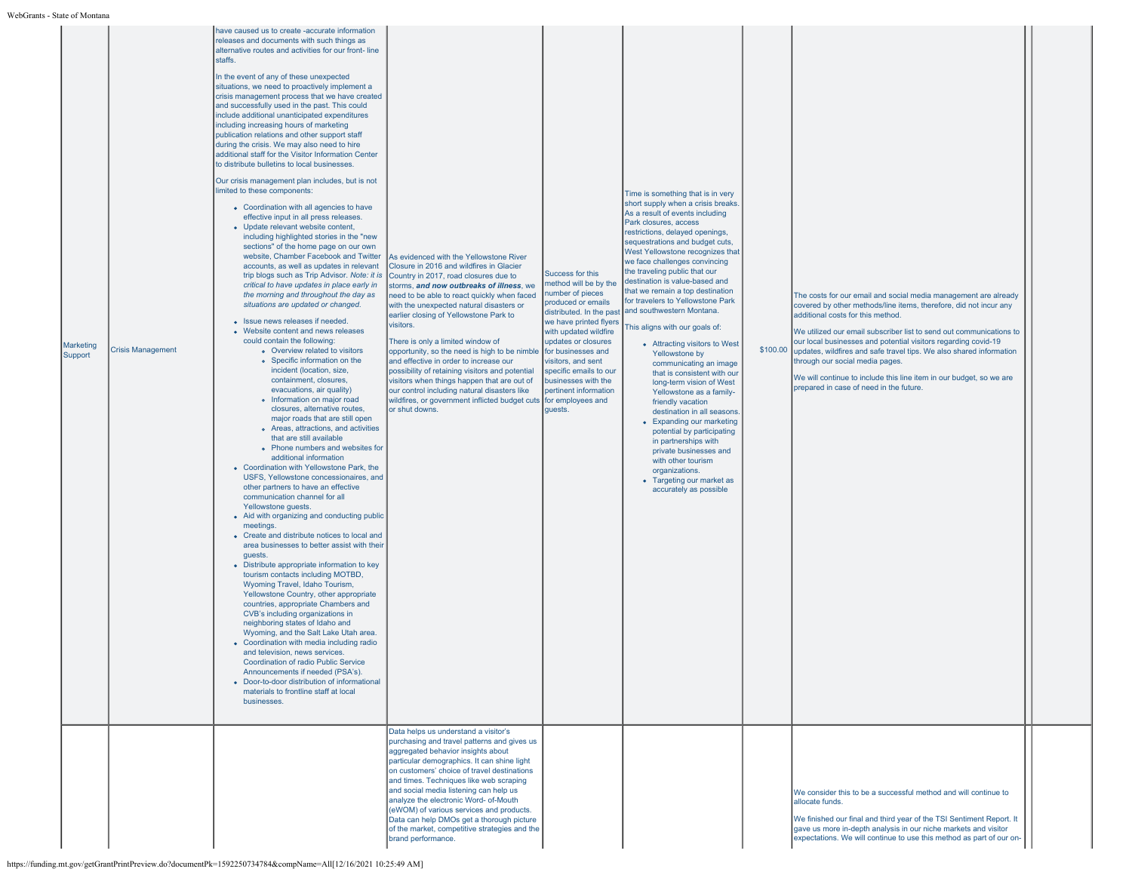| <b>Marketing</b><br>Support | <b>Crisis Management</b> | releases and documents with such things as<br>alternative routes and activities for our front-line<br>staffs.<br>In the event of any of these unexpected<br>situations, we need to proactively implement a<br>crisis management process that we have created<br>and successfully used in the past. This could<br>include additional unanticipated expenditures<br>including increasing hours of marketing<br>publication relations and other support staff<br>during the crisis. We may also need to hire<br>additional staff for the Visitor Information Center<br>to distribute bulletins to local businesses.<br>Our crisis management plan includes, but is not<br>limited to these components:<br>• Coordination with all agencies to have<br>effective input in all press releases.<br>• Update relevant website content,<br>including highlighted stories in the "new<br>sections" of the home page on our own<br>website, Chamber Facebook and Twitter<br>accounts, as well as updates in relevant<br>trip blogs such as Trip Advisor. Note: it is<br>critical to have updates in place early in<br>the morning and throughout the day as<br>situations are updated or changed.<br>• Issue news releases if needed.<br>• Website content and news releases<br>could contain the following:<br>o Overview related to visitors<br>• Specific information on the<br>incident (location, size,<br>containment, closures,<br>evacuations, air quality)<br>• Information on major road<br>closures, alternative routes,<br>major roads that are still open<br>• Areas, attractions, and activities<br>that are still available<br>• Phone numbers and websites for<br>additional information<br>• Coordination with Yellowstone Park, the<br>USFS, Yellowstone concessionaires, and<br>other partners to have an effective<br>communication channel for all<br>Yellowstone quests.<br>• Aid with organizing and conducting public<br>meetings.<br>• Create and distribute notices to local and<br>area businesses to better assist with their<br>quests.<br>• Distribute appropriate information to key<br>tourism contacts including MOTBD.<br>Wyoming Travel, Idaho Tourism,<br>Yellowstone Country, other appropriate<br>countries, appropriate Chambers and<br>CVB's including organizations in<br>neighboring states of Idaho and<br>Wyoming, and the Salt Lake Utah area.<br>• Coordination with media including radio<br>and television, news services.<br>Coordination of radio Public Service<br>Announcements if needed (PSA's).<br>• Door-to-door distribution of informational<br>materials to frontline staff at local<br>businesses. | As evidenced with the Yellowstone River<br>Closure in 2016 and wildfires in Glacier<br>Country in 2017, road closures due to<br>storms, and now outbreaks of illness, we<br>need to be able to react quickly when faced<br>with the unexpected natural disasters or<br>earlier closing of Yellowstone Park to<br>visitors.<br>There is only a limited window of<br>opportunity, so the need is high to be nimble<br>and effective in order to increase our<br>possibility of retaining visitors and potential<br>visitors when things happen that are out of<br>our control including natural disasters like<br>wildfires, or government inflicted budget cuts for employees and<br>or shut downs.<br>Data helps us understand a visitor's<br>purchasing and travel patterns and gives us<br>aggregated behavior insights about<br>particular demographics. It can shine light<br>on customers' choice of travel destinations | Success for this<br>method will be by the<br>number of pieces<br>produced or emails<br>distributed. In the past<br>we have printed flyers<br>with updated wildfire<br>updates or closures<br>for businesses and<br>visitors, and sent<br>specific emails to our<br>businesses with the<br>pertinent information<br>quests. | Time is something that is in very<br>short supply when a crisis breaks.<br>As a result of events including<br>Park closures, access<br>restrictions, delayed openings,<br>sequestrations and budget cuts,<br>West Yellowstone recognizes that<br>we face challenges convincing<br>the traveling public that our<br>destination is value-based and<br>that we remain a top destination<br>for travelers to Yellowstone Park<br>and southwestern Montana.<br>This aligns with our goals of:<br>• Attracting visitors to West<br>Yellowstone by<br>communicating an image<br>that is consistent with our<br>long-term vision of West<br>Yellowstone as a family-<br>friendly vacation<br>destination in all seasons<br>• Expanding our marketing<br>potential by participating<br>in partnerships with<br>private businesses and<br>with other tourism<br>organizations.<br>• Targeting our market as<br>accurately as possible | The costs for our email and social media management are already<br>covered by other methods/line items, therefore, did not incur any<br>additional costs for this method.<br>We utilized our email subscriber list to send out communications to<br>our local businesses and potential visitors regarding covid-19<br>\$100.00 updates, wildfires and safe travel tips. We also shared information<br>through our social media pages.<br>We will continue to include this line item in our budget, so we are<br>prepared in case of need in the future. |  |
|-----------------------------|--------------------------|------------------------------------------------------------------------------------------------------------------------------------------------------------------------------------------------------------------------------------------------------------------------------------------------------------------------------------------------------------------------------------------------------------------------------------------------------------------------------------------------------------------------------------------------------------------------------------------------------------------------------------------------------------------------------------------------------------------------------------------------------------------------------------------------------------------------------------------------------------------------------------------------------------------------------------------------------------------------------------------------------------------------------------------------------------------------------------------------------------------------------------------------------------------------------------------------------------------------------------------------------------------------------------------------------------------------------------------------------------------------------------------------------------------------------------------------------------------------------------------------------------------------------------------------------------------------------------------------------------------------------------------------------------------------------------------------------------------------------------------------------------------------------------------------------------------------------------------------------------------------------------------------------------------------------------------------------------------------------------------------------------------------------------------------------------------------------------------------------------------------------------------------------------------------------------------------------------------------------------------------------------------------------------------------------------------------------------------------------------------------------------------------------------------------------------------------------------------------------------------------------------------------------------------------------------------------------------------------------------------------------------------------------|-------------------------------------------------------------------------------------------------------------------------------------------------------------------------------------------------------------------------------------------------------------------------------------------------------------------------------------------------------------------------------------------------------------------------------------------------------------------------------------------------------------------------------------------------------------------------------------------------------------------------------------------------------------------------------------------------------------------------------------------------------------------------------------------------------------------------------------------------------------------------------------------------------------------------------|----------------------------------------------------------------------------------------------------------------------------------------------------------------------------------------------------------------------------------------------------------------------------------------------------------------------------|------------------------------------------------------------------------------------------------------------------------------------------------------------------------------------------------------------------------------------------------------------------------------------------------------------------------------------------------------------------------------------------------------------------------------------------------------------------------------------------------------------------------------------------------------------------------------------------------------------------------------------------------------------------------------------------------------------------------------------------------------------------------------------------------------------------------------------------------------------------------------------------------------------------------------|---------------------------------------------------------------------------------------------------------------------------------------------------------------------------------------------------------------------------------------------------------------------------------------------------------------------------------------------------------------------------------------------------------------------------------------------------------------------------------------------------------------------------------------------------------|--|
|                             |                          |                                                                                                                                                                                                                                                                                                                                                                                                                                                                                                                                                                                                                                                                                                                                                                                                                                                                                                                                                                                                                                                                                                                                                                                                                                                                                                                                                                                                                                                                                                                                                                                                                                                                                                                                                                                                                                                                                                                                                                                                                                                                                                                                                                                                                                                                                                                                                                                                                                                                                                                                                                                                                                                      | and times. Techniques like web scraping<br>and social media listening can help us<br>analyze the electronic Word- of-Mouth<br>(eWOM) of various services and products.<br>Data can help DMOs get a thorough picture<br>of the market, competitive strategies and the<br>brand performance.                                                                                                                                                                                                                                                                                                                                                                                                                                                                                                                                                                                                                                    |                                                                                                                                                                                                                                                                                                                            |                                                                                                                                                                                                                                                                                                                                                                                                                                                                                                                                                                                                                                                                                                                                                                                                                                                                                                                              | We consider this to be a successful method and will continue to<br>allocate funds.<br>We finished our final and third year of the TSI Sentiment Report. It<br>gave us more in-depth analysis in our niche markets and visitor<br>expectations. We will continue to use this method as part of our on-                                                                                                                                                                                                                                                   |  |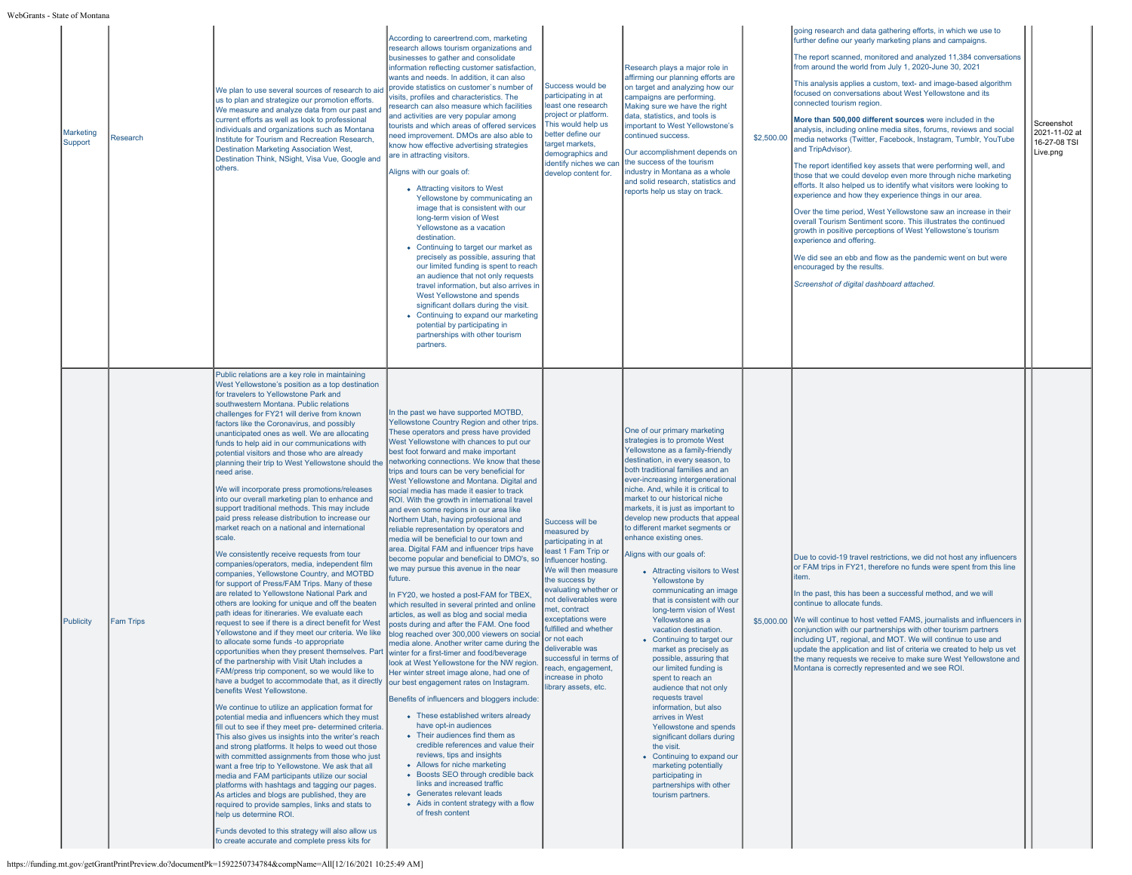| State of Montana |                             |                  |                                                                                                                                                                                                                                                                                                                                                                                                                                                                                                                                                                                                                                                                                                                                                                                                                                                                                                                                                                                                                                                                                                                                                                                                                                                                                                                                                                                                                                                                                                                                                                                                                                                                                                                                                                                                                                                                                                                                                                                                                                                                                                                                                                                                                                                                                                                                        |                                                                                                                                                                                                                                                                                                                                                                                                                                                                                                                                                                                                                                                                                                                                                                                                                                                                                                                                                                                                                                                                                                                                                                                                                                                                                                                                                                                                                                                                                                                                                                                              |                                                                                                                                                                                                                                                                                                                                                                                              |                                                                                                                                                                                                                                                                                                                                                                                                                                                                                                                                                                                                                                                                                                                                                                                                                                                                                                                                                                                                                                                                               |  |                                                                                                                                                                                                                                                                                                                                                                                                                                                                                                                                                                                                                                                                                                                                                                                                                                                                                                                                                                                                                                                                                                                                                                                                                                                                                                       |                                                         |
|------------------|-----------------------------|------------------|----------------------------------------------------------------------------------------------------------------------------------------------------------------------------------------------------------------------------------------------------------------------------------------------------------------------------------------------------------------------------------------------------------------------------------------------------------------------------------------------------------------------------------------------------------------------------------------------------------------------------------------------------------------------------------------------------------------------------------------------------------------------------------------------------------------------------------------------------------------------------------------------------------------------------------------------------------------------------------------------------------------------------------------------------------------------------------------------------------------------------------------------------------------------------------------------------------------------------------------------------------------------------------------------------------------------------------------------------------------------------------------------------------------------------------------------------------------------------------------------------------------------------------------------------------------------------------------------------------------------------------------------------------------------------------------------------------------------------------------------------------------------------------------------------------------------------------------------------------------------------------------------------------------------------------------------------------------------------------------------------------------------------------------------------------------------------------------------------------------------------------------------------------------------------------------------------------------------------------------------------------------------------------------------------------------------------------------|----------------------------------------------------------------------------------------------------------------------------------------------------------------------------------------------------------------------------------------------------------------------------------------------------------------------------------------------------------------------------------------------------------------------------------------------------------------------------------------------------------------------------------------------------------------------------------------------------------------------------------------------------------------------------------------------------------------------------------------------------------------------------------------------------------------------------------------------------------------------------------------------------------------------------------------------------------------------------------------------------------------------------------------------------------------------------------------------------------------------------------------------------------------------------------------------------------------------------------------------------------------------------------------------------------------------------------------------------------------------------------------------------------------------------------------------------------------------------------------------------------------------------------------------------------------------------------------------|----------------------------------------------------------------------------------------------------------------------------------------------------------------------------------------------------------------------------------------------------------------------------------------------------------------------------------------------------------------------------------------------|-------------------------------------------------------------------------------------------------------------------------------------------------------------------------------------------------------------------------------------------------------------------------------------------------------------------------------------------------------------------------------------------------------------------------------------------------------------------------------------------------------------------------------------------------------------------------------------------------------------------------------------------------------------------------------------------------------------------------------------------------------------------------------------------------------------------------------------------------------------------------------------------------------------------------------------------------------------------------------------------------------------------------------------------------------------------------------|--|-------------------------------------------------------------------------------------------------------------------------------------------------------------------------------------------------------------------------------------------------------------------------------------------------------------------------------------------------------------------------------------------------------------------------------------------------------------------------------------------------------------------------------------------------------------------------------------------------------------------------------------------------------------------------------------------------------------------------------------------------------------------------------------------------------------------------------------------------------------------------------------------------------------------------------------------------------------------------------------------------------------------------------------------------------------------------------------------------------------------------------------------------------------------------------------------------------------------------------------------------------------------------------------------------------|---------------------------------------------------------|
|                  | <b>Marketing</b><br>Support | Research         | We plan to use several sources of research to aid<br>us to plan and strategize our promotion efforts.<br>We measure and analyze data from our past and<br>current efforts as well as look to professional<br>individuals and organizations such as Montana<br>Institute for Tourism and Recreation Research,<br>Destination Marketing Association West,<br>Destination Think, NSight, Visa Vue, Google and<br>others.                                                                                                                                                                                                                                                                                                                                                                                                                                                                                                                                                                                                                                                                                                                                                                                                                                                                                                                                                                                                                                                                                                                                                                                                                                                                                                                                                                                                                                                                                                                                                                                                                                                                                                                                                                                                                                                                                                                  | According to careertrend.com, marketing<br>research allows tourism organizations and<br>businesses to gather and consolidate<br>information reflecting customer satisfaction,<br>wants and needs. In addition, it can also<br>provide statistics on customer's number of<br>visits, profiles and characteristics. The<br>research can also measure which facilities<br>and activities are very popular among<br>tourists and which areas of offered services<br>need improvement. DMOs are also able to<br>know how effective advertising strategies<br>are in attracting visitors.<br>Aligns with our goals of:<br>• Attracting visitors to West<br>Yellowstone by communicating an<br>image that is consistent with our<br>long-term vision of West<br>Yellowstone as a vacation<br>destination.<br>• Continuing to target our market as<br>precisely as possible, assuring that<br>our limited funding is spent to reach<br>an audience that not only requests<br>travel information, but also arrives in<br>West Yellowstone and spends<br>significant dollars during the visit.<br>• Continuing to expand our marketing<br>potential by participating in<br>partnerships with other tourism<br>partners.                                                                                                                                                                                                                                                                                                                                                                                | Success would be<br>participating in at<br>least one research<br>project or platform.<br>This would help us<br>better define our<br>target markets.<br>demographics and<br>identify niches we car<br>develop content for.                                                                                                                                                                    | Research plays a major role in<br>affirming our planning efforts are<br>on target and analyzing how our<br>campaigns are performing.<br>Making sure we have the right<br>data, statistics, and tools is<br>important to West Yellowstone's<br>continued success.<br>Our accomplishment depends on<br>the success of the tourism<br>industry in Montana as a whole<br>and solid research, statistics and<br>reports help us stay on track.                                                                                                                                                                                                                                                                                                                                                                                                                                                                                                                                                                                                                                     |  | going research and data gathering efforts, in which we use to<br>further define our yearly marketing plans and campaigns.<br>The report scanned, monitored and analyzed 11,384 conversations<br>from around the world from July 1, 2020-June 30, 2021<br>This analysis applies a custom, text- and image-based algorithm<br>focused on conversations about West Yellowstone and its<br>connected tourism region.<br>More than 500,000 different sources were included in the<br>analysis, including online media sites, forums, reviews and social<br>\$2,500.00 media networks (Twitter, Facebook, Instagram, Tumblr, YouTube<br>and TripAdvisor).<br>The report identified key assets that were performing well, and<br>those that we could develop even more through niche marketing<br>efforts. It also helped us to identify what visitors were looking to<br>experience and how they experience things in our area.<br>Over the time period, West Yellowstone saw an increase in their<br>overall Tourism Sentiment score. This illustrates the continued<br>growth in positive perceptions of West Yellowstone's tourism<br>experience and offering.<br>We did see an ebb and flow as the pandemic went on but were<br>encouraged by the results.<br>Screenshot of digital dashboard attached. | Screenshot<br>2021-11-02 at<br>16-27-08 TSI<br>Live.png |
|                  | Publicity                   | <b>Fam Trips</b> | Public relations are a key role in maintaining<br>West Yellowstone's position as a top destination<br>for travelers to Yellowstone Park and<br>southwestern Montana. Public relations<br>challenges for FY21 will derive from known<br>factors like the Coronavirus, and possibly<br>unanticipated ones as well. We are allocating<br>funds to help aid in our communications with<br>potential visitors and those who are already<br>planning their trip to West Yellowstone should the<br>need arise.<br>We will incorporate press promotions/releases<br>into our overall marketing plan to enhance and<br>support traditional methods. This may include<br>paid press release distribution to increase our<br>market reach on a national and international<br>scale.<br>We consistently receive requests from tour<br>companies/operators, media, independent film<br>companies, Yellowstone Country, and MOTBD<br>for support of Press/FAM Trips. Many of these<br>are related to Yellowstone National Park and<br>others are looking for unique and off the beaten<br>path ideas for itineraries. We evaluate each<br>request to see if there is a direct benefit for West<br>Yellowstone and if they meet our criteria. We like<br>to allocate some funds -to appropriate<br>opportunities when they present themselves. Part winter for a first-timer and food/beverage<br>of the partnership with Visit Utah includes a<br>FAM/press trip component, so we would like to<br>have a budget to accommodate that, as it directly our best engagement rates on Instagram.<br>benefits West Yellowstone.<br>We continue to utilize an application format for<br>potential media and influencers which they must<br>fill out to see if they meet pre- determined criteria.<br>This also gives us insights into the writer's reach<br>and strong platforms. It helps to weed out those<br>with committed assignments from those who just<br>want a free trip to Yellowstone. We ask that all<br>media and FAM participants utilize our social<br>platforms with hashtags and tagging our pages.<br>As articles and blogs are published, they are<br>required to provide samples, links and stats to<br>help us determine ROI.<br>Funds devoted to this strategy will also allow us<br>to create accurate and complete press kits for | In the past we have supported MOTBD,<br>Yellowstone Country Region and other trips.<br>These operators and press have provided<br>West Yellowstone with chances to put our<br>best foot forward and make important<br>networking connections. We know that these<br>trips and tours can be very beneficial for<br>West Yellowstone and Montana. Digital and<br>social media has made it easier to track<br>ROI. With the growth in international travel<br>and even some regions in our area like<br>Northern Utah, having professional and<br>reliable representation by operators and<br>media will be beneficial to our town and<br>area. Digital FAM and influencer trips have<br>become popular and beneficial to DMO's, so<br>we may pursue this avenue in the near<br>future.<br>In FY20, we hosted a post-FAM for TBEX,<br>which resulted in several printed and online<br>articles, as well as blog and social media<br>posts during and after the FAM. One food<br>blog reached over 300,000 viewers on social<br>media alone. Another writer came during the<br>look at West Yellowstone for the NW region.<br>Her winter street image alone, had one of<br>Benefits of influencers and bloggers include:<br>• These established writers already<br>have opt-in audiences<br>• Their audiences find them as<br>credible references and value their<br>reviews, tips and insights<br>• Allows for niche marketing<br>• Boosts SEO through credible back<br>links and increased traffic<br>• Generates relevant leads<br>• Aids in content strategy with a flow<br>of fresh content | Success will be<br>measured by<br>participating in at<br>least 1 Fam Trip or<br>Influencer hosting.<br>We will then measure<br>the success by<br>evaluating whether or<br>not deliverables were<br>net, contract<br>exceptations were<br>fulfilled and whether<br>or not each<br>heliyerahle was<br>successful in terms of<br>each, engagement,<br>increase in photo<br>library assets, etc. | One of our primary marketing<br>strategies is to promote West<br>Yellowstone as a family-friendly<br>destination, in every season, to<br>both traditional families and an<br>ever-increasing intergenerational<br>niche. And, while it is critical to<br>market to our historical niche<br>markets, it is just as important to<br>develop new products that appeal<br>to different market segments or<br>enhance existing ones.<br>Aligns with our goals of:<br>• Attracting visitors to West<br>Yellowstone by<br>communicating an image<br>that is consistent with our<br>long-term vision of West<br>Yellowstone as a<br>vacation destination.<br>• Continuing to target our<br>market as precisely as<br>possible, assuring that<br>our limited funding is<br>spent to reach an<br>audience that not only<br>requests travel<br>information, but also<br>arrives in West<br>Yellowstone and spends<br>significant dollars during<br>the visit.<br>• Continuing to expand our<br>marketing potentially<br>participating in<br>partnerships with other<br>tourism partners. |  | Due to covid-19 travel restrictions, we did not host any influencers<br>or FAM trips in FY21, therefore no funds were spent from this line<br>item.<br>In the past, this has been a successful method, and we will<br>continue to allocate funds.<br>\$5,000.00 We will continue to host vetted FAMS, journalists and influencers in<br>conjunction with our partnerships with other tourism partners<br>including UT, regional, and MOT. We will continue to use and<br>update the application and list of criteria we created to help us vet<br>the many requests we receive to make sure West Yellowstone and<br>Montana is correctly represented and we see ROI.                                                                                                                                                                                                                                                                                                                                                                                                                                                                                                                                                                                                                                  |                                                         |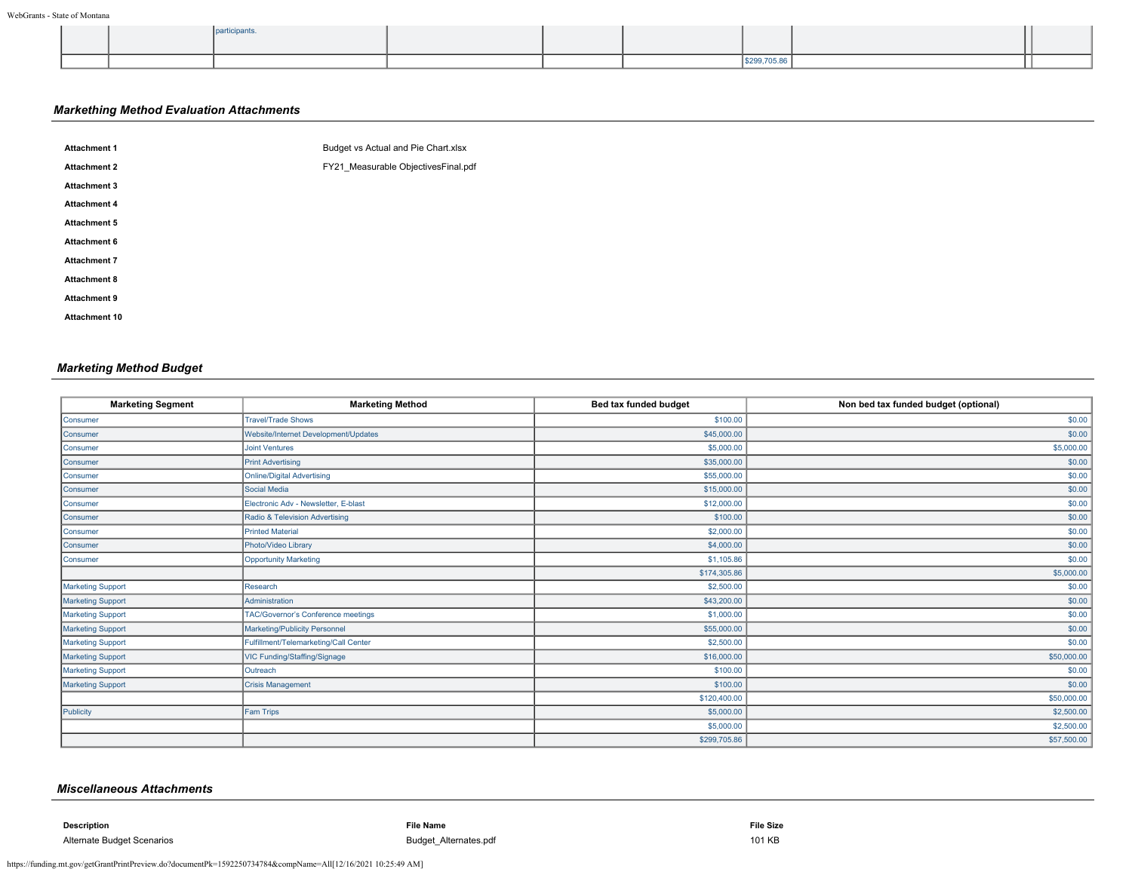|  |  |  | ------ |  |
|--|--|--|--------|--|

# *Markething Method Evaluation Attachments*

| <b>Attachment 1</b>  | Budget vs Actual and Pie Chart.xlsx |
|----------------------|-------------------------------------|
| <b>Attachment 2</b>  | FY21 Measurable ObjectivesFinal.pdf |
| <b>Attachment 3</b>  |                                     |
| <b>Attachment 4</b>  |                                     |
| Attachment 5         |                                     |
| <b>Attachment 6</b>  |                                     |
| <b>Attachment 7</b>  |                                     |
| <b>Attachment 8</b>  |                                     |
| <b>Attachment 9</b>  |                                     |
| <b>Attachment 10</b> |                                     |
|                      |                                     |

# *Marketing Method Budget*

| <b>Marketing Segment</b> | <b>Marketing Method</b>               | Bed tax funded budget | Non bed tax funded budget (optional) |
|--------------------------|---------------------------------------|-----------------------|--------------------------------------|
| Consumer                 | <b>Travel/Trade Shows</b>             | \$100.00              | \$0.00                               |
| Consumer                 | Website/Internet Development/Updates  | \$45,000.00           | \$0.00                               |
| Consumer                 | <b>Joint Ventures</b>                 | \$5,000.00            | \$5,000.00                           |
| Consumer                 | <b>Print Advertising</b>              | \$35,000.00           | \$0.00                               |
| Consumer                 | Online/Digital Advertising            | \$55,000.00           | \$0.00                               |
| Consumer                 | Social Media                          | \$15,000.00           | \$0.00                               |
| Consumer                 | Electronic Adv - Newsletter, E-blast  | \$12,000.00           | \$0.00                               |
| Consumer                 | Radio & Television Advertising        | \$100.00              | \$0.00                               |
| Consumer                 | <b>Printed Material</b>               | \$2,000.00            | \$0.00                               |
| Consumer                 | Photo/Video Library                   | \$4,000.00            | \$0.00                               |
| Consumer                 | <b>Opportunity Marketing</b>          | \$1,105.86            | \$0.00                               |
|                          |                                       | \$174,305.86          | \$5,000.00                           |
| Marketing Support        | Research                              | \$2,500.00            | \$0.00                               |
| Marketing Support        | Administration                        | \$43,200.00           | \$0.00                               |
| Marketing Support        | TAC/Governor's Conference meetings    | \$1,000.00            | \$0.00                               |
| <b>Marketing Support</b> | Marketing/Publicity Personnel         | \$55,000.00           | \$0.00                               |
| Marketing Support        | Fulfillment/Telemarketing/Call Center | \$2,500.00            | \$0.00                               |
| Marketing Support        | VIC Funding/Staffing/Signage          | \$16,000.00           | \$50,000.00                          |
| Marketing Support        | Outreach                              | \$100.00              | \$0.00                               |
| Marketing Support        | <b>Crisis Management</b>              | \$100.00              | \$0.00                               |
|                          |                                       | \$120,400.00          | \$50,000.00                          |
| Publicity                | Fam Trips                             | \$5,000.00            | \$2,500.00                           |
|                          |                                       | \$5,000.00            | \$2,500.00                           |
|                          |                                       | \$299,705.86          | \$57,500.00                          |

## *Miscellaneous Attachments*

**Description File Name File Size**

Alternate Budget Scenarios **Budget Scenarios** 101 KB